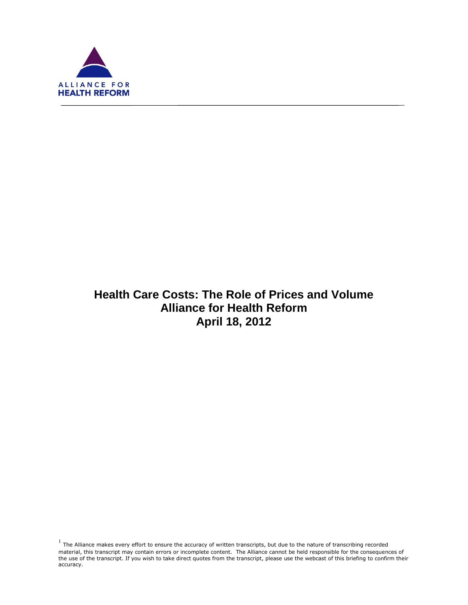

f

# **Health Care Costs: The Role of Prices and Volume Alliance for Health Reform April 18, 2012**

 $<sup>1</sup>$  The Alliance makes every effort to ensure the accuracy of written transcripts, but due to the nature of transcribing recorded</sup> material, this transcript may contain errors or incomplete content. The Alliance cannot be held responsible for the consequences of the use of the transcript. If you wish to take direct quotes from the transcript, please use the webcast of this briefing to confirm their accuracy.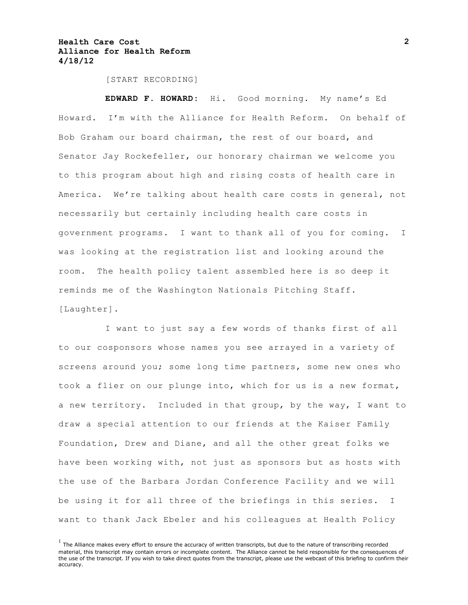[START RECORDING]

**EDWARD F. HOWARD:** Hi. Good morning. My name's Ed Howard. I'm with the Alliance for Health Reform. On behalf of Bob Graham our board chairman, the rest of our board, and Senator Jay Rockefeller, our honorary chairman we welcome you to this program about high and rising costs of health care in America. We're talking about health care costs in general, not necessarily but certainly including health care costs in government programs. I want to thank all of you for coming. I was looking at the registration list and looking around the room. The health policy talent assembled here is so deep it reminds me of the Washington Nationals Pitching Staff. [Laughter].

I want to just say a few words of thanks first of all to our cosponsors whose names you see arrayed in a variety of screens around you; some long time partners, some new ones who took a flier on our plunge into, which for us is a new format, a new territory. Included in that group, by the way, I want to draw a special attention to our friends at the Kaiser Family Foundation, Drew and Diane, and all the other great folks we have been working with, not just as sponsors but as hosts with the use of the Barbara Jordan Conference Facility and we will be using it for all three of the briefings in this series. I want to thank Jack Ebeler and his colleagues at Health Policy

 $<sup>1</sup>$  The Alliance makes every effort to ensure the accuracy of written transcripts, but due to the nature of transcribing recorded</sup> material, this transcript may contain errors or incomplete content. The Alliance cannot be held responsible for the consequences of the use of the transcript. If you wish to take direct quotes from the transcript, please use the webcast of this briefing to confirm their accuracy.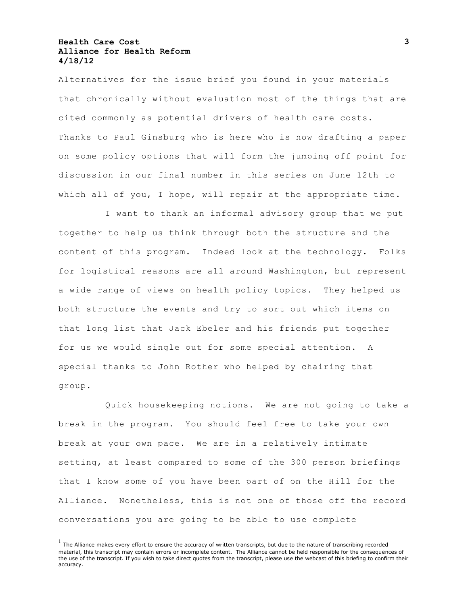Alternatives for the issue brief you found in your materials that chronically without evaluation most of the things that are cited commonly as potential drivers of health care costs. Thanks to Paul Ginsburg who is here who is now drafting a paper on some policy options that will form the jumping off point for discussion in our final number in this series on June 12th to which all of you, I hope, will repair at the appropriate time.

I want to thank an informal advisory group that we put together to help us think through both the structure and the content of this program. Indeed look at the technology. Folks for logistical reasons are all around Washington, but represent a wide range of views on health policy topics. They helped us both structure the events and try to sort out which items on that long list that Jack Ebeler and his friends put together for us we would single out for some special attention. A special thanks to John Rother who helped by chairing that group.

Quick housekeeping notions. We are not going to take a break in the program. You should feel free to take your own break at your own pace. We are in a relatively intimate setting, at least compared to some of the 300 person briefings that I know some of you have been part of on the Hill for the Alliance. Nonetheless, this is not one of those off the record conversations you are going to be able to use complete

 $<sup>1</sup>$  The Alliance makes every effort to ensure the accuracy of written transcripts, but due to the nature of transcribing recorded</sup> material, this transcript may contain errors or incomplete content. The Alliance cannot be held responsible for the consequences of the use of the transcript. If you wish to take direct quotes from the transcript, please use the webcast of this briefing to confirm their accuracy.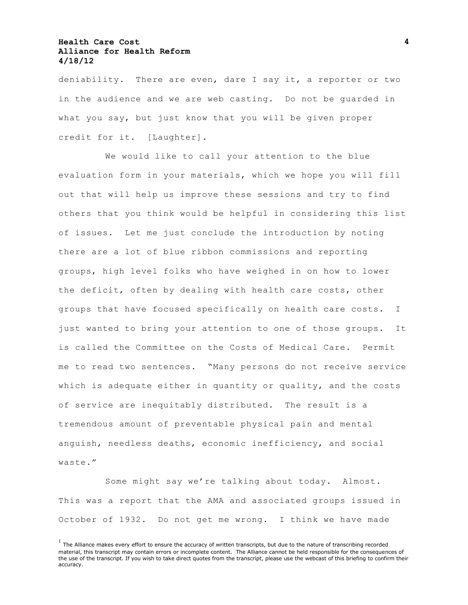deniability. There are even, dare I say it, a reporter or two in the audience and we are web casting. Do not be guarded in what you say, but just know that you will be given proper credit for it. [Laughter].

We would like to call your attention to the blue evaluation form in your materials, which we hope you will fill out that will help us improve these sessions and try to find others that you think would be helpful in considering this list of issues. Let me just conclude the introduction by noting there are a lot of blue ribbon commissions and reporting groups, high level folks who have weighed in on how to lower the deficit, often by dealing with health care costs, other groups that have focused specifically on health care costs. I just wanted to bring your attention to one of those groups. It is called the Committee on the Costs of Medical Care. Permit me to read two sentences. "Many persons do not receive service which is adequate either in quantity or quality, and the costs of service are inequitably distributed. The result is a tremendous amount of preventable physical pain and mental anguish, needless deaths, economic inefficiency, and social waste."

Some might say we're talking about today. Almost. This was a report that the AMA and associated groups issued in October of 1932. Do not get me wrong. I think we have made

 $<sup>1</sup>$  The Alliance makes every effort to ensure the accuracy of written transcripts, but due to the nature of transcribing recorded</sup> material, this transcript may contain errors or incomplete content. The Alliance cannot be held responsible for the consequences of the use of the transcript. If you wish to take direct quotes from the transcript, please use the webcast of this briefing to confirm their accuracy.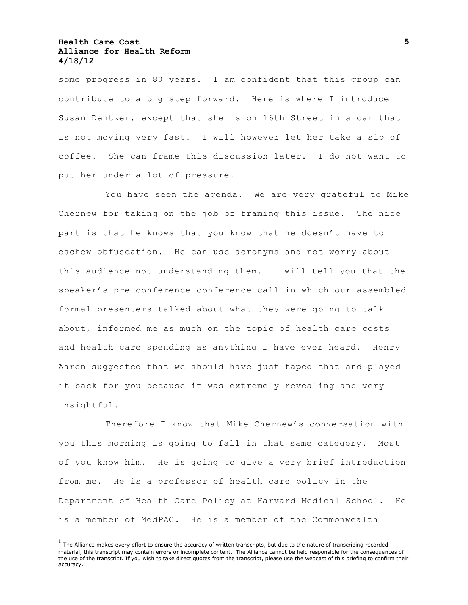some progress in 80 years. I am confident that this group can contribute to a big step forward. Here is where I introduce Susan Dentzer, except that she is on 16th Street in a car that is not moving very fast. I will however let her take a sip of coffee. She can frame this discussion later. I do not want to put her under a lot of pressure.

You have seen the agenda. We are very grateful to Mike Chernew for taking on the job of framing this issue. The nice part is that he knows that you know that he doesn't have to eschew obfuscation. He can use acronyms and not worry about this audience not understanding them. I will tell you that the speaker's pre-conference conference call in which our assembled formal presenters talked about what they were going to talk about, informed me as much on the topic of health care costs and health care spending as anything I have ever heard. Henry Aaron suggested that we should have just taped that and played it back for you because it was extremely revealing and very insightful.

Therefore I know that Mike Chernew's conversation with you this morning is going to fall in that same category. Most of you know him. He is going to give a very brief introduction from me. He is a professor of health care policy in the Department of Health Care Policy at Harvard Medical School. He is a member of MedPAC. He is a member of the Commonwealth

 $<sup>1</sup>$  The Alliance makes every effort to ensure the accuracy of written transcripts, but due to the nature of transcribing recorded</sup> material, this transcript may contain errors or incomplete content. The Alliance cannot be held responsible for the consequences of the use of the transcript. If you wish to take direct quotes from the transcript, please use the webcast of this briefing to confirm their accuracy.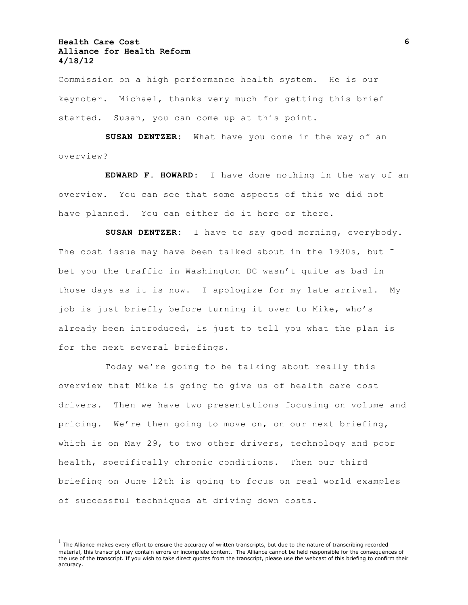Commission on a high performance health system. He is our keynoter. Michael, thanks very much for getting this brief started. Susan, you can come up at this point.

**SUSAN DENTZER:** What have you done in the way of an overview?

**EDWARD F. HOWARD:** I have done nothing in the way of an overview. You can see that some aspects of this we did not have planned. You can either do it here or there.

**SUSAN DENTZER:** I have to say good morning, everybody. The cost issue may have been talked about in the 1930s, but I bet you the traffic in Washington DC wasn't quite as bad in those days as it is now. I apologize for my late arrival. My job is just briefly before turning it over to Mike, who's already been introduced, is just to tell you what the plan is for the next several briefings.

Today we're going to be talking about really this overview that Mike is going to give us of health care cost drivers. Then we have two presentations focusing on volume and pricing. We're then going to move on, on our next briefing, which is on May 29, to two other drivers, technology and poor health, specifically chronic conditions. Then our third briefing on June 12th is going to focus on real world examples of successful techniques at driving down costs.

 $<sup>1</sup>$  The Alliance makes every effort to ensure the accuracy of written transcripts, but due to the nature of transcribing recorded</sup> material, this transcript may contain errors or incomplete content. The Alliance cannot be held responsible for the consequences of the use of the transcript. If you wish to take direct quotes from the transcript, please use the webcast of this briefing to confirm their accuracy.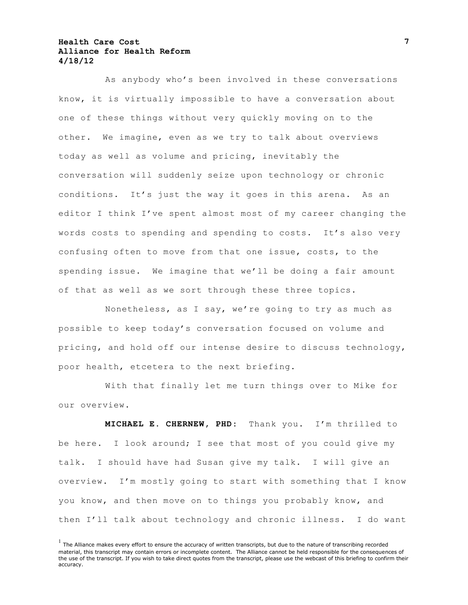As anybody who's been involved in these conversations know, it is virtually impossible to have a conversation about one of these things without very quickly moving on to the other. We imagine, even as we try to talk about overviews today as well as volume and pricing, inevitably the conversation will suddenly seize upon technology or chronic conditions. It's just the way it goes in this arena. As an editor I think I've spent almost most of my career changing the words costs to spending and spending to costs. It's also very confusing often to move from that one issue, costs, to the spending issue. We imagine that we'll be doing a fair amount of that as well as we sort through these three topics.

Nonetheless, as I say, we're going to try as much as possible to keep today's conversation focused on volume and pricing, and hold off our intense desire to discuss technology, poor health, etcetera to the next briefing.

With that finally let me turn things over to Mike for our overview.

**MICHAEL E. CHERNEW, PHD:** Thank you. I'm thrilled to be here. I look around; I see that most of you could give my talk. I should have had Susan give my talk. I will give an overview. I'm mostly going to start with something that I know you know, and then move on to things you probably know, and then I'll talk about technology and chronic illness. I do want

 $<sup>1</sup>$  The Alliance makes every effort to ensure the accuracy of written transcripts, but due to the nature of transcribing recorded</sup> material, this transcript may contain errors or incomplete content. The Alliance cannot be held responsible for the consequences of the use of the transcript. If you wish to take direct quotes from the transcript, please use the webcast of this briefing to confirm their accuracy.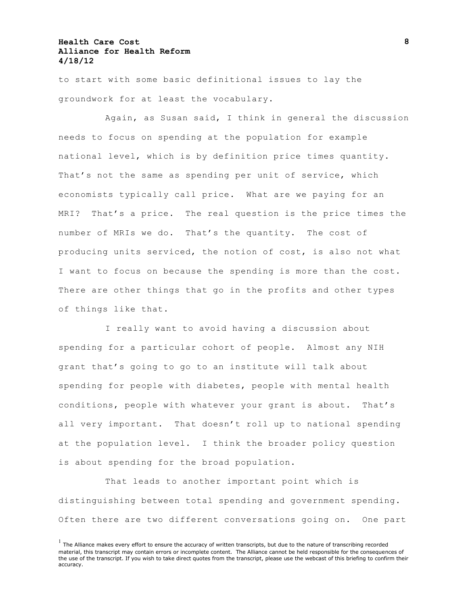to start with some basic definitional issues to lay the groundwork for at least the vocabulary.

Again, as Susan said, I think in general the discussion needs to focus on spending at the population for example national level, which is by definition price times quantity. That's not the same as spending per unit of service, which economists typically call price. What are we paying for an MRI? That's a price. The real question is the price times the number of MRIs we do. That's the quantity. The cost of producing units serviced, the notion of cost, is also not what I want to focus on because the spending is more than the cost. There are other things that go in the profits and other types of things like that.

I really want to avoid having a discussion about spending for a particular cohort of people. Almost any NIH grant that's going to go to an institute will talk about spending for people with diabetes, people with mental health conditions, people with whatever your grant is about. That's all very important. That doesn't roll up to national spending at the population level. I think the broader policy question is about spending for the broad population.

That leads to another important point which is distinguishing between total spending and government spending. Often there are two different conversations going on. One part

 $<sup>1</sup>$  The Alliance makes every effort to ensure the accuracy of written transcripts, but due to the nature of transcribing recorded</sup> material, this transcript may contain errors or incomplete content. The Alliance cannot be held responsible for the consequences of the use of the transcript. If you wish to take direct quotes from the transcript, please use the webcast of this briefing to confirm their accuracy.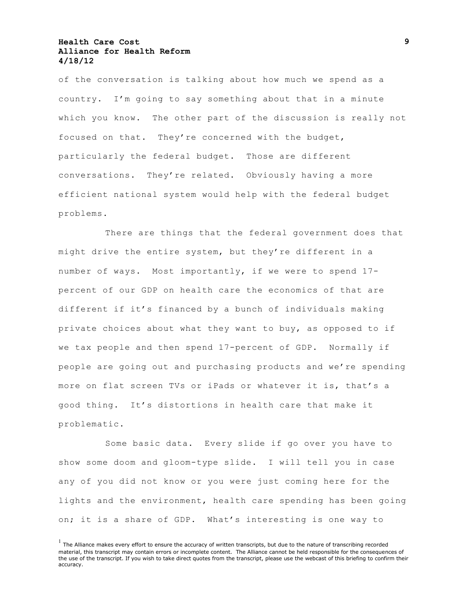of the conversation is talking about how much we spend as a country. I'm going to say something about that in a minute which you know. The other part of the discussion is really not focused on that. They're concerned with the budget, particularly the federal budget. Those are different conversations. They're related. Obviously having a more efficient national system would help with the federal budget problems.

There are things that the federal government does that might drive the entire system, but they're different in a number of ways. Most importantly, if we were to spend 17 percent of our GDP on health care the economics of that are different if it's financed by a bunch of individuals making private choices about what they want to buy, as opposed to if we tax people and then spend 17-percent of GDP. Normally if people are going out and purchasing products and we're spending more on flat screen TVs or iPads or whatever it is, that's a good thing. It's distortions in health care that make it problematic.

Some basic data. Every slide if go over you have to show some doom and gloom-type slide. I will tell you in case any of you did not know or you were just coming here for the lights and the environment, health care spending has been going on; it is a share of GDP. What's interesting is one way to

 $<sup>1</sup>$  The Alliance makes every effort to ensure the accuracy of written transcripts, but due to the nature of transcribing recorded</sup> material, this transcript may contain errors or incomplete content. The Alliance cannot be held responsible for the consequences of the use of the transcript. If you wish to take direct quotes from the transcript, please use the webcast of this briefing to confirm their accuracy.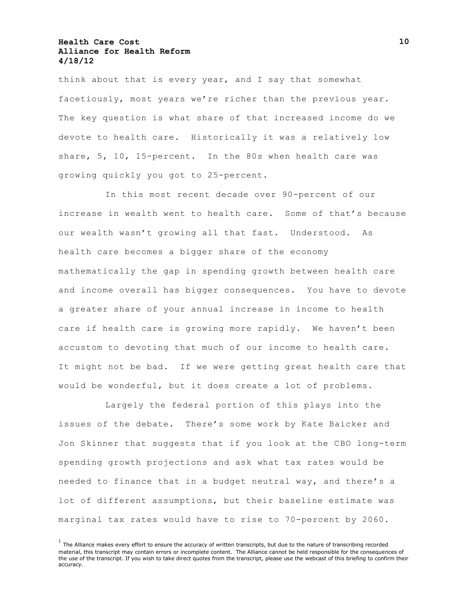think about that is every year, and I say that somewhat facetiously, most years we're richer than the previous year. The key question is what share of that increased income do we devote to health care. Historically it was a relatively low share, 5, 10, 15-percent. In the 80s when health care was growing quickly you got to 25-percent.

In this most recent decade over 90-percent of our increase in wealth went to health care. Some of that's because our wealth wasn't growing all that fast. Understood. As health care becomes a bigger share of the economy mathematically the gap in spending growth between health care and income overall has bigger consequences. You have to devote a greater share of your annual increase in income to health care if health care is growing more rapidly. We haven't been accustom to devoting that much of our income to health care. It might not be bad. If we were getting great health care that would be wonderful, but it does create a lot of problems.

Largely the federal portion of this plays into the issues of the debate. There's some work by Kate Baicker and Jon Skinner that suggests that if you look at the CBO long-term spending growth projections and ask what tax rates would be needed to finance that in a budget neutral way, and there's a lot of different assumptions, but their baseline estimate was marginal tax rates would have to rise to 70-percent by 2060.

 $<sup>1</sup>$  The Alliance makes every effort to ensure the accuracy of written transcripts, but due to the nature of transcribing recorded</sup> material, this transcript may contain errors or incomplete content. The Alliance cannot be held responsible for the consequences of the use of the transcript. If you wish to take direct quotes from the transcript, please use the webcast of this briefing to confirm their accuracy.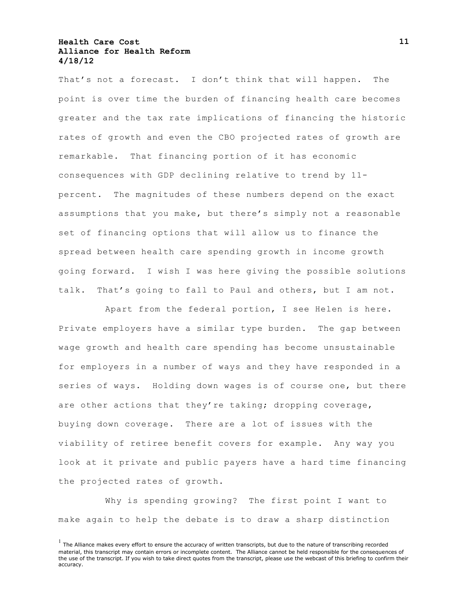That's not a forecast. I don't think that will happen. The point is over time the burden of financing health care becomes greater and the tax rate implications of financing the historic rates of growth and even the CBO projected rates of growth are remarkable. That financing portion of it has economic consequences with GDP declining relative to trend by 11 percent. The magnitudes of these numbers depend on the exact assumptions that you make, but there's simply not a reasonable set of financing options that will allow us to finance the spread between health care spending growth in income growth going forward. I wish I was here giving the possible solutions talk. That's going to fall to Paul and others, but I am not.

Apart from the federal portion, I see Helen is here. Private employers have a similar type burden. The gap between wage growth and health care spending has become unsustainable for employers in a number of ways and they have responded in a series of ways. Holding down wages is of course one, but there are other actions that they're taking; dropping coverage, buying down coverage. There are a lot of issues with the viability of retiree benefit covers for example. Any way you look at it private and public payers have a hard time financing the projected rates of growth.

Why is spending growing? The first point I want to make again to help the debate is to draw a sharp distinction

 $<sup>1</sup>$  The Alliance makes every effort to ensure the accuracy of written transcripts, but due to the nature of transcribing recorded</sup> material, this transcript may contain errors or incomplete content. The Alliance cannot be held responsible for the consequences of the use of the transcript. If you wish to take direct quotes from the transcript, please use the webcast of this briefing to confirm their accuracy.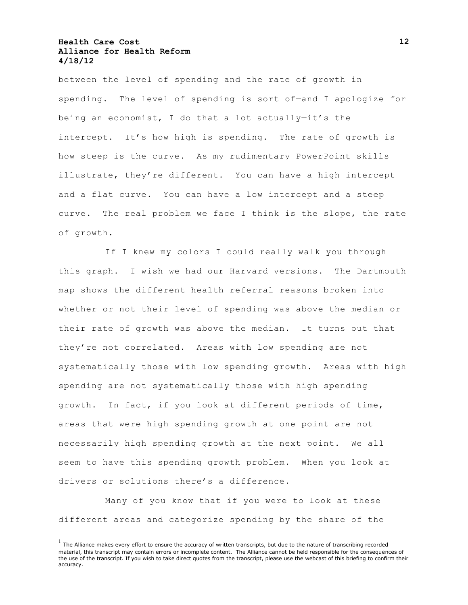between the level of spending and the rate of growth in spending. The level of spending is sort of—and I apologize for being an economist, I do that a lot actually—it's the intercept. It's how high is spending. The rate of growth is how steep is the curve. As my rudimentary PowerPoint skills illustrate, they're different. You can have a high intercept and a flat curve. You can have a low intercept and a steep curve. The real problem we face I think is the slope, the rate of growth.

If I knew my colors I could really walk you through this graph. I wish we had our Harvard versions. The Dartmouth map shows the different health referral reasons broken into whether or not their level of spending was above the median or their rate of growth was above the median. It turns out that they're not correlated. Areas with low spending are not systematically those with low spending growth. Areas with high spending are not systematically those with high spending growth. In fact, if you look at different periods of time, areas that were high spending growth at one point are not necessarily high spending growth at the next point. We all seem to have this spending growth problem. When you look at drivers or solutions there's a difference.

Many of you know that if you were to look at these different areas and categorize spending by the share of the

 $<sup>1</sup>$  The Alliance makes every effort to ensure the accuracy of written transcripts, but due to the nature of transcribing recorded</sup> material, this transcript may contain errors or incomplete content. The Alliance cannot be held responsible for the consequences of the use of the transcript. If you wish to take direct quotes from the transcript, please use the webcast of this briefing to confirm their accuracy.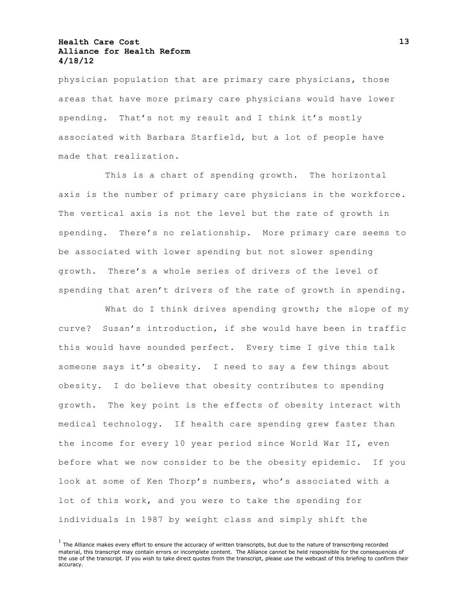physician population that are primary care physicians, those areas that have more primary care physicians would have lower spending. That's not my result and I think it's mostly associated with Barbara Starfield, but a lot of people have made that realization.

This is a chart of spending growth. The horizontal axis is the number of primary care physicians in the workforce. The vertical axis is not the level but the rate of growth in spending. There's no relationship. More primary care seems to be associated with lower spending but not slower spending growth. There's a whole series of drivers of the level of spending that aren't drivers of the rate of growth in spending.

What do I think drives spending growth; the slope of my curve? Susan's introduction, if she would have been in traffic this would have sounded perfect. Every time I give this talk someone says it's obesity. I need to say a few things about obesity. I do believe that obesity contributes to spending growth. The key point is the effects of obesity interact with medical technology. If health care spending grew faster than the income for every 10 year period since World War II, even before what we now consider to be the obesity epidemic. If you look at some of Ken Thorp's numbers, who's associated with a lot of this work, and you were to take the spending for individuals in 1987 by weight class and simply shift the

 $<sup>1</sup>$  The Alliance makes every effort to ensure the accuracy of written transcripts, but due to the nature of transcribing recorded</sup> material, this transcript may contain errors or incomplete content. The Alliance cannot be held responsible for the consequences of the use of the transcript. If you wish to take direct quotes from the transcript, please use the webcast of this briefing to confirm their accuracy.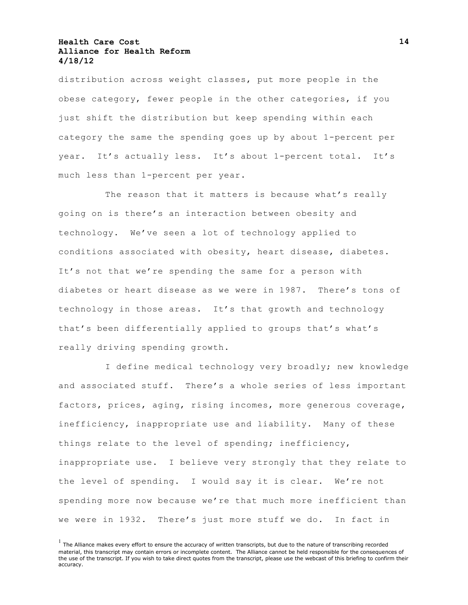distribution across weight classes, put more people in the obese category, fewer people in the other categories, if you just shift the distribution but keep spending within each category the same the spending goes up by about 1-percent per year. It's actually less. It's about 1-percent total. It's much less than 1-percent per year.

The reason that it matters is because what's really going on is there's an interaction between obesity and technology. We've seen a lot of technology applied to conditions associated with obesity, heart disease, diabetes. It's not that we're spending the same for a person with diabetes or heart disease as we were in 1987. There's tons of technology in those areas. It's that growth and technology that's been differentially applied to groups that's what's really driving spending growth.

I define medical technology very broadly; new knowledge and associated stuff. There's a whole series of less important factors, prices, aging, rising incomes, more generous coverage, inefficiency, inappropriate use and liability. Many of these things relate to the level of spending; inefficiency, inappropriate use. I believe very strongly that they relate to the level of spending. I would say it is clear. We're not spending more now because we're that much more inefficient than we were in 1932. There's just more stuff we do. In fact in

 $<sup>1</sup>$  The Alliance makes every effort to ensure the accuracy of written transcripts, but due to the nature of transcribing recorded</sup> material, this transcript may contain errors or incomplete content. The Alliance cannot be held responsible for the consequences of the use of the transcript. If you wish to take direct quotes from the transcript, please use the webcast of this briefing to confirm their accuracy.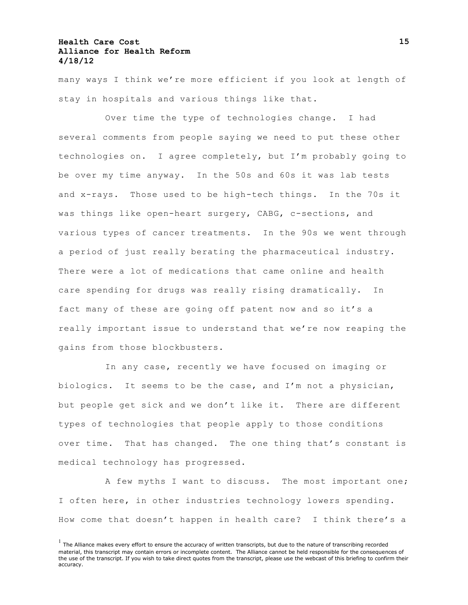many ways I think we're more efficient if you look at length of stay in hospitals and various things like that.

Over time the type of technologies change. I had several comments from people saying we need to put these other technologies on. I agree completely, but I'm probably going to be over my time anyway. In the 50s and 60s it was lab tests and x-rays. Those used to be high-tech things. In the 70s it was things like open-heart surgery, CABG, c-sections, and various types of cancer treatments. In the 90s we went through a period of just really berating the pharmaceutical industry. There were a lot of medications that came online and health care spending for drugs was really rising dramatically. In fact many of these are going off patent now and so it's a really important issue to understand that we're now reaping the gains from those blockbusters.

In any case, recently we have focused on imaging or biologics. It seems to be the case, and I'm not a physician, but people get sick and we don't like it. There are different types of technologies that people apply to those conditions over time. That has changed. The one thing that's constant is medical technology has progressed.

A few myths I want to discuss. The most important one; I often here, in other industries technology lowers spending. How come that doesn't happen in health care? I think there's a

 $<sup>1</sup>$  The Alliance makes every effort to ensure the accuracy of written transcripts, but due to the nature of transcribing recorded</sup> material, this transcript may contain errors or incomplete content. The Alliance cannot be held responsible for the consequences of the use of the transcript. If you wish to take direct quotes from the transcript, please use the webcast of this briefing to confirm their accuracy.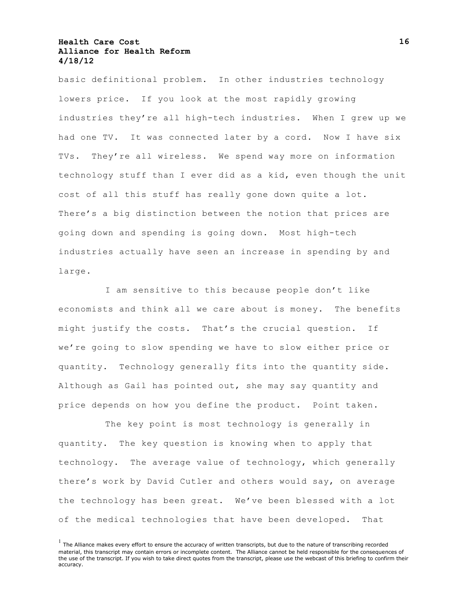basic definitional problem. In other industries technology lowers price. If you look at the most rapidly growing industries they're all high-tech industries. When I grew up we had one TV. It was connected later by a cord. Now I have six TVs. They're all wireless. We spend way more on information technology stuff than I ever did as a kid, even though the unit cost of all this stuff has really gone down quite a lot. There's a big distinction between the notion that prices are going down and spending is going down. Most high-tech industries actually have seen an increase in spending by and large.

I am sensitive to this because people don't like economists and think all we care about is money. The benefits might justify the costs. That's the crucial question. If we're going to slow spending we have to slow either price or quantity. Technology generally fits into the quantity side. Although as Gail has pointed out, she may say quantity and price depends on how you define the product. Point taken.

The key point is most technology is generally in quantity. The key question is knowing when to apply that technology. The average value of technology, which generally there's work by David Cutler and others would say, on average the technology has been great. We've been blessed with a lot of the medical technologies that have been developed. That

 $<sup>1</sup>$  The Alliance makes every effort to ensure the accuracy of written transcripts, but due to the nature of transcribing recorded</sup> material, this transcript may contain errors or incomplete content. The Alliance cannot be held responsible for the consequences of the use of the transcript. If you wish to take direct quotes from the transcript, please use the webcast of this briefing to confirm their accuracy.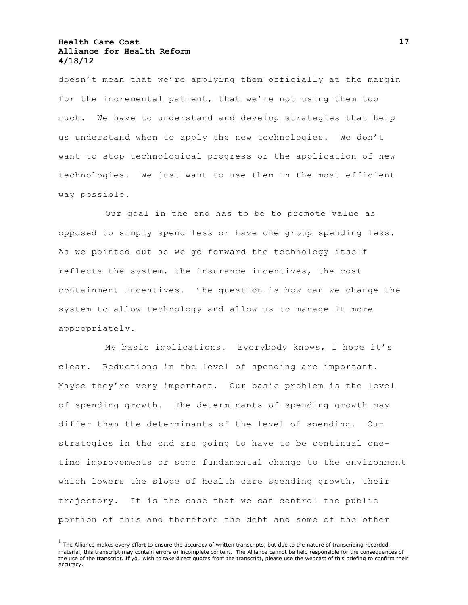doesn't mean that we're applying them officially at the margin for the incremental patient, that we're not using them too much. We have to understand and develop strategies that help us understand when to apply the new technologies. We don't want to stop technological progress or the application of new technologies. We just want to use them in the most efficient way possible.

Our goal in the end has to be to promote value as opposed to simply spend less or have one group spending less. As we pointed out as we go forward the technology itself reflects the system, the insurance incentives, the cost containment incentives. The question is how can we change the system to allow technology and allow us to manage it more appropriately.

My basic implications. Everybody knows, I hope it's clear. Reductions in the level of spending are important. Maybe they're very important. Our basic problem is the level of spending growth. The determinants of spending growth may differ than the determinants of the level of spending. Our strategies in the end are going to have to be continual onetime improvements or some fundamental change to the environment which lowers the slope of health care spending growth, their trajectory. It is the case that we can control the public portion of this and therefore the debt and some of the other

 $<sup>1</sup>$  The Alliance makes every effort to ensure the accuracy of written transcripts, but due to the nature of transcribing recorded</sup> material, this transcript may contain errors or incomplete content. The Alliance cannot be held responsible for the consequences of the use of the transcript. If you wish to take direct quotes from the transcript, please use the webcast of this briefing to confirm their accuracy.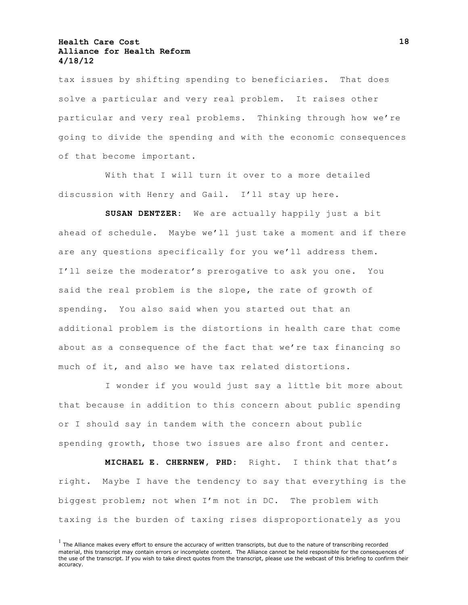tax issues by shifting spending to beneficiaries. That does solve a particular and very real problem. It raises other particular and very real problems. Thinking through how we're going to divide the spending and with the economic consequences of that become important.

With that I will turn it over to a more detailed discussion with Henry and Gail. I'll stay up here.

**SUSAN DENTZER:** We are actually happily just a bit ahead of schedule. Maybe we'll just take a moment and if there are any questions specifically for you we'll address them. I'll seize the moderator's prerogative to ask you one. You said the real problem is the slope, the rate of growth of spending. You also said when you started out that an additional problem is the distortions in health care that come about as a consequence of the fact that we're tax financing so much of it, and also we have tax related distortions.

I wonder if you would just say a little bit more about that because in addition to this concern about public spending or I should say in tandem with the concern about public spending growth, those two issues are also front and center.

**MICHAEL E. CHERNEW, PHD:** Right. I think that that's right. Maybe I have the tendency to say that everything is the biggest problem; not when I'm not in DC. The problem with taxing is the burden of taxing rises disproportionately as you

 $<sup>1</sup>$  The Alliance makes every effort to ensure the accuracy of written transcripts, but due to the nature of transcribing recorded</sup> material, this transcript may contain errors or incomplete content. The Alliance cannot be held responsible for the consequences of the use of the transcript. If you wish to take direct quotes from the transcript, please use the webcast of this briefing to confirm their accuracy.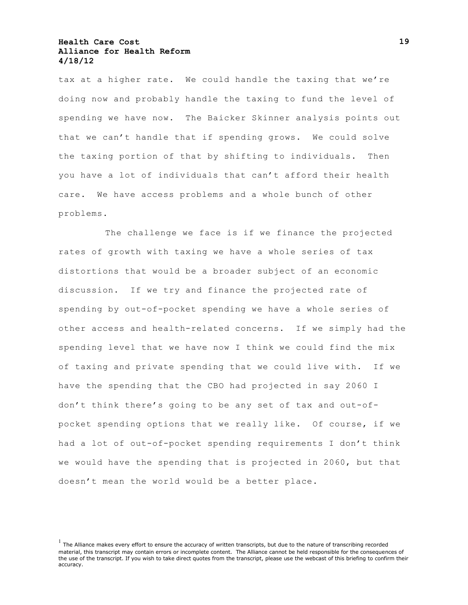tax at a higher rate. We could handle the taxing that we're doing now and probably handle the taxing to fund the level of spending we have now. The Baicker Skinner analysis points out that we can't handle that if spending grows. We could solve the taxing portion of that by shifting to individuals. Then you have a lot of individuals that can't afford their health care. We have access problems and a whole bunch of other problems.

The challenge we face is if we finance the projected rates of growth with taxing we have a whole series of tax distortions that would be a broader subject of an economic discussion. If we try and finance the projected rate of spending by out-of-pocket spending we have a whole series of other access and health-related concerns. If we simply had the spending level that we have now I think we could find the mix of taxing and private spending that we could live with. If we have the spending that the CBO had projected in say 2060 I don't think there's going to be any set of tax and out-ofpocket spending options that we really like. Of course, if we had a lot of out-of-pocket spending requirements I don't think we would have the spending that is projected in 2060, but that doesn't mean the world would be a better place.

 $<sup>1</sup>$  The Alliance makes every effort to ensure the accuracy of written transcripts, but due to the nature of transcribing recorded</sup> material, this transcript may contain errors or incomplete content. The Alliance cannot be held responsible for the consequences of the use of the transcript. If you wish to take direct quotes from the transcript, please use the webcast of this briefing to confirm their accuracy.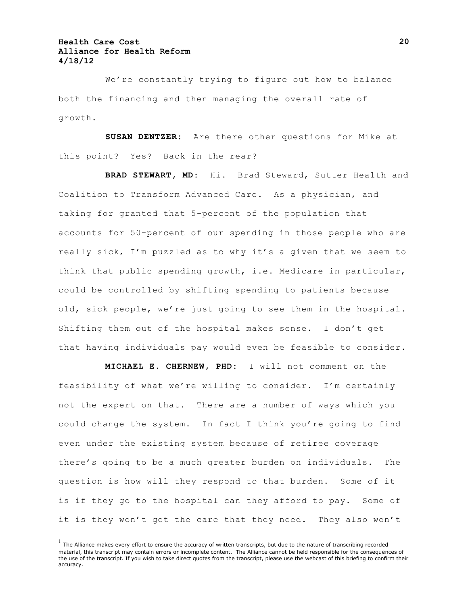We're constantly trying to figure out how to balance both the financing and then managing the overall rate of growth.

**SUSAN DENTZER:** Are there other questions for Mike at this point? Yes? Back in the rear?

**BRAD STEWART, MD:** Hi. Brad Steward, Sutter Health and Coalition to Transform Advanced Care. As a physician, and taking for granted that 5-percent of the population that accounts for 50-percent of our spending in those people who are really sick, I'm puzzled as to why it's a given that we seem to think that public spending growth, i.e. Medicare in particular, could be controlled by shifting spending to patients because old, sick people, we're just going to see them in the hospital. Shifting them out of the hospital makes sense. I don't get that having individuals pay would even be feasible to consider.

**MICHAEL E. CHERNEW, PHD:** I will not comment on the feasibility of what we're willing to consider. I'm certainly not the expert on that. There are a number of ways which you could change the system. In fact I think you're going to find even under the existing system because of retiree coverage there's going to be a much greater burden on individuals. The question is how will they respond to that burden. Some of it is if they go to the hospital can they afford to pay. Some of it is they won't get the care that they need. They also won't

 $<sup>1</sup>$  The Alliance makes every effort to ensure the accuracy of written transcripts, but due to the nature of transcribing recorded</sup> material, this transcript may contain errors or incomplete content. The Alliance cannot be held responsible for the consequences of the use of the transcript. If you wish to take direct quotes from the transcript, please use the webcast of this briefing to confirm their accuracy.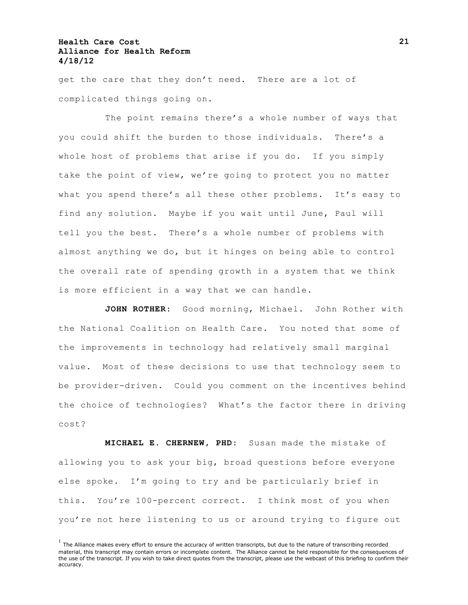get the care that they don't need. There are a lot of complicated things going on.

The point remains there's a whole number of ways that you could shift the burden to those individuals. There's a whole host of problems that arise if you do. If you simply take the point of view, we're going to protect you no matter what you spend there's all these other problems. It's easy to find any solution. Maybe if you wait until June, Paul will tell you the best. There's a whole number of problems with almost anything we do, but it hinges on being able to control the overall rate of spending growth in a system that we think is more efficient in a way that we can handle.

JOHN ROTHER: Good morning, Michael. John Rother with the National Coalition on Health Care. You noted that some of the improvements in technology had relatively small marginal value. Most of these decisions to use that technology seem to be provider-driven. Could you comment on the incentives behind the choice of technologies? What's the factor there in driving cost?

**MICHAEL E. CHERNEW, PHD:** Susan made the mistake of allowing you to ask your big, broad questions before everyone else spoke. I'm going to try and be particularly brief in this. You're 100-percent correct. I think most of you when you're not here listening to us or around trying to figure out

 $<sup>1</sup>$  The Alliance makes every effort to ensure the accuracy of written transcripts, but due to the nature of transcribing recorded</sup> material, this transcript may contain errors or incomplete content. The Alliance cannot be held responsible for the consequences of the use of the transcript. If you wish to take direct quotes from the transcript, please use the webcast of this briefing to confirm their accuracy.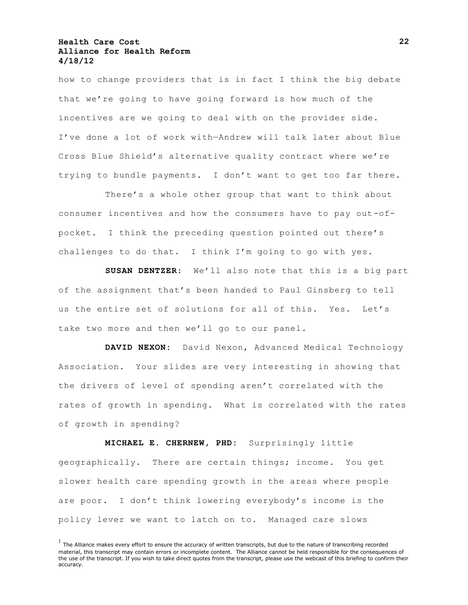how to change providers that is in fact I think the big debate that we're going to have going forward is how much of the incentives are we going to deal with on the provider side. I've done a lot of work with—Andrew will talk later about Blue Cross Blue Shield's alternative quality contract where we're trying to bundle payments. I don't want to get too far there.

There's a whole other group that want to think about consumer incentives and how the consumers have to pay out-ofpocket. I think the preceding question pointed out there's challenges to do that. I think I'm going to go with yes.

**SUSAN DENTZER:** We'll also note that this is a big part of the assignment that's been handed to Paul Ginsberg to tell us the entire set of solutions for all of this. Yes. Let's take two more and then we'll go to our panel.

**DAVID NEXON:** David Nexon, Advanced Medical Technology Association. Your slides are very interesting in showing that the drivers of level of spending aren't correlated with the rates of growth in spending. What is correlated with the rates of growth in spending?

**MICHAEL E. CHERNEW, PHD:** Surprisingly little geographically. There are certain things; income. You get slower health care spending growth in the areas where people are poor. I don't think lowering everybody's income is the policy lever we want to latch on to. Managed care slows

 $<sup>1</sup>$  The Alliance makes every effort to ensure the accuracy of written transcripts, but due to the nature of transcribing recorded</sup> material, this transcript may contain errors or incomplete content. The Alliance cannot be held responsible for the consequences of the use of the transcript. If you wish to take direct quotes from the transcript, please use the webcast of this briefing to confirm their accuracy.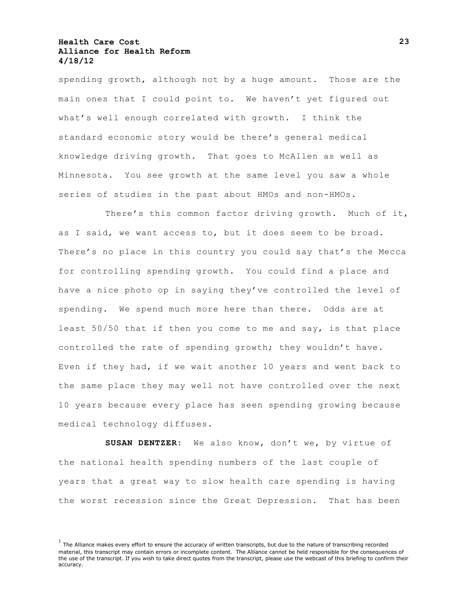spending growth, although not by a huge amount. Those are the main ones that I could point to. We haven't yet figured out what's well enough correlated with growth. I think the standard economic story would be there's general medical knowledge driving growth. That goes to McAllen as well as Minnesota. You see growth at the same level you saw a whole series of studies in the past about HMOs and non-HMOs.

There's this common factor driving growth. Much of it, as I said, we want access to, but it does seem to be broad. There's no place in this country you could say that's the Mecca for controlling spending growth. You could find a place and have a nice photo op in saying they've controlled the level of spending. We spend much more here than there. Odds are at least 50/50 that if then you come to me and say, is that place controlled the rate of spending growth; they wouldn't have. Even if they had, if we wait another 10 years and went back to the same place they may well not have controlled over the next 10 years because every place has seen spending growing because medical technology diffuses.

**SUSAN DENTZER:** We also know, don't we, by virtue of the national health spending numbers of the last couple of years that a great way to slow health care spending is having the worst recession since the Great Depression. That has been

 $<sup>1</sup>$  The Alliance makes every effort to ensure the accuracy of written transcripts, but due to the nature of transcribing recorded</sup> material, this transcript may contain errors or incomplete content. The Alliance cannot be held responsible for the consequences of the use of the transcript. If you wish to take direct quotes from the transcript, please use the webcast of this briefing to confirm their accuracy.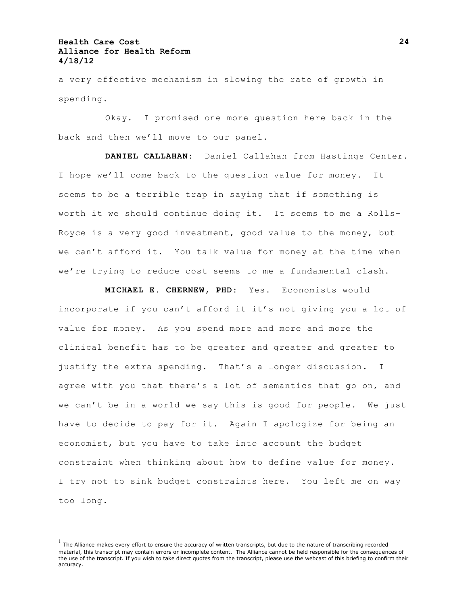a very effective mechanism in slowing the rate of growth in spending.

Okay. I promised one more question here back in the back and then we'll move to our panel.

**DANIEL CALLAHAN:** Daniel Callahan from Hastings Center. I hope we'll come back to the question value for money. It seems to be a terrible trap in saying that if something is worth it we should continue doing it. It seems to me a Rolls-Royce is a very good investment, good value to the money, but we can't afford it. You talk value for money at the time when we're trying to reduce cost seems to me a fundamental clash.

**MICHAEL E. CHERNEW, PHD:** Yes. Economists would incorporate if you can't afford it it's not giving you a lot of value for money. As you spend more and more and more the clinical benefit has to be greater and greater and greater to justify the extra spending. That's a longer discussion. I agree with you that there's a lot of semantics that go on, and we can't be in a world we say this is good for people. We just have to decide to pay for it. Again I apologize for being an economist, but you have to take into account the budget constraint when thinking about how to define value for money. I try not to sink budget constraints here. You left me on way too long.

 $<sup>1</sup>$  The Alliance makes every effort to ensure the accuracy of written transcripts, but due to the nature of transcribing recorded</sup> material, this transcript may contain errors or incomplete content. The Alliance cannot be held responsible for the consequences of the use of the transcript. If you wish to take direct quotes from the transcript, please use the webcast of this briefing to confirm their accuracy.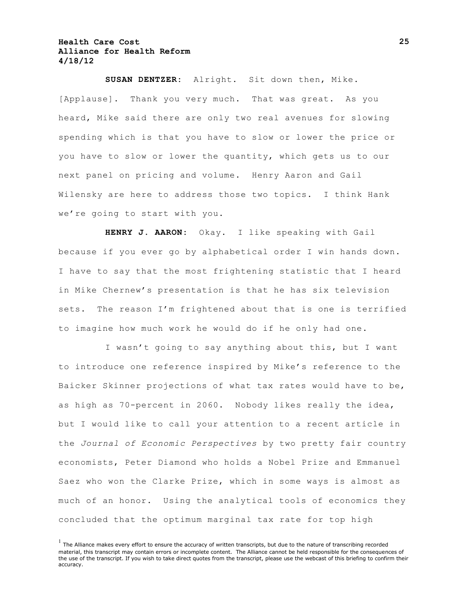**SUSAN DENTZER:** Alright. Sit down then, Mike. [Applause]. Thank you very much. That was great. As you heard, Mike said there are only two real avenues for slowing spending which is that you have to slow or lower the price or you have to slow or lower the quantity, which gets us to our next panel on pricing and volume. Henry Aaron and Gail Wilensky are here to address those two topics. I think Hank we're going to start with you.

**HENRY J. AARON:** Okay. I like speaking with Gail because if you ever go by alphabetical order I win hands down. I have to say that the most frightening statistic that I heard in Mike Chernew's presentation is that he has six television sets. The reason I'm frightened about that is one is terrified to imagine how much work he would do if he only had one.

I wasn't going to say anything about this, but I want to introduce one reference inspired by Mike's reference to the Baicker Skinner projections of what tax rates would have to be, as high as 70-percent in 2060. Nobody likes really the idea, but I would like to call your attention to a recent article in the *Journal of Economic Perspectives* by two pretty fair country economists, Peter Diamond who holds a Nobel Prize and Emmanuel Saez who won the Clarke Prize, which in some ways is almost as much of an honor. Using the analytical tools of economics they concluded that the optimum marginal tax rate for top high

**25**

 $<sup>1</sup>$  The Alliance makes every effort to ensure the accuracy of written transcripts, but due to the nature of transcribing recorded</sup> material, this transcript may contain errors or incomplete content. The Alliance cannot be held responsible for the consequences of the use of the transcript. If you wish to take direct quotes from the transcript, please use the webcast of this briefing to confirm their accuracy.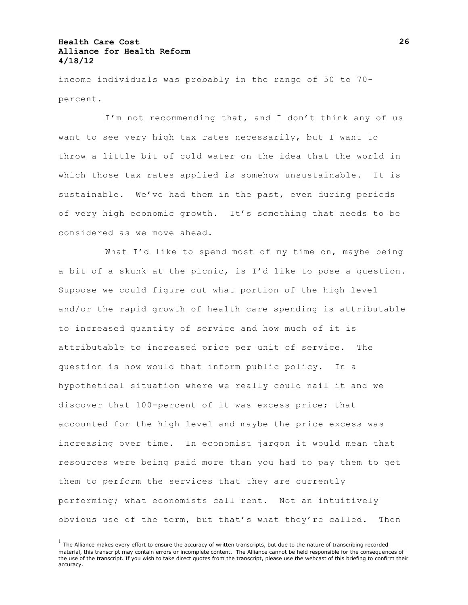income individuals was probably in the range of 50 to 70 percent.

I'm not recommending that, and I don't think any of us want to see very high tax rates necessarily, but I want to throw a little bit of cold water on the idea that the world in which those tax rates applied is somehow unsustainable. It is sustainable. We've had them in the past, even during periods of very high economic growth. It's something that needs to be considered as we move ahead.

What I'd like to spend most of my time on, maybe being a bit of a skunk at the picnic, is I'd like to pose a question. Suppose we could figure out what portion of the high level and/or the rapid growth of health care spending is attributable to increased quantity of service and how much of it is attributable to increased price per unit of service. The question is how would that inform public policy. In a hypothetical situation where we really could nail it and we discover that 100-percent of it was excess price; that accounted for the high level and maybe the price excess was increasing over time. In economist jargon it would mean that resources were being paid more than you had to pay them to get them to perform the services that they are currently performing; what economists call rent. Not an intuitively obvious use of the term, but that's what they're called. Then

 $<sup>1</sup>$  The Alliance makes every effort to ensure the accuracy of written transcripts, but due to the nature of transcribing recorded</sup> material, this transcript may contain errors or incomplete content. The Alliance cannot be held responsible for the consequences of the use of the transcript. If you wish to take direct quotes from the transcript, please use the webcast of this briefing to confirm their accuracy.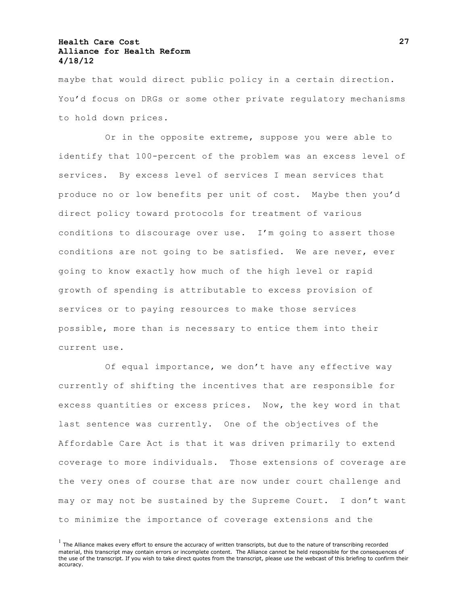maybe that would direct public policy in a certain direction. You'd focus on DRGs or some other private regulatory mechanisms to hold down prices.

Or in the opposite extreme, suppose you were able to identify that 100-percent of the problem was an excess level of services. By excess level of services I mean services that produce no or low benefits per unit of cost. Maybe then you'd direct policy toward protocols for treatment of various conditions to discourage over use. I'm going to assert those conditions are not going to be satisfied. We are never, ever going to know exactly how much of the high level or rapid growth of spending is attributable to excess provision of services or to paying resources to make those services possible, more than is necessary to entice them into their current use.

Of equal importance, we don't have any effective way currently of shifting the incentives that are responsible for excess quantities or excess prices. Now, the key word in that last sentence was currently. One of the objectives of the Affordable Care Act is that it was driven primarily to extend coverage to more individuals. Those extensions of coverage are the very ones of course that are now under court challenge and may or may not be sustained by the Supreme Court. I don't want to minimize the importance of coverage extensions and the

 $<sup>1</sup>$  The Alliance makes every effort to ensure the accuracy of written transcripts, but due to the nature of transcribing recorded</sup> material, this transcript may contain errors or incomplete content. The Alliance cannot be held responsible for the consequences of the use of the transcript. If you wish to take direct quotes from the transcript, please use the webcast of this briefing to confirm their accuracy.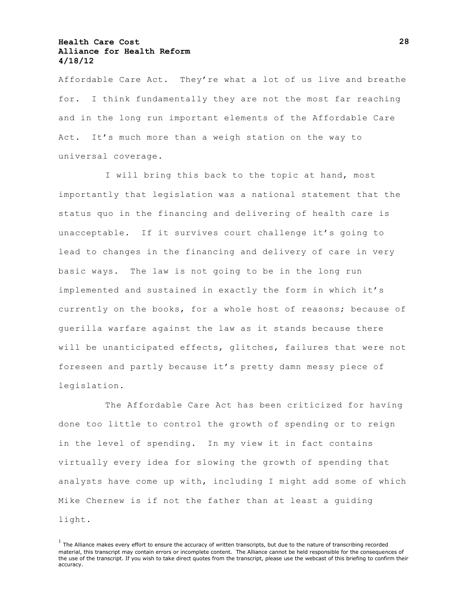Affordable Care Act. They're what a lot of us live and breathe for. I think fundamentally they are not the most far reaching and in the long run important elements of the Affordable Care Act. It's much more than a weigh station on the way to universal coverage.

I will bring this back to the topic at hand, most importantly that legislation was a national statement that the status quo in the financing and delivering of health care is unacceptable. If it survives court challenge it's going to lead to changes in the financing and delivery of care in very basic ways. The law is not going to be in the long run implemented and sustained in exactly the form in which it's currently on the books, for a whole host of reasons; because of guerilla warfare against the law as it stands because there will be unanticipated effects, glitches, failures that were not foreseen and partly because it's pretty damn messy piece of legislation.

The Affordable Care Act has been criticized for having done too little to control the growth of spending or to reign in the level of spending. In my view it in fact contains virtually every idea for slowing the growth of spending that analysts have come up with, including I might add some of which Mike Chernew is if not the father than at least a guiding light.

 $<sup>1</sup>$  The Alliance makes every effort to ensure the accuracy of written transcripts, but due to the nature of transcribing recorded</sup> material, this transcript may contain errors or incomplete content. The Alliance cannot be held responsible for the consequences of the use of the transcript. If you wish to take direct quotes from the transcript, please use the webcast of this briefing to confirm their accuracy.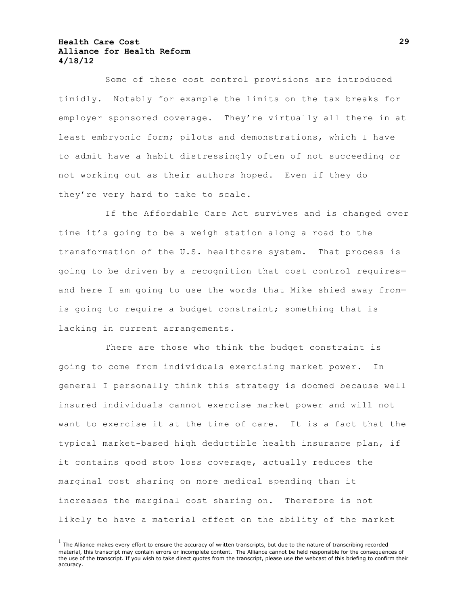Some of these cost control provisions are introduced timidly. Notably for example the limits on the tax breaks for employer sponsored coverage. They're virtually all there in at least embryonic form; pilots and demonstrations, which I have to admit have a habit distressingly often of not succeeding or not working out as their authors hoped. Even if they do they're very hard to take to scale.

If the Affordable Care Act survives and is changed over time it's going to be a weigh station along a road to the transformation of the U.S. healthcare system. That process is going to be driven by a recognition that cost control requires and here I am going to use the words that Mike shied away from is going to require a budget constraint; something that is lacking in current arrangements.

There are those who think the budget constraint is going to come from individuals exercising market power. In general I personally think this strategy is doomed because well insured individuals cannot exercise market power and will not want to exercise it at the time of care. It is a fact that the typical market-based high deductible health insurance plan, if it contains good stop loss coverage, actually reduces the marginal cost sharing on more medical spending than it increases the marginal cost sharing on. Therefore is not likely to have a material effect on the ability of the market

 $<sup>1</sup>$  The Alliance makes every effort to ensure the accuracy of written transcripts, but due to the nature of transcribing recorded</sup> material, this transcript may contain errors or incomplete content. The Alliance cannot be held responsible for the consequences of the use of the transcript. If you wish to take direct quotes from the transcript, please use the webcast of this briefing to confirm their accuracy.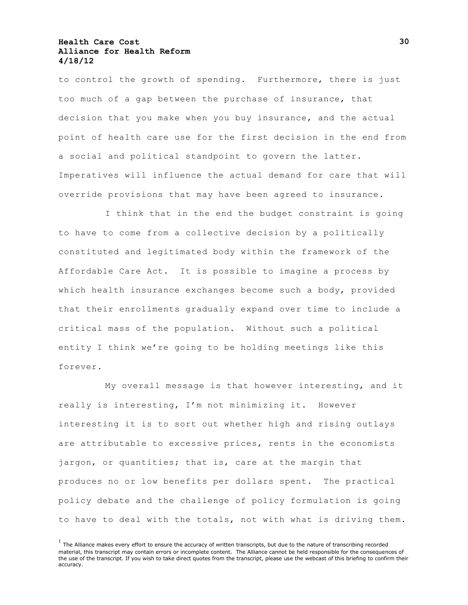to control the growth of spending. Furthermore, there is just too much of a gap between the purchase of insurance, that decision that you make when you buy insurance, and the actual point of health care use for the first decision in the end from a social and political standpoint to govern the latter. Imperatives will influence the actual demand for care that will override provisions that may have been agreed to insurance.

I think that in the end the budget constraint is going to have to come from a collective decision by a politically constituted and legitimated body within the framework of the Affordable Care Act. It is possible to imagine a process by which health insurance exchanges become such a body, provided that their enrollments gradually expand over time to include a critical mass of the population. Without such a political entity I think we're going to be holding meetings like this forever.

My overall message is that however interesting, and it really is interesting, I'm not minimizing it. However interesting it is to sort out whether high and rising outlays are attributable to excessive prices, rents in the economists jargon, or quantities; that is, care at the margin that produces no or low benefits per dollars spent. The practical policy debate and the challenge of policy formulation is going to have to deal with the totals, not with what is driving them.

 $<sup>1</sup>$  The Alliance makes every effort to ensure the accuracy of written transcripts, but due to the nature of transcribing recorded</sup> material, this transcript may contain errors or incomplete content. The Alliance cannot be held responsible for the consequences of the use of the transcript. If you wish to take direct quotes from the transcript, please use the webcast of this briefing to confirm their accuracy.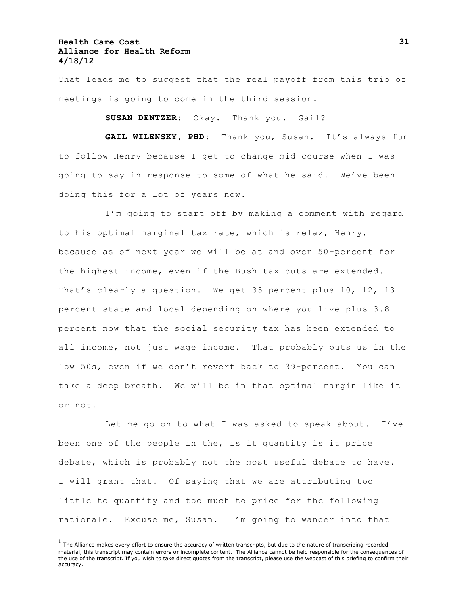That leads me to suggest that the real payoff from this trio of meetings is going to come in the third session.

**SUSAN DENTZER:** Okay. Thank you. Gail?

**GAIL WILENSKY, PHD:** Thank you, Susan. It's always fun to follow Henry because I get to change mid-course when I was going to say in response to some of what he said. We've been doing this for a lot of years now.

I'm going to start off by making a comment with regard to his optimal marginal tax rate, which is relax, Henry, because as of next year we will be at and over 50-percent for the highest income, even if the Bush tax cuts are extended. That's clearly a question. We get 35-percent plus 10, 12, 13 percent state and local depending on where you live plus 3.8 percent now that the social security tax has been extended to all income, not just wage income. That probably puts us in the low 50s, even if we don't revert back to 39-percent. You can take a deep breath. We will be in that optimal margin like it or not.

Let me go on to what I was asked to speak about. I've been one of the people in the, is it quantity is it price debate, which is probably not the most useful debate to have. I will grant that. Of saying that we are attributing too little to quantity and too much to price for the following rationale. Excuse me, Susan. I'm going to wander into that

 $<sup>1</sup>$  The Alliance makes every effort to ensure the accuracy of written transcripts, but due to the nature of transcribing recorded</sup> material, this transcript may contain errors or incomplete content. The Alliance cannot be held responsible for the consequences of the use of the transcript. If you wish to take direct quotes from the transcript, please use the webcast of this briefing to confirm their accuracy.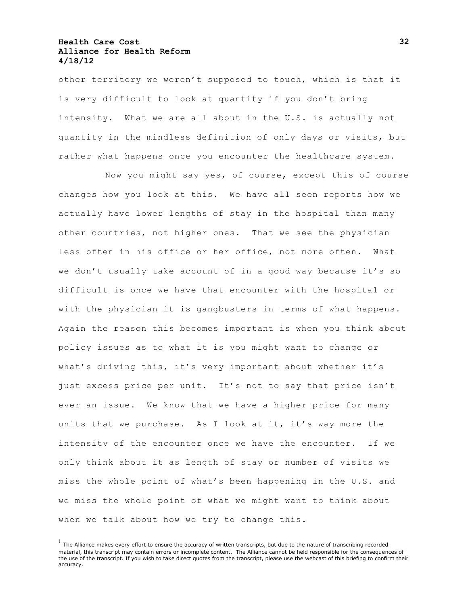other territory we weren't supposed to touch, which is that it is very difficult to look at quantity if you don't bring intensity. What we are all about in the U.S. is actually not quantity in the mindless definition of only days or visits, but rather what happens once you encounter the healthcare system.

Now you might say yes, of course, except this of course changes how you look at this. We have all seen reports how we actually have lower lengths of stay in the hospital than many other countries, not higher ones. That we see the physician less often in his office or her office, not more often. What we don't usually take account of in a good way because it's so difficult is once we have that encounter with the hospital or with the physician it is gangbusters in terms of what happens. Again the reason this becomes important is when you think about policy issues as to what it is you might want to change or what's driving this, it's very important about whether it's just excess price per unit. It's not to say that price isn't ever an issue. We know that we have a higher price for many units that we purchase. As I look at it, it's way more the intensity of the encounter once we have the encounter. If we only think about it as length of stay or number of visits we miss the whole point of what's been happening in the U.S. and we miss the whole point of what we might want to think about when we talk about how we try to change this.

 $<sup>1</sup>$  The Alliance makes every effort to ensure the accuracy of written transcripts, but due to the nature of transcribing recorded</sup> material, this transcript may contain errors or incomplete content. The Alliance cannot be held responsible for the consequences of the use of the transcript. If you wish to take direct quotes from the transcript, please use the webcast of this briefing to confirm their accuracy.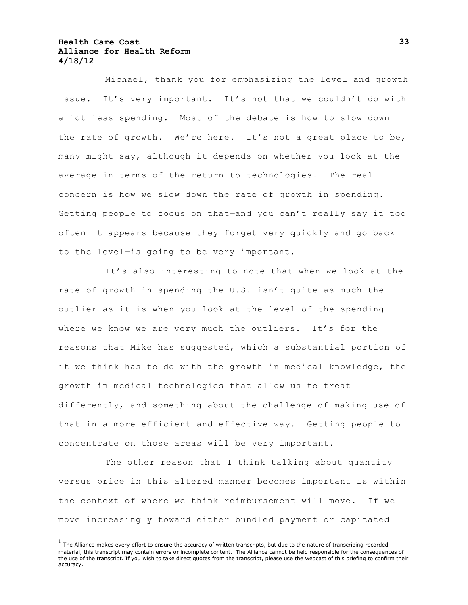Michael, thank you for emphasizing the level and growth issue. It's very important. It's not that we couldn't do with a lot less spending. Most of the debate is how to slow down the rate of growth. We're here. It's not a great place to be, many might say, although it depends on whether you look at the average in terms of the return to technologies. The real concern is how we slow down the rate of growth in spending. Getting people to focus on that—and you can't really say it too often it appears because they forget very quickly and go back to the level—is going to be very important.

It's also interesting to note that when we look at the rate of growth in spending the U.S. isn't quite as much the outlier as it is when you look at the level of the spending where we know we are very much the outliers. It's for the reasons that Mike has suggested, which a substantial portion of it we think has to do with the growth in medical knowledge, the growth in medical technologies that allow us to treat differently, and something about the challenge of making use of that in a more efficient and effective way. Getting people to concentrate on those areas will be very important.

The other reason that I think talking about quantity versus price in this altered manner becomes important is within the context of where we think reimbursement will move. If we move increasingly toward either bundled payment or capitated

 $<sup>1</sup>$  The Alliance makes every effort to ensure the accuracy of written transcripts, but due to the nature of transcribing recorded</sup> material, this transcript may contain errors or incomplete content. The Alliance cannot be held responsible for the consequences of the use of the transcript. If you wish to take direct quotes from the transcript, please use the webcast of this briefing to confirm their accuracy.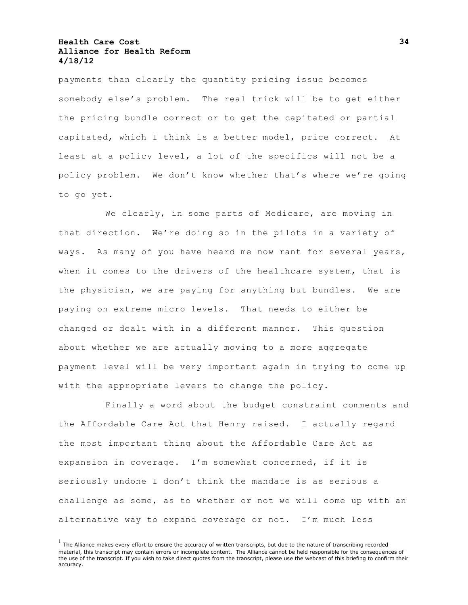payments than clearly the quantity pricing issue becomes somebody else's problem. The real trick will be to get either the pricing bundle correct or to get the capitated or partial capitated, which I think is a better model, price correct. At least at a policy level, a lot of the specifics will not be a policy problem. We don't know whether that's where we're going to go yet.

We clearly, in some parts of Medicare, are moving in that direction. We're doing so in the pilots in a variety of ways. As many of you have heard me now rant for several years, when it comes to the drivers of the healthcare system, that is the physician, we are paying for anything but bundles. We are paying on extreme micro levels. That needs to either be changed or dealt with in a different manner. This question about whether we are actually moving to a more aggregate payment level will be very important again in trying to come up with the appropriate levers to change the policy.

Finally a word about the budget constraint comments and the Affordable Care Act that Henry raised. I actually regard the most important thing about the Affordable Care Act as expansion in coverage. I'm somewhat concerned, if it is seriously undone I don't think the mandate is as serious a challenge as some, as to whether or not we will come up with an alternative way to expand coverage or not. I'm much less

 $<sup>1</sup>$  The Alliance makes every effort to ensure the accuracy of written transcripts, but due to the nature of transcribing recorded</sup> material, this transcript may contain errors or incomplete content. The Alliance cannot be held responsible for the consequences of the use of the transcript. If you wish to take direct quotes from the transcript, please use the webcast of this briefing to confirm their accuracy.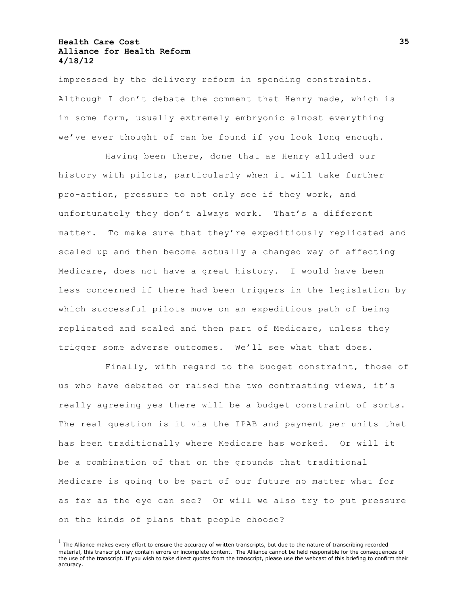impressed by the delivery reform in spending constraints. Although I don't debate the comment that Henry made, which is in some form, usually extremely embryonic almost everything we've ever thought of can be found if you look long enough.

Having been there, done that as Henry alluded our history with pilots, particularly when it will take further pro-action, pressure to not only see if they work, and unfortunately they don't always work. That's a different matter. To make sure that they're expeditiously replicated and scaled up and then become actually a changed way of affecting Medicare, does not have a great history. I would have been less concerned if there had been triggers in the legislation by which successful pilots move on an expeditious path of being replicated and scaled and then part of Medicare, unless they trigger some adverse outcomes. We'll see what that does.

Finally, with regard to the budget constraint, those of us who have debated or raised the two contrasting views, it's really agreeing yes there will be a budget constraint of sorts. The real question is it via the IPAB and payment per units that has been traditionally where Medicare has worked. Or will it be a combination of that on the grounds that traditional Medicare is going to be part of our future no matter what for as far as the eye can see? Or will we also try to put pressure on the kinds of plans that people choose?

 $<sup>1</sup>$  The Alliance makes every effort to ensure the accuracy of written transcripts, but due to the nature of transcribing recorded</sup> material, this transcript may contain errors or incomplete content. The Alliance cannot be held responsible for the consequences of the use of the transcript. If you wish to take direct quotes from the transcript, please use the webcast of this briefing to confirm their accuracy.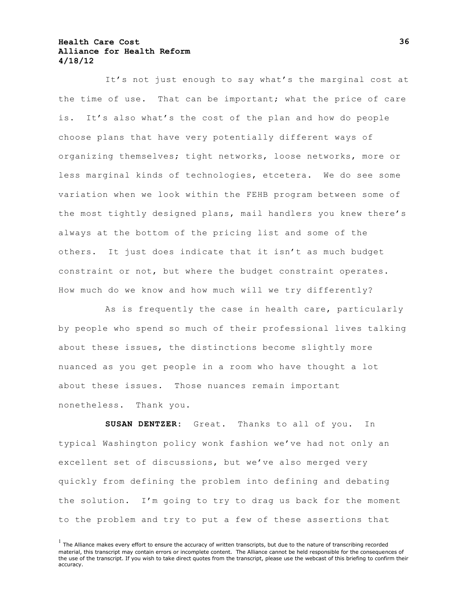It's not just enough to say what's the marginal cost at the time of use. That can be important; what the price of care is. It's also what's the cost of the plan and how do people choose plans that have very potentially different ways of organizing themselves; tight networks, loose networks, more or less marginal kinds of technologies, etcetera. We do see some variation when we look within the FEHB program between some of the most tightly designed plans, mail handlers you knew there's always at the bottom of the pricing list and some of the others. It just does indicate that it isn't as much budget constraint or not, but where the budget constraint operates. How much do we know and how much will we try differently?

As is frequently the case in health care, particularly by people who spend so much of their professional lives talking about these issues, the distinctions become slightly more nuanced as you get people in a room who have thought a lot about these issues. Those nuances remain important nonetheless. Thank you.

**SUSAN DENTZER:** Great. Thanks to all of you. In typical Washington policy wonk fashion we've had not only an excellent set of discussions, but we've also merged very quickly from defining the problem into defining and debating the solution. I'm going to try to drag us back for the moment to the problem and try to put a few of these assertions that

 $<sup>1</sup>$  The Alliance makes every effort to ensure the accuracy of written transcripts, but due to the nature of transcribing recorded</sup> material, this transcript may contain errors or incomplete content. The Alliance cannot be held responsible for the consequences of the use of the transcript. If you wish to take direct quotes from the transcript, please use the webcast of this briefing to confirm their accuracy.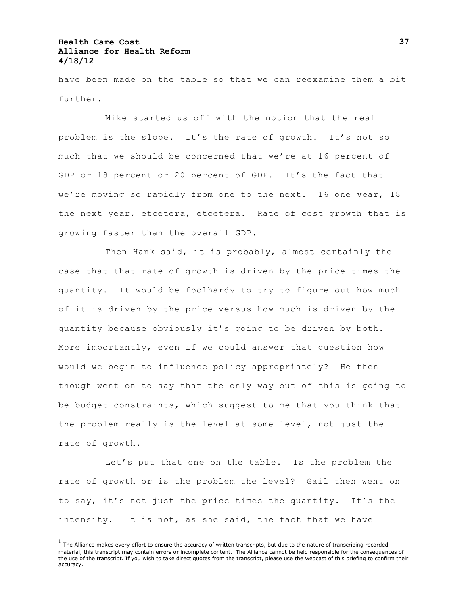have been made on the table so that we can reexamine them a bit further.

Mike started us off with the notion that the real problem is the slope. It's the rate of growth. It's not so much that we should be concerned that we're at 16-percent of GDP or 18-percent or 20-percent of GDP. It's the fact that we're moving so rapidly from one to the next. 16 one year, 18 the next year, etcetera, etcetera. Rate of cost growth that is growing faster than the overall GDP.

Then Hank said, it is probably, almost certainly the case that that rate of growth is driven by the price times the quantity. It would be foolhardy to try to figure out how much of it is driven by the price versus how much is driven by the quantity because obviously it's going to be driven by both. More importantly, even if we could answer that question how would we begin to influence policy appropriately? He then though went on to say that the only way out of this is going to be budget constraints, which suggest to me that you think that the problem really is the level at some level, not just the rate of growth.

Let's put that one on the table. Is the problem the rate of growth or is the problem the level? Gail then went on to say, it's not just the price times the quantity. It's the intensity. It is not, as she said, the fact that we have

 $<sup>1</sup>$  The Alliance makes every effort to ensure the accuracy of written transcripts, but due to the nature of transcribing recorded</sup> material, this transcript may contain errors or incomplete content. The Alliance cannot be held responsible for the consequences of the use of the transcript. If you wish to take direct quotes from the transcript, please use the webcast of this briefing to confirm their accuracy.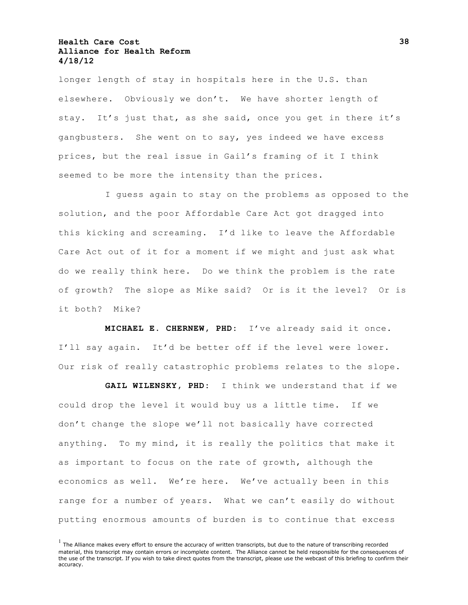longer length of stay in hospitals here in the U.S. than elsewhere. Obviously we don't. We have shorter length of stay. It's just that, as she said, once you get in there it's gangbusters. She went on to say, yes indeed we have excess prices, but the real issue in Gail's framing of it I think seemed to be more the intensity than the prices.

I guess again to stay on the problems as opposed to the solution, and the poor Affordable Care Act got dragged into this kicking and screaming. I'd like to leave the Affordable Care Act out of it for a moment if we might and just ask what do we really think here. Do we think the problem is the rate of growth? The slope as Mike said? Or is it the level? Or is it both? Mike?

**MICHAEL E. CHERNEW, PHD:** I've already said it once. I'll say again. It'd be better off if the level were lower. Our risk of really catastrophic problems relates to the slope.

**GAIL WILENSKY, PHD:** I think we understand that if we could drop the level it would buy us a little time. If we don't change the slope we'll not basically have corrected anything. To my mind, it is really the politics that make it as important to focus on the rate of growth, although the economics as well. We're here. We've actually been in this range for a number of years. What we can't easily do without putting enormous amounts of burden is to continue that excess

 $<sup>1</sup>$  The Alliance makes every effort to ensure the accuracy of written transcripts, but due to the nature of transcribing recorded</sup> material, this transcript may contain errors or incomplete content. The Alliance cannot be held responsible for the consequences of the use of the transcript. If you wish to take direct quotes from the transcript, please use the webcast of this briefing to confirm their accuracy.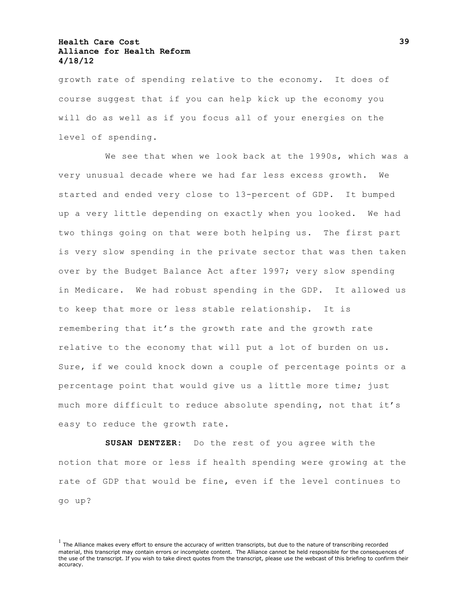growth rate of spending relative to the economy. It does of course suggest that if you can help kick up the economy you will do as well as if you focus all of your energies on the level of spending.

We see that when we look back at the 1990s, which was a very unusual decade where we had far less excess growth. We started and ended very close to 13-percent of GDP. It bumped up a very little depending on exactly when you looked. We had two things going on that were both helping us. The first part is very slow spending in the private sector that was then taken over by the Budget Balance Act after 1997; very slow spending in Medicare. We had robust spending in the GDP. It allowed us to keep that more or less stable relationship. It is remembering that it's the growth rate and the growth rate relative to the economy that will put a lot of burden on us. Sure, if we could knock down a couple of percentage points or a percentage point that would give us a little more time; just much more difficult to reduce absolute spending, not that it's easy to reduce the growth rate.

**SUSAN DENTZER:** Do the rest of you agree with the notion that more or less if health spending were growing at the rate of GDP that would be fine, even if the level continues to go up?

 $<sup>1</sup>$  The Alliance makes every effort to ensure the accuracy of written transcripts, but due to the nature of transcribing recorded</sup> material, this transcript may contain errors or incomplete content. The Alliance cannot be held responsible for the consequences of the use of the transcript. If you wish to take direct quotes from the transcript, please use the webcast of this briefing to confirm their accuracy.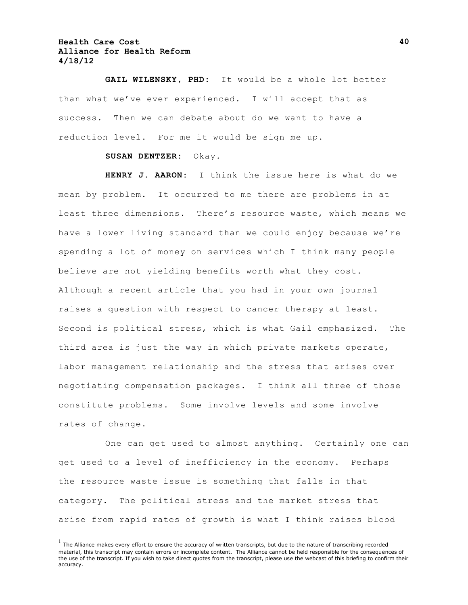**GAIL WILENSKY, PHD:** It would be a whole lot better than what we've ever experienced. I will accept that as success. Then we can debate about do we want to have a reduction level. For me it would be sign me up.

#### **SUSAN DENTZER:** Okay.

**HENRY J. AARON:** I think the issue here is what do we mean by problem. It occurred to me there are problems in at least three dimensions. There's resource waste, which means we have a lower living standard than we could enjoy because we're spending a lot of money on services which I think many people believe are not yielding benefits worth what they cost. Although a recent article that you had in your own journal raises a question with respect to cancer therapy at least. Second is political stress, which is what Gail emphasized. The third area is just the way in which private markets operate, labor management relationship and the stress that arises over negotiating compensation packages. I think all three of those constitute problems. Some involve levels and some involve rates of change.

One can get used to almost anything. Certainly one can get used to a level of inefficiency in the economy. Perhaps the resource waste issue is something that falls in that category. The political stress and the market stress that arise from rapid rates of growth is what I think raises blood

 $<sup>1</sup>$  The Alliance makes every effort to ensure the accuracy of written transcripts, but due to the nature of transcribing recorded</sup> material, this transcript may contain errors or incomplete content. The Alliance cannot be held responsible for the consequences of the use of the transcript. If you wish to take direct quotes from the transcript, please use the webcast of this briefing to confirm their accuracy.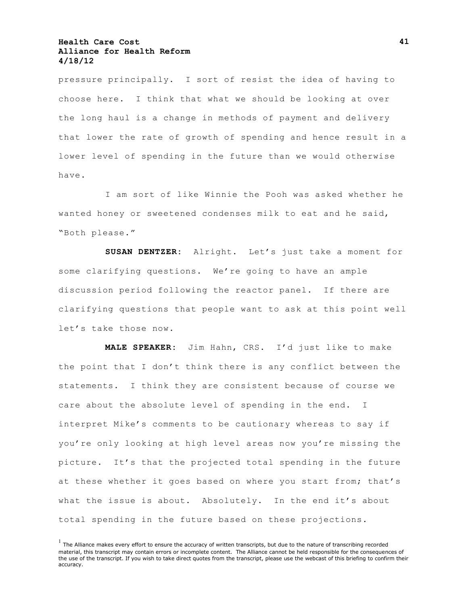pressure principally. I sort of resist the idea of having to choose here. I think that what we should be looking at over the long haul is a change in methods of payment and delivery that lower the rate of growth of spending and hence result in a lower level of spending in the future than we would otherwise have.

I am sort of like Winnie the Pooh was asked whether he wanted honey or sweetened condenses milk to eat and he said, "Both please."

**SUSAN DENTZER:** Alright. Let's just take a moment for some clarifying questions. We're going to have an ample discussion period following the reactor panel. If there are clarifying questions that people want to ask at this point well let's take those now.

**MALE SPEAKER:** Jim Hahn, CRS. I'd just like to make the point that I don't think there is any conflict between the statements. I think they are consistent because of course we care about the absolute level of spending in the end. I interpret Mike's comments to be cautionary whereas to say if you're only looking at high level areas now you're missing the picture. It's that the projected total spending in the future at these whether it goes based on where you start from; that's what the issue is about. Absolutely. In the end it's about total spending in the future based on these projections.

 $<sup>1</sup>$  The Alliance makes every effort to ensure the accuracy of written transcripts, but due to the nature of transcribing recorded</sup> material, this transcript may contain errors or incomplete content. The Alliance cannot be held responsible for the consequences of the use of the transcript. If you wish to take direct quotes from the transcript, please use the webcast of this briefing to confirm their accuracy.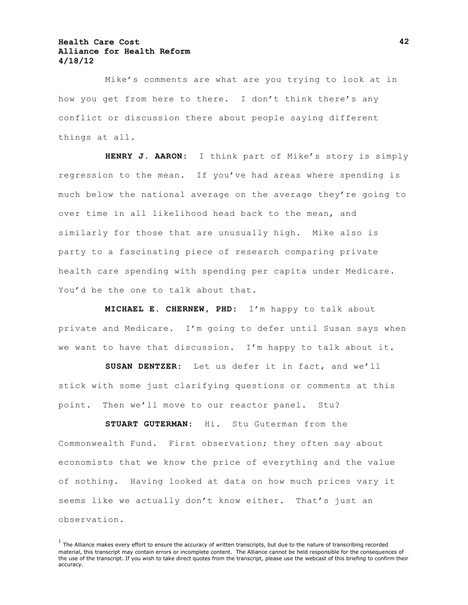Mike's comments are what are you trying to look at in how you get from here to there. I don't think there's any conflict or discussion there about people saying different things at all.

**HENRY J. AARON:** I think part of Mike's story is simply regression to the mean. If you've had areas where spending is much below the national average on the average they're going to over time in all likelihood head back to the mean, and similarly for those that are unusually high. Mike also is party to a fascinating piece of research comparing private health care spending with spending per capita under Medicare. You'd be the one to talk about that.

**MICHAEL E. CHERNEW, PHD:** I'm happy to talk about private and Medicare. I'm going to defer until Susan says when we want to have that discussion. I'm happy to talk about it.

**SUSAN DENTZER:** Let us defer it in fact, and we'll stick with some just clarifying questions or comments at this point. Then we'll move to our reactor panel. Stu?

**STUART GUTERMAN:** Hi. Stu Guterman from the Commonwealth Fund. First observation; they often say about economists that we know the price of everything and the value of nothing. Having looked at data on how much prices vary it seems like we actually don't know either. That's just an observation.

 $<sup>1</sup>$  The Alliance makes every effort to ensure the accuracy of written transcripts, but due to the nature of transcribing recorded</sup> material, this transcript may contain errors or incomplete content. The Alliance cannot be held responsible for the consequences of the use of the transcript. If you wish to take direct quotes from the transcript, please use the webcast of this briefing to confirm their accuracy.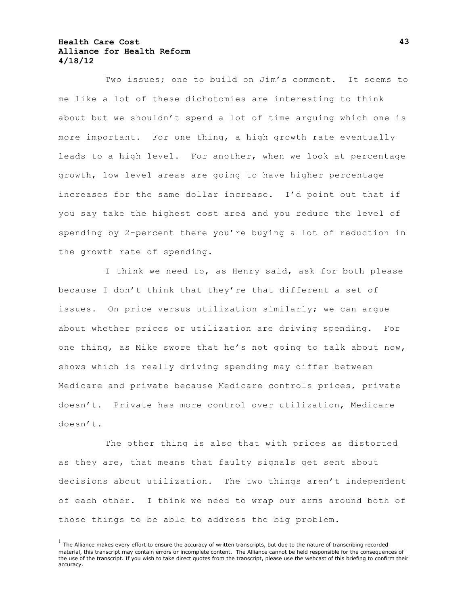Two issues; one to build on Jim's comment. It seems to me like a lot of these dichotomies are interesting to think about but we shouldn't spend a lot of time arguing which one is more important. For one thing, a high growth rate eventually leads to a high level. For another, when we look at percentage growth, low level areas are going to have higher percentage increases for the same dollar increase. I'd point out that if you say take the highest cost area and you reduce the level of spending by 2-percent there you're buying a lot of reduction in the growth rate of spending.

I think we need to, as Henry said, ask for both please because I don't think that they're that different a set of issues. On price versus utilization similarly; we can argue about whether prices or utilization are driving spending. For one thing, as Mike swore that he's not going to talk about now, shows which is really driving spending may differ between Medicare and private because Medicare controls prices, private doesn't. Private has more control over utilization, Medicare doesn't.

The other thing is also that with prices as distorted as they are, that means that faulty signals get sent about decisions about utilization. The two things aren't independent of each other. I think we need to wrap our arms around both of those things to be able to address the big problem.

 $<sup>1</sup>$  The Alliance makes every effort to ensure the accuracy of written transcripts, but due to the nature of transcribing recorded</sup> material, this transcript may contain errors or incomplete content. The Alliance cannot be held responsible for the consequences of the use of the transcript. If you wish to take direct quotes from the transcript, please use the webcast of this briefing to confirm their accuracy.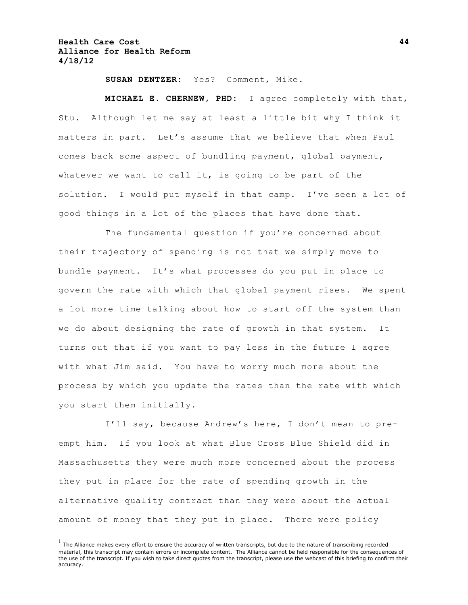**SUSAN DENTZER:** Yes? Comment, Mike.

**MICHAEL E. CHERNEW, PHD:** I agree completely with that, Stu. Although let me say at least a little bit why I think it matters in part. Let's assume that we believe that when Paul comes back some aspect of bundling payment, global payment, whatever we want to call it, is going to be part of the solution. I would put myself in that camp. I've seen a lot of good things in a lot of the places that have done that.

The fundamental question if you're concerned about their trajectory of spending is not that we simply move to bundle payment. It's what processes do you put in place to govern the rate with which that global payment rises. We spent a lot more time talking about how to start off the system than we do about designing the rate of growth in that system. It turns out that if you want to pay less in the future I agree with what Jim said. You have to worry much more about the process by which you update the rates than the rate with which you start them initially.

I'll say, because Andrew's here, I don't mean to preempt him. If you look at what Blue Cross Blue Shield did in Massachusetts they were much more concerned about the process they put in place for the rate of spending growth in the alternative quality contract than they were about the actual amount of money that they put in place. There were policy

 $<sup>1</sup>$  The Alliance makes every effort to ensure the accuracy of written transcripts, but due to the nature of transcribing recorded</sup> material, this transcript may contain errors or incomplete content. The Alliance cannot be held responsible for the consequences of the use of the transcript. If you wish to take direct quotes from the transcript, please use the webcast of this briefing to confirm their accuracy.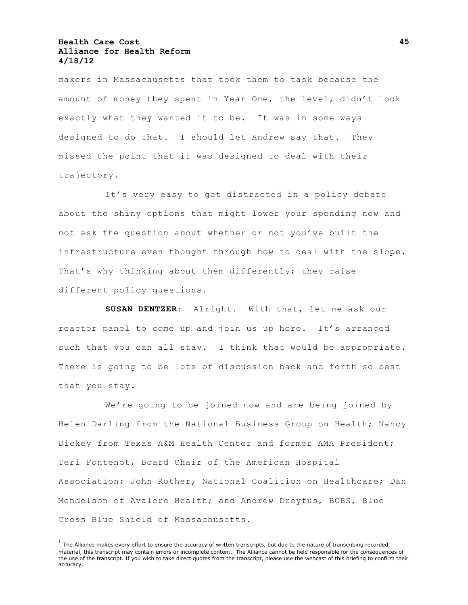makers in Massachusetts that took them to task because the amount of money they spent in Year One, the level, didn't look exactly what they wanted it to be. It was in some ways designed to do that. I should let Andrew say that. They missed the point that it was designed to deal with their trajectory.

It's very easy to get distracted in a policy debate about the shiny options that might lower your spending now and not ask the question about whether or not you've built the infrastructure even thought through how to deal with the slope. That's why thinking about them differently; they raise different policy questions.

**SUSAN DENTZER:** Alright. With that, let me ask our reactor panel to come up and join us up here. It's arranged such that you can all stay. I think that would be appropriate. There is going to be lots of discussion back and forth so best that you stay.

We're going to be joined now and are being joined by Helen Darling from the National Business Group on Health; Nancy Dickey from Texas A&M Health Center and former AMA President; Teri Fontenot, Board Chair of the American Hospital Association; John Rother, National Coalition on Healthcare; Dan Mendelson of Avalere Health; and Andrew Dreyfus, BCBS, Blue Cross Blue Shield of Massachusetts.

 $<sup>1</sup>$  The Alliance makes every effort to ensure the accuracy of written transcripts, but due to the nature of transcribing recorded</sup> material, this transcript may contain errors or incomplete content. The Alliance cannot be held responsible for the consequences of the use of the transcript. If you wish to take direct quotes from the transcript, please use the webcast of this briefing to confirm their accuracy.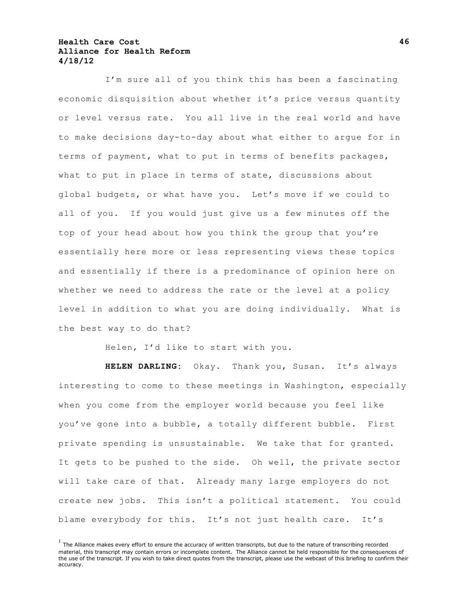I'm sure all of you think this has been a fascinating economic disquisition about whether it's price versus quantity or level versus rate. You all live in the real world and have to make decisions day-to-day about what either to argue for in terms of payment, what to put in terms of benefits packages, what to put in place in terms of state, discussions about global budgets, or what have you. Let's move if we could to all of you. If you would just give us a few minutes off the top of your head about how you think the group that you're essentially here more or less representing views these topics and essentially if there is a predominance of opinion here on whether we need to address the rate or the level at a policy level in addition to what you are doing individually. What is the best way to do that?

Helen, I'd like to start with you.

**HELEN DARLING:** Okay. Thank you, Susan. It's always interesting to come to these meetings in Washington, especially when you come from the employer world because you feel like you've gone into a bubble, a totally different bubble. First private spending is unsustainable. We take that for granted. It gets to be pushed to the side. Oh well, the private sector will take care of that. Already many large employers do not create new jobs. This isn't a political statement. You could blame everybody for this. It's not just health care. It's

 $<sup>1</sup>$  The Alliance makes every effort to ensure the accuracy of written transcripts, but due to the nature of transcribing recorded</sup> material, this transcript may contain errors or incomplete content. The Alliance cannot be held responsible for the consequences of the use of the transcript. If you wish to take direct quotes from the transcript, please use the webcast of this briefing to confirm their accuracy.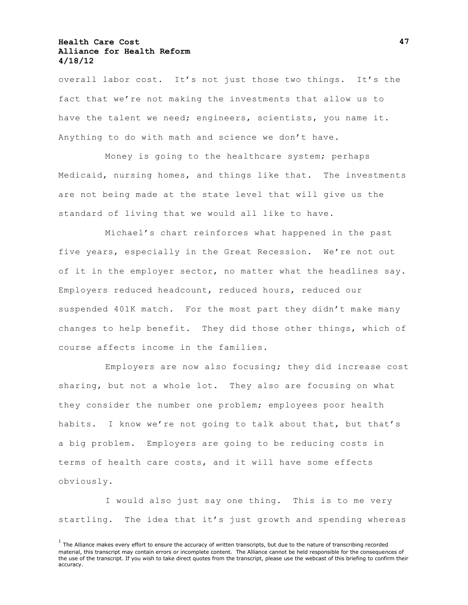overall labor cost. It's not just those two things. It's the fact that we're not making the investments that allow us to have the talent we need; engineers, scientists, you name it. Anything to do with math and science we don't have.

Money is going to the healthcare system; perhaps Medicaid, nursing homes, and things like that. The investments are not being made at the state level that will give us the standard of living that we would all like to have.

Michael's chart reinforces what happened in the past five years, especially in the Great Recession. We're not out of it in the employer sector, no matter what the headlines say. Employers reduced headcount, reduced hours, reduced our suspended 401K match. For the most part they didn't make many changes to help benefit. They did those other things, which of course affects income in the families.

Employers are now also focusing; they did increase cost sharing, but not a whole lot. They also are focusing on what they consider the number one problem; employees poor health habits. I know we're not going to talk about that, but that's a big problem. Employers are going to be reducing costs in terms of health care costs, and it will have some effects obviously.

I would also just say one thing. This is to me very startling. The idea that it's just growth and spending whereas

 $<sup>1</sup>$  The Alliance makes every effort to ensure the accuracy of written transcripts, but due to the nature of transcribing recorded</sup> material, this transcript may contain errors or incomplete content. The Alliance cannot be held responsible for the consequences of the use of the transcript. If you wish to take direct quotes from the transcript, please use the webcast of this briefing to confirm their accuracy.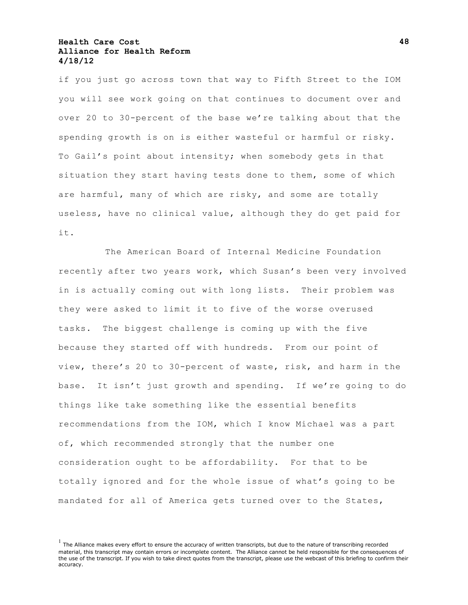if you just go across town that way to Fifth Street to the IOM you will see work going on that continues to document over and over 20 to 30-percent of the base we're talking about that the spending growth is on is either wasteful or harmful or risky. To Gail's point about intensity; when somebody gets in that situation they start having tests done to them, some of which are harmful, many of which are risky, and some are totally useless, have no clinical value, although they do get paid for it.

The American Board of Internal Medicine Foundation recently after two years work, which Susan's been very involved in is actually coming out with long lists. Their problem was they were asked to limit it to five of the worse overused tasks. The biggest challenge is coming up with the five because they started off with hundreds. From our point of view, there's 20 to 30-percent of waste, risk, and harm in the base. It isn't just growth and spending. If we're going to do things like take something like the essential benefits recommendations from the IOM, which I know Michael was a part of, which recommended strongly that the number one consideration ought to be affordability. For that to be totally ignored and for the whole issue of what's going to be mandated for all of America gets turned over to the States,

 $<sup>1</sup>$  The Alliance makes every effort to ensure the accuracy of written transcripts, but due to the nature of transcribing recorded</sup> material, this transcript may contain errors or incomplete content. The Alliance cannot be held responsible for the consequences of the use of the transcript. If you wish to take direct quotes from the transcript, please use the webcast of this briefing to confirm their accuracy.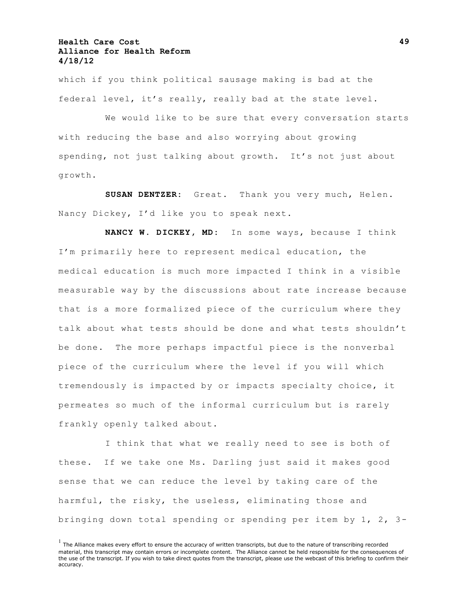which if you think political sausage making is bad at the federal level, it's really, really bad at the state level.

We would like to be sure that every conversation starts with reducing the base and also worrying about growing spending, not just talking about growth. It's not just about growth.

**SUSAN DENTZER:** Great. Thank you very much, Helen. Nancy Dickey, I'd like you to speak next.

**NANCY W. DICKEY, MD:** In some ways, because I think I'm primarily here to represent medical education, the medical education is much more impacted I think in a visible measurable way by the discussions about rate increase because that is a more formalized piece of the curriculum where they talk about what tests should be done and what tests shouldn't be done. The more perhaps impactful piece is the nonverbal piece of the curriculum where the level if you will which tremendously is impacted by or impacts specialty choice, it permeates so much of the informal curriculum but is rarely frankly openly talked about.

I think that what we really need to see is both of these. If we take one Ms. Darling just said it makes good sense that we can reduce the level by taking care of the harmful, the risky, the useless, eliminating those and bringing down total spending or spending per item by 1, 2, 3-

 $<sup>1</sup>$  The Alliance makes every effort to ensure the accuracy of written transcripts, but due to the nature of transcribing recorded</sup> material, this transcript may contain errors or incomplete content. The Alliance cannot be held responsible for the consequences of the use of the transcript. If you wish to take direct quotes from the transcript, please use the webcast of this briefing to confirm their accuracy.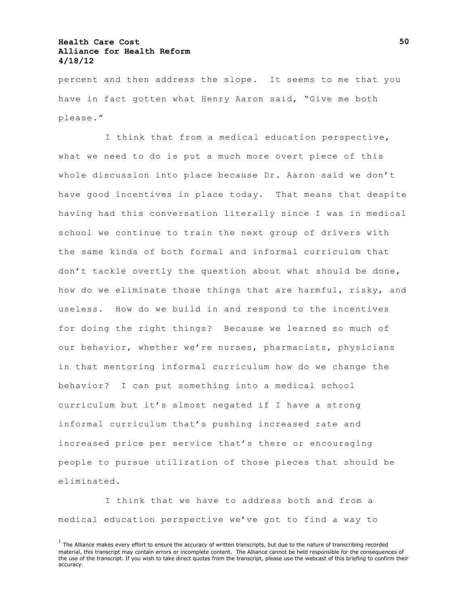percent and then address the slope. It seems to me that you have in fact gotten what Henry Aaron said, "Give me both please."

I think that from a medical education perspective, what we need to do is put a much more overt piece of this whole discussion into place because Dr. Aaron said we don't have good incentives in place today. That means that despite having had this conversation literally since I was in medical school we continue to train the next group of drivers with the same kinds of both formal and informal curriculum that don't tackle overtly the question about what should be done, how do we eliminate those things that are harmful, risky, and useless. How do we build in and respond to the incentives for doing the right things? Because we learned so much of our behavior, whether we're nurses, pharmacists, physicians in that mentoring informal curriculum how do we change the behavior? I can put something into a medical school curriculum but it's almost negated if I have a strong informal curriculum that's pushing increased rate and increased price per service that's there or encouraging people to pursue utilization of those pieces that should be eliminated.

I think that we have to address both and from a medical education perspective we've got to find a way to

 $<sup>1</sup>$  The Alliance makes every effort to ensure the accuracy of written transcripts, but due to the nature of transcribing recorded</sup> material, this transcript may contain errors or incomplete content. The Alliance cannot be held responsible for the consequences of the use of the transcript. If you wish to take direct quotes from the transcript, please use the webcast of this briefing to confirm their accuracy.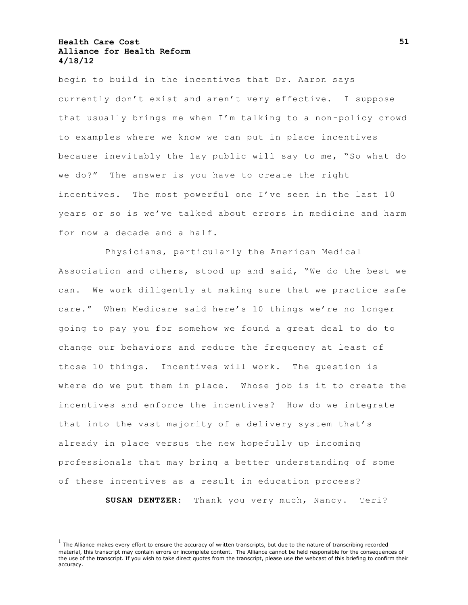begin to build in the incentives that Dr. Aaron says currently don't exist and aren't very effective. I suppose that usually brings me when I'm talking to a non-policy crowd to examples where we know we can put in place incentives because inevitably the lay public will say to me, "So what do we do?" The answer is you have to create the right incentives. The most powerful one I've seen in the last 10 years or so is we've talked about errors in medicine and harm for now a decade and a half.

Physicians, particularly the American Medical Association and others, stood up and said, "We do the best we can. We work diligently at making sure that we practice safe care." When Medicare said here's 10 things we're no longer going to pay you for somehow we found a great deal to do to change our behaviors and reduce the frequency at least of those 10 things. Incentives will work. The question is where do we put them in place. Whose job is it to create the incentives and enforce the incentives? How do we integrate that into the vast majority of a delivery system that's already in place versus the new hopefully up incoming professionals that may bring a better understanding of some of these incentives as a result in education process?

**SUSAN DENTZER:** Thank you very much, Nancy. Teri?

 $<sup>1</sup>$  The Alliance makes every effort to ensure the accuracy of written transcripts, but due to the nature of transcribing recorded</sup> material, this transcript may contain errors or incomplete content. The Alliance cannot be held responsible for the consequences of the use of the transcript. If you wish to take direct quotes from the transcript, please use the webcast of this briefing to confirm their accuracy.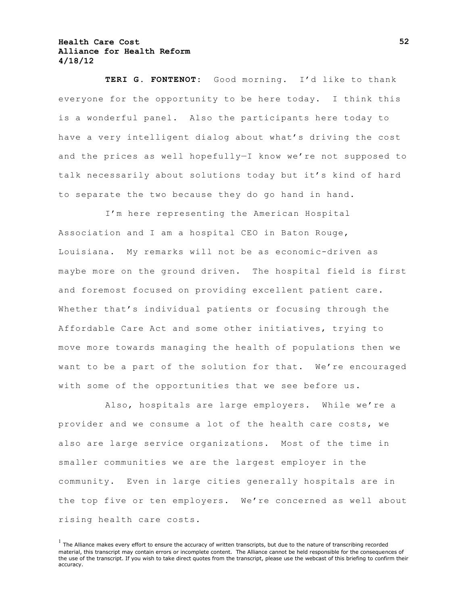**TERI G. FONTENOT:** Good morning. I'd like to thank everyone for the opportunity to be here today. I think this is a wonderful panel. Also the participants here today to have a very intelligent dialog about what's driving the cost and the prices as well hopefully—I know we're not supposed to talk necessarily about solutions today but it's kind of hard to separate the two because they do go hand in hand.

I'm here representing the American Hospital Association and I am a hospital CEO in Baton Rouge, Louisiana. My remarks will not be as economic-driven as maybe more on the ground driven. The hospital field is first and foremost focused on providing excellent patient care. Whether that's individual patients or focusing through the Affordable Care Act and some other initiatives, trying to move more towards managing the health of populations then we want to be a part of the solution for that. We're encouraged with some of the opportunities that we see before us.

Also, hospitals are large employers. While we're a provider and we consume a lot of the health care costs, we also are large service organizations. Most of the time in smaller communities we are the largest employer in the community. Even in large cities generally hospitals are in the top five or ten employers. We're concerned as well about rising health care costs.

 $<sup>1</sup>$  The Alliance makes every effort to ensure the accuracy of written transcripts, but due to the nature of transcribing recorded</sup> material, this transcript may contain errors or incomplete content. The Alliance cannot be held responsible for the consequences of the use of the transcript. If you wish to take direct quotes from the transcript, please use the webcast of this briefing to confirm their accuracy.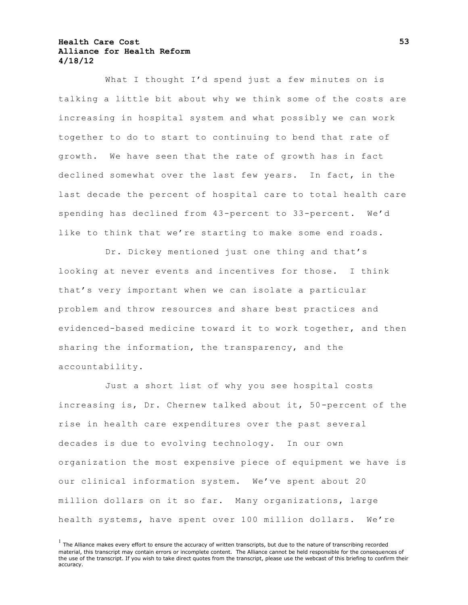What I thought I'd spend just a few minutes on is talking a little bit about why we think some of the costs are increasing in hospital system and what possibly we can work together to do to start to continuing to bend that rate of growth. We have seen that the rate of growth has in fact declined somewhat over the last few years. In fact, in the last decade the percent of hospital care to total health care spending has declined from 43-percent to 33-percent. We'd like to think that we're starting to make some end roads.

Dr. Dickey mentioned just one thing and that's looking at never events and incentives for those. I think that's very important when we can isolate a particular problem and throw resources and share best practices and evidenced-based medicine toward it to work together, and then sharing the information, the transparency, and the accountability.

Just a short list of why you see hospital costs increasing is, Dr. Chernew talked about it, 50-percent of the rise in health care expenditures over the past several decades is due to evolving technology. In our own organization the most expensive piece of equipment we have is our clinical information system. We've spent about 20 million dollars on it so far. Many organizations, large health systems, have spent over 100 million dollars. We're

 $<sup>1</sup>$  The Alliance makes every effort to ensure the accuracy of written transcripts, but due to the nature of transcribing recorded</sup> material, this transcript may contain errors or incomplete content. The Alliance cannot be held responsible for the consequences of the use of the transcript. If you wish to take direct quotes from the transcript, please use the webcast of this briefing to confirm their accuracy.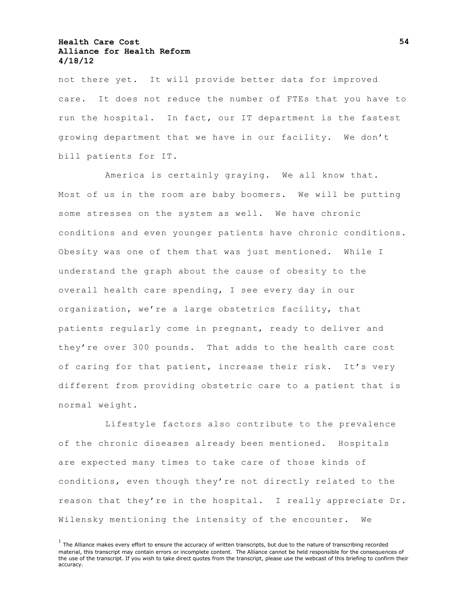not there yet. It will provide better data for improved care. It does not reduce the number of FTEs that you have to run the hospital. In fact, our IT department is the fastest growing department that we have in our facility. We don't bill patients for IT.

America is certainly graying. We all know that. Most of us in the room are baby boomers. We will be putting some stresses on the system as well. We have chronic conditions and even younger patients have chronic conditions. Obesity was one of them that was just mentioned. While I understand the graph about the cause of obesity to the overall health care spending, I see every day in our organization, we're a large obstetrics facility, that patients regularly come in pregnant, ready to deliver and they're over 300 pounds. That adds to the health care cost of caring for that patient, increase their risk. It's very different from providing obstetric care to a patient that is normal weight.

Lifestyle factors also contribute to the prevalence of the chronic diseases already been mentioned. Hospitals are expected many times to take care of those kinds of conditions, even though they're not directly related to the reason that they're in the hospital. I really appreciate Dr. Wilensky mentioning the intensity of the encounter. We

 $<sup>1</sup>$  The Alliance makes every effort to ensure the accuracy of written transcripts, but due to the nature of transcribing recorded</sup> material, this transcript may contain errors or incomplete content. The Alliance cannot be held responsible for the consequences of the use of the transcript. If you wish to take direct quotes from the transcript, please use the webcast of this briefing to confirm their accuracy.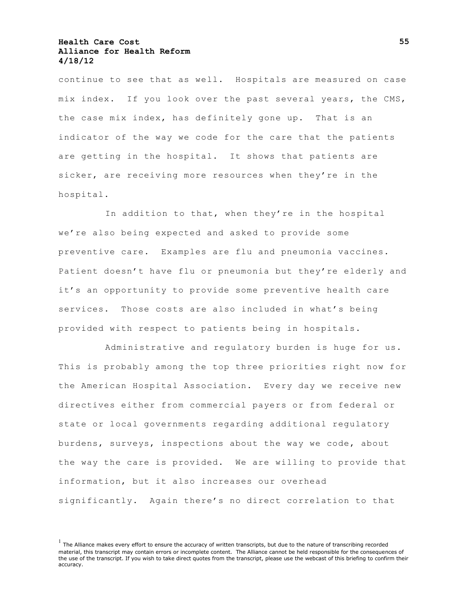continue to see that as well. Hospitals are measured on case mix index. If you look over the past several years, the CMS, the case mix index, has definitely gone up. That is an indicator of the way we code for the care that the patients are getting in the hospital. It shows that patients are sicker, are receiving more resources when they're in the hospital.

In addition to that, when they're in the hospital we're also being expected and asked to provide some preventive care. Examples are flu and pneumonia vaccines. Patient doesn't have flu or pneumonia but they're elderly and it's an opportunity to provide some preventive health care services. Those costs are also included in what's being provided with respect to patients being in hospitals.

Administrative and regulatory burden is huge for us. This is probably among the top three priorities right now for the American Hospital Association. Every day we receive new directives either from commercial payers or from federal or state or local governments regarding additional regulatory burdens, surveys, inspections about the way we code, about the way the care is provided. We are willing to provide that information, but it also increases our overhead significantly. Again there's no direct correlation to that

 $<sup>1</sup>$  The Alliance makes every effort to ensure the accuracy of written transcripts, but due to the nature of transcribing recorded</sup> material, this transcript may contain errors or incomplete content. The Alliance cannot be held responsible for the consequences of the use of the transcript. If you wish to take direct quotes from the transcript, please use the webcast of this briefing to confirm their accuracy.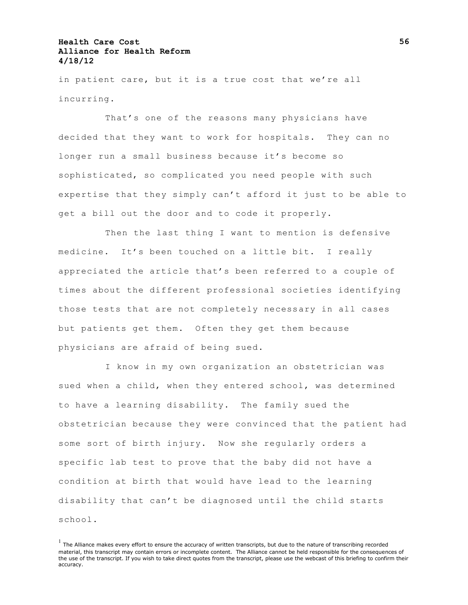in patient care, but it is a true cost that we're all incurring.

That's one of the reasons many physicians have decided that they want to work for hospitals. They can no longer run a small business because it's become so sophisticated, so complicated you need people with such expertise that they simply can't afford it just to be able to get a bill out the door and to code it properly.

Then the last thing I want to mention is defensive medicine. It's been touched on a little bit. I really appreciated the article that's been referred to a couple of times about the different professional societies identifying those tests that are not completely necessary in all cases but patients get them. Often they get them because physicians are afraid of being sued.

I know in my own organization an obstetrician was sued when a child, when they entered school, was determined to have a learning disability. The family sued the obstetrician because they were convinced that the patient had some sort of birth injury. Now she regularly orders a specific lab test to prove that the baby did not have a condition at birth that would have lead to the learning disability that can't be diagnosed until the child starts school.

 $<sup>1</sup>$  The Alliance makes every effort to ensure the accuracy of written transcripts, but due to the nature of transcribing recorded</sup> material, this transcript may contain errors or incomplete content. The Alliance cannot be held responsible for the consequences of the use of the transcript. If you wish to take direct quotes from the transcript, please use the webcast of this briefing to confirm their accuracy.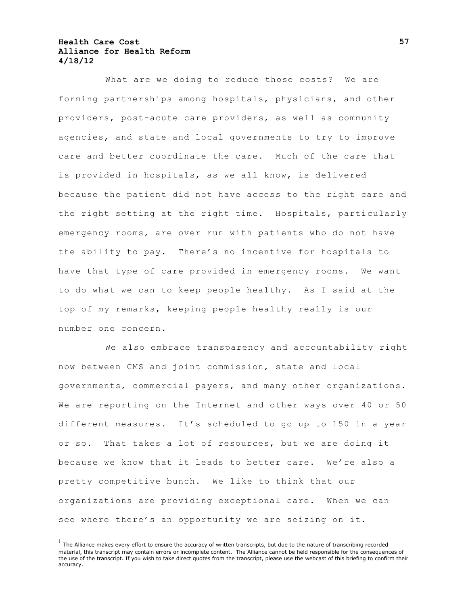What are we doing to reduce those costs? We are forming partnerships among hospitals, physicians, and other providers, post-acute care providers, as well as community agencies, and state and local governments to try to improve care and better coordinate the care. Much of the care that is provided in hospitals, as we all know, is delivered because the patient did not have access to the right care and the right setting at the right time. Hospitals, particularly emergency rooms, are over run with patients who do not have the ability to pay. There's no incentive for hospitals to have that type of care provided in emergency rooms. We want to do what we can to keep people healthy. As I said at the top of my remarks, keeping people healthy really is our number one concern.

We also embrace transparency and accountability right now between CMS and joint commission, state and local governments, commercial payers, and many other organizations. We are reporting on the Internet and other ways over 40 or 50 different measures. It's scheduled to go up to 150 in a year or so. That takes a lot of resources, but we are doing it because we know that it leads to better care. We're also a pretty competitive bunch. We like to think that our organizations are providing exceptional care. When we can see where there's an opportunity we are seizing on it.

 $<sup>1</sup>$  The Alliance makes every effort to ensure the accuracy of written transcripts, but due to the nature of transcribing recorded</sup> material, this transcript may contain errors or incomplete content. The Alliance cannot be held responsible for the consequences of the use of the transcript. If you wish to take direct quotes from the transcript, please use the webcast of this briefing to confirm their accuracy.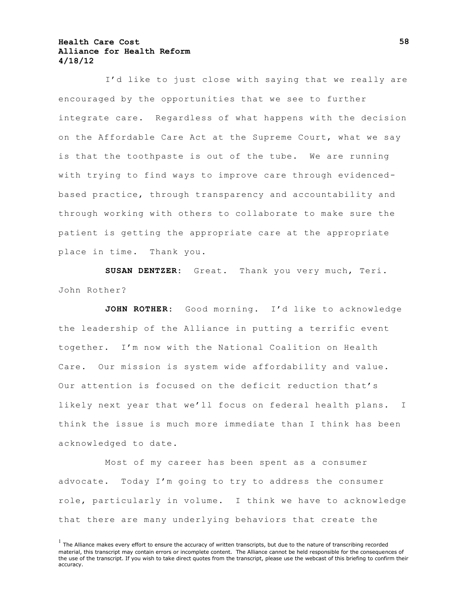I'd like to just close with saying that we really are encouraged by the opportunities that we see to further integrate care. Regardless of what happens with the decision on the Affordable Care Act at the Supreme Court, what we say is that the toothpaste is out of the tube. We are running with trying to find ways to improve care through evidencedbased practice, through transparency and accountability and through working with others to collaborate to make sure the patient is getting the appropriate care at the appropriate place in time. Thank you.

**SUSAN DENTZER:** Great. Thank you very much, Teri. John Rother?

**JOHN ROTHER:** Good morning. I'd like to acknowledge the leadership of the Alliance in putting a terrific event together. I'm now with the National Coalition on Health Care. Our mission is system wide affordability and value. Our attention is focused on the deficit reduction that's likely next year that we'll focus on federal health plans. I think the issue is much more immediate than I think has been acknowledged to date.

Most of my career has been spent as a consumer advocate. Today I'm going to try to address the consumer role, particularly in volume. I think we have to acknowledge that there are many underlying behaviors that create the

 $<sup>1</sup>$  The Alliance makes every effort to ensure the accuracy of written transcripts, but due to the nature of transcribing recorded</sup> material, this transcript may contain errors or incomplete content. The Alliance cannot be held responsible for the consequences of the use of the transcript. If you wish to take direct quotes from the transcript, please use the webcast of this briefing to confirm their accuracy.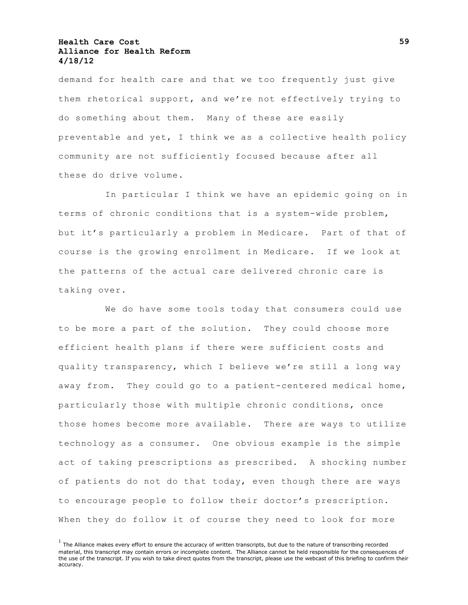demand for health care and that we too frequently just give them rhetorical support, and we're not effectively trying to do something about them. Many of these are easily preventable and yet, I think we as a collective health policy community are not sufficiently focused because after all these do drive volume.

In particular I think we have an epidemic going on in terms of chronic conditions that is a system-wide problem, but it's particularly a problem in Medicare. Part of that of course is the growing enrollment in Medicare. If we look at the patterns of the actual care delivered chronic care is taking over.

We do have some tools today that consumers could use to be more a part of the solution. They could choose more efficient health plans if there were sufficient costs and quality transparency, which I believe we're still a long way away from. They could go to a patient-centered medical home, particularly those with multiple chronic conditions, once those homes become more available. There are ways to utilize technology as a consumer. One obvious example is the simple act of taking prescriptions as prescribed. A shocking number of patients do not do that today, even though there are ways to encourage people to follow their doctor's prescription. When they do follow it of course they need to look for more

 $<sup>1</sup>$  The Alliance makes every effort to ensure the accuracy of written transcripts, but due to the nature of transcribing recorded</sup> material, this transcript may contain errors or incomplete content. The Alliance cannot be held responsible for the consequences of the use of the transcript. If you wish to take direct quotes from the transcript, please use the webcast of this briefing to confirm their accuracy.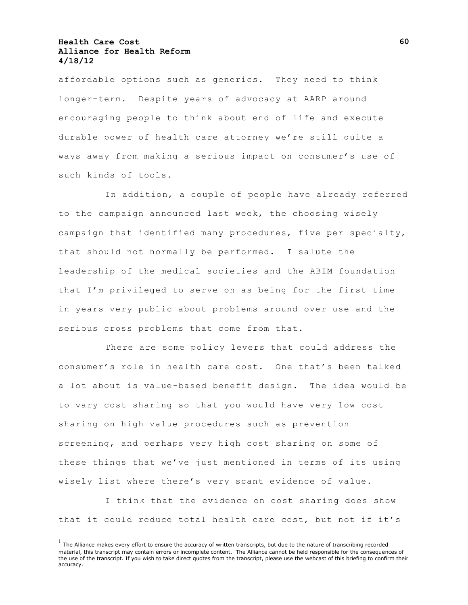affordable options such as generics. They need to think longer-term. Despite years of advocacy at AARP around encouraging people to think about end of life and execute durable power of health care attorney we're still quite a ways away from making a serious impact on consumer's use of such kinds of tools.

In addition, a couple of people have already referred to the campaign announced last week, the choosing wisely campaign that identified many procedures, five per specialty, that should not normally be performed. I salute the leadership of the medical societies and the ABIM foundation that I'm privileged to serve on as being for the first time in years very public about problems around over use and the serious cross problems that come from that.

There are some policy levers that could address the consumer's role in health care cost. One that's been talked a lot about is value-based benefit design. The idea would be to vary cost sharing so that you would have very low cost sharing on high value procedures such as prevention screening, and perhaps very high cost sharing on some of these things that we've just mentioned in terms of its using wisely list where there's very scant evidence of value.

I think that the evidence on cost sharing does show that it could reduce total health care cost, but not if it's

 $<sup>1</sup>$  The Alliance makes every effort to ensure the accuracy of written transcripts, but due to the nature of transcribing recorded</sup> material, this transcript may contain errors or incomplete content. The Alliance cannot be held responsible for the consequences of the use of the transcript. If you wish to take direct quotes from the transcript, please use the webcast of this briefing to confirm their accuracy.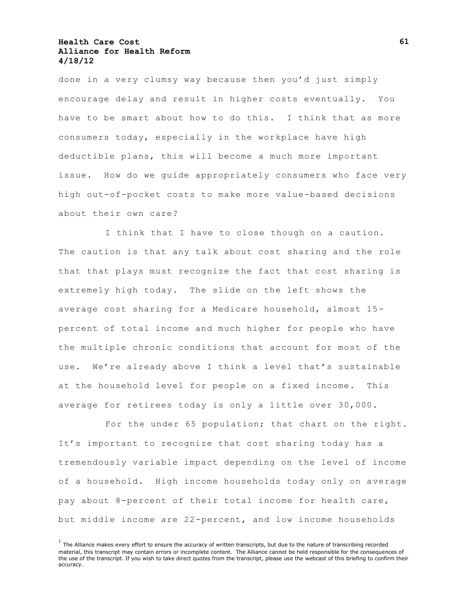done in a very clumsy way because then you'd just simply encourage delay and result in higher costs eventually. You have to be smart about how to do this. I think that as more consumers today, especially in the workplace have high deductible plans, this will become a much more important issue. How do we guide appropriately consumers who face very high out-of-pocket costs to make more value-based decisions about their own care?

I think that I have to close though on a caution. The caution is that any talk about cost sharing and the role that that plays must recognize the fact that cost sharing is extremely high today. The slide on the left shows the average cost sharing for a Medicare household, almost 15 percent of total income and much higher for people who have the multiple chronic conditions that account for most of the use. We're already above I think a level that's sustainable at the household level for people on a fixed income. This average for retirees today is only a little over 30,000.

For the under 65 population; that chart on the right. It's important to recognize that cost sharing today has a tremendously variable impact depending on the level of income of a household. High income households today only on average pay about 8-percent of their total income for health care, but middle income are 22-percent, and low income households

 $<sup>1</sup>$  The Alliance makes every effort to ensure the accuracy of written transcripts, but due to the nature of transcribing recorded</sup> material, this transcript may contain errors or incomplete content. The Alliance cannot be held responsible for the consequences of the use of the transcript. If you wish to take direct quotes from the transcript, please use the webcast of this briefing to confirm their accuracy.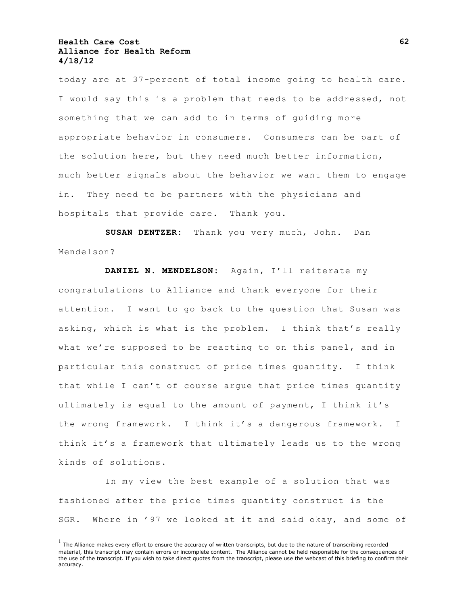today are at 37-percent of total income going to health care. I would say this is a problem that needs to be addressed, not something that we can add to in terms of guiding more appropriate behavior in consumers. Consumers can be part of the solution here, but they need much better information, much better signals about the behavior we want them to engage in. They need to be partners with the physicians and hospitals that provide care. Thank you.

**SUSAN DENTZER:** Thank you very much, John. Dan Mendelson?

**DANIEL N. MENDELSON:** Again, I'll reiterate my congratulations to Alliance and thank everyone for their attention. I want to go back to the question that Susan was asking, which is what is the problem. I think that's really what we're supposed to be reacting to on this panel, and in particular this construct of price times quantity. I think that while I can't of course argue that price times quantity ultimately is equal to the amount of payment, I think it's the wrong framework. I think it's a dangerous framework. I think it's a framework that ultimately leads us to the wrong kinds of solutions.

In my view the best example of a solution that was fashioned after the price times quantity construct is the SGR. Where in '97 we looked at it and said okay, and some of

 $<sup>1</sup>$  The Alliance makes every effort to ensure the accuracy of written transcripts, but due to the nature of transcribing recorded</sup> material, this transcript may contain errors or incomplete content. The Alliance cannot be held responsible for the consequences of the use of the transcript. If you wish to take direct quotes from the transcript, please use the webcast of this briefing to confirm their accuracy.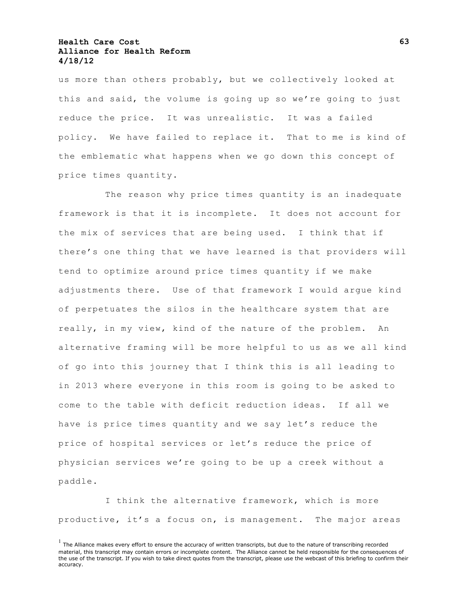us more than others probably, but we collectively looked at this and said, the volume is going up so we're going to just reduce the price. It was unrealistic. It was a failed policy. We have failed to replace it. That to me is kind of the emblematic what happens when we go down this concept of price times quantity.

The reason why price times quantity is an inadequate framework is that it is incomplete. It does not account for the mix of services that are being used. I think that if there's one thing that we have learned is that providers will tend to optimize around price times quantity if we make adjustments there. Use of that framework I would arque kind of perpetuates the silos in the healthcare system that are really, in my view, kind of the nature of the problem. An alternative framing will be more helpful to us as we all kind of go into this journey that I think this is all leading to in 2013 where everyone in this room is going to be asked to come to the table with deficit reduction ideas. If all we have is price times quantity and we say let's reduce the price of hospital services or let's reduce the price of physician services we're going to be up a creek without a paddle.

I think the alternative framework, which is more productive, it's a focus on, is management. The major areas

 $<sup>1</sup>$  The Alliance makes every effort to ensure the accuracy of written transcripts, but due to the nature of transcribing recorded</sup> material, this transcript may contain errors or incomplete content. The Alliance cannot be held responsible for the consequences of the use of the transcript. If you wish to take direct quotes from the transcript, please use the webcast of this briefing to confirm their accuracy.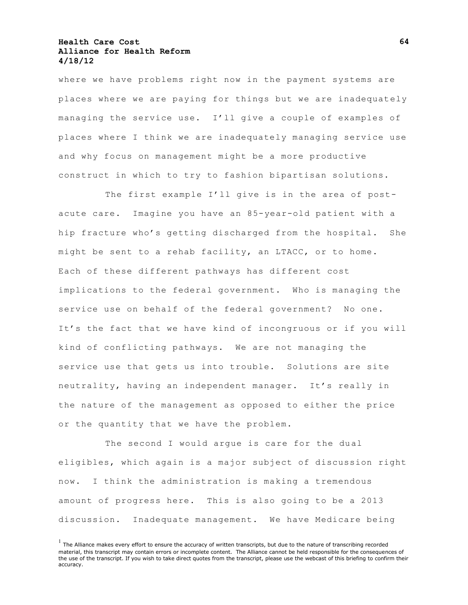where we have problems right now in the payment systems are places where we are paying for things but we are inadequately managing the service use. I'll give a couple of examples of places where I think we are inadequately managing service use and why focus on management might be a more productive construct in which to try to fashion bipartisan solutions.

The first example I'll give is in the area of postacute care. Imagine you have an 85-year-old patient with a hip fracture who's getting discharged from the hospital. She might be sent to a rehab facility, an LTACC, or to home. Each of these different pathways has different cost implications to the federal government. Who is managing the service use on behalf of the federal government? No one. It's the fact that we have kind of incongruous or if you will kind of conflicting pathways. We are not managing the service use that gets us into trouble. Solutions are site neutrality, having an independent manager. It's really in the nature of the management as opposed to either the price or the quantity that we have the problem.

The second I would argue is care for the dual eligibles, which again is a major subject of discussion right now. I think the administration is making a tremendous amount of progress here. This is also going to be a 2013 discussion. Inadequate management. We have Medicare being

 $<sup>1</sup>$  The Alliance makes every effort to ensure the accuracy of written transcripts, but due to the nature of transcribing recorded</sup> material, this transcript may contain errors or incomplete content. The Alliance cannot be held responsible for the consequences of the use of the transcript. If you wish to take direct quotes from the transcript, please use the webcast of this briefing to confirm their accuracy.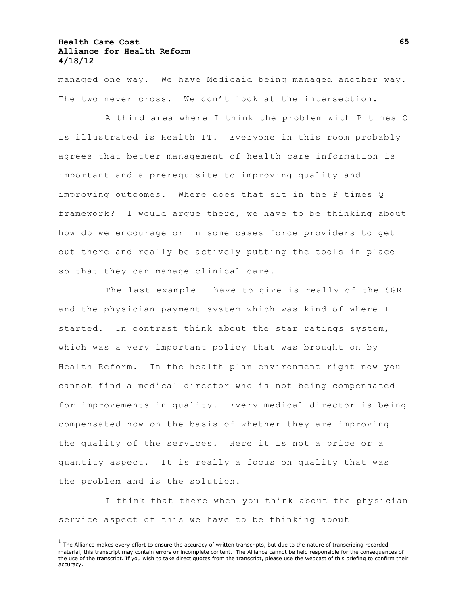managed one way. We have Medicaid being managed another way. The two never cross. We don't look at the intersection.

A third area where I think the problem with P times Q is illustrated is Health IT. Everyone in this room probably agrees that better management of health care information is important and a prerequisite to improving quality and improving outcomes. Where does that sit in the P times Q framework? I would argue there, we have to be thinking about how do we encourage or in some cases force providers to get out there and really be actively putting the tools in place so that they can manage clinical care.

The last example I have to give is really of the SGR and the physician payment system which was kind of where I started. In contrast think about the star ratings system, which was a very important policy that was brought on by Health Reform. In the health plan environment right now you cannot find a medical director who is not being compensated for improvements in quality. Every medical director is being compensated now on the basis of whether they are improving the quality of the services. Here it is not a price or a quantity aspect. It is really a focus on quality that was the problem and is the solution.

I think that there when you think about the physician service aspect of this we have to be thinking about

 $<sup>1</sup>$  The Alliance makes every effort to ensure the accuracy of written transcripts, but due to the nature of transcribing recorded</sup> material, this transcript may contain errors or incomplete content. The Alliance cannot be held responsible for the consequences of the use of the transcript. If you wish to take direct quotes from the transcript, please use the webcast of this briefing to confirm their accuracy.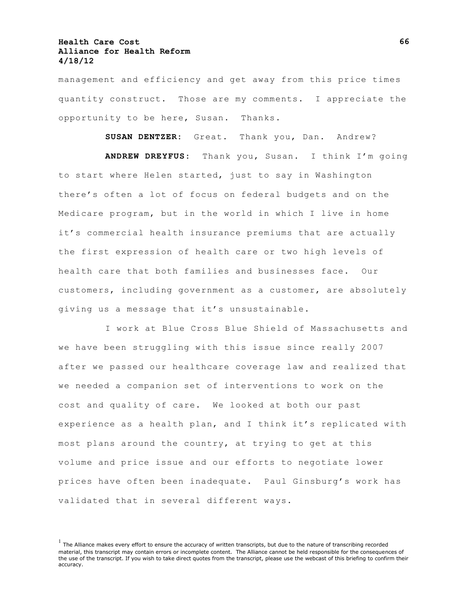management and efficiency and get away from this price times quantity construct. Those are my comments. I appreciate the opportunity to be here, Susan. Thanks.

**SUSAN DENTZER:** Great. Thank you, Dan. Andrew?

**ANDREW DREYFUS:** Thank you, Susan. I think I'm going to start where Helen started, just to say in Washington there's often a lot of focus on federal budgets and on the Medicare program, but in the world in which I live in home it's commercial health insurance premiums that are actually the first expression of health care or two high levels of health care that both families and businesses face. Our customers, including government as a customer, are absolutely giving us a message that it's unsustainable.

I work at Blue Cross Blue Shield of Massachusetts and we have been struggling with this issue since really 2007 after we passed our healthcare coverage law and realized that we needed a companion set of interventions to work on the cost and quality of care. We looked at both our past experience as a health plan, and I think it's replicated with most plans around the country, at trying to get at this volume and price issue and our efforts to negotiate lower prices have often been inadequate. Paul Ginsburg's work has validated that in several different ways.

 $<sup>1</sup>$  The Alliance makes every effort to ensure the accuracy of written transcripts, but due to the nature of transcribing recorded</sup> material, this transcript may contain errors or incomplete content. The Alliance cannot be held responsible for the consequences of the use of the transcript. If you wish to take direct quotes from the transcript, please use the webcast of this briefing to confirm their accuracy.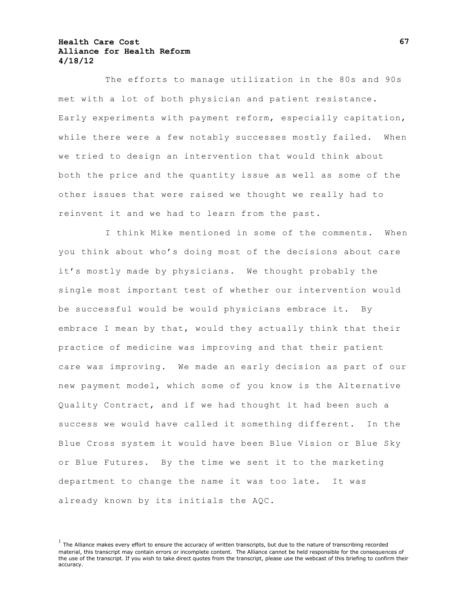The efforts to manage utilization in the 80s and 90s met with a lot of both physician and patient resistance. Early experiments with payment reform, especially capitation, while there were a few notably successes mostly failed. When we tried to design an intervention that would think about both the price and the quantity issue as well as some of the other issues that were raised we thought we really had to reinvent it and we had to learn from the past.

I think Mike mentioned in some of the comments. When you think about who's doing most of the decisions about care it's mostly made by physicians. We thought probably the single most important test of whether our intervention would be successful would be would physicians embrace it. By embrace I mean by that, would they actually think that their practice of medicine was improving and that their patient care was improving. We made an early decision as part of our new payment model, which some of you know is the Alternative Quality Contract, and if we had thought it had been such a success we would have called it something different. In the Blue Cross system it would have been Blue Vision or Blue Sky or Blue Futures. By the time we sent it to the marketing department to change the name it was too late. It was already known by its initials the AQC.

 $<sup>1</sup>$  The Alliance makes every effort to ensure the accuracy of written transcripts, but due to the nature of transcribing recorded</sup> material, this transcript may contain errors or incomplete content. The Alliance cannot be held responsible for the consequences of the use of the transcript. If you wish to take direct quotes from the transcript, please use the webcast of this briefing to confirm their accuracy.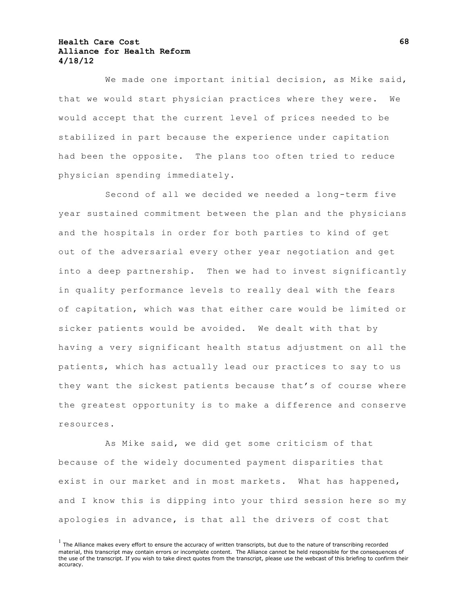We made one important initial decision, as Mike said, that we would start physician practices where they were. We would accept that the current level of prices needed to be stabilized in part because the experience under capitation had been the opposite. The plans too often tried to reduce physician spending immediately.

Second of all we decided we needed a long-term five year sustained commitment between the plan and the physicians and the hospitals in order for both parties to kind of get out of the adversarial every other year negotiation and get into a deep partnership. Then we had to invest significantly in quality performance levels to really deal with the fears of capitation, which was that either care would be limited or sicker patients would be avoided. We dealt with that by having a very significant health status adjustment on all the patients, which has actually lead our practices to say to us they want the sickest patients because that's of course where the greatest opportunity is to make a difference and conserve resources.

As Mike said, we did get some criticism of that because of the widely documented payment disparities that exist in our market and in most markets. What has happened, and I know this is dipping into your third session here so my apologies in advance, is that all the drivers of cost that

 $<sup>1</sup>$  The Alliance makes every effort to ensure the accuracy of written transcripts, but due to the nature of transcribing recorded</sup> material, this transcript may contain errors or incomplete content. The Alliance cannot be held responsible for the consequences of the use of the transcript. If you wish to take direct quotes from the transcript, please use the webcast of this briefing to confirm their accuracy.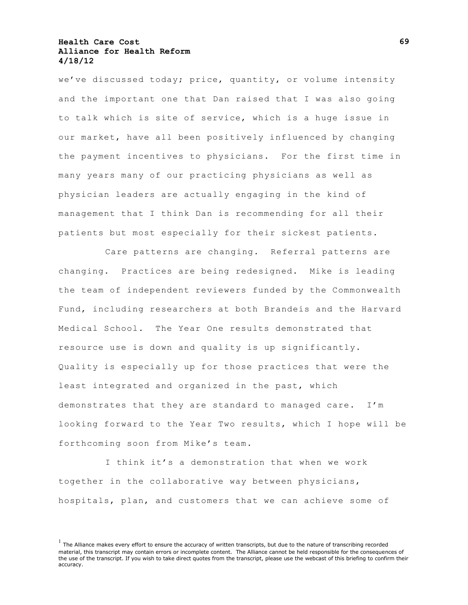we've discussed today; price, quantity, or volume intensity and the important one that Dan raised that I was also going to talk which is site of service, which is a huge issue in our market, have all been positively influenced by changing the payment incentives to physicians. For the first time in many years many of our practicing physicians as well as physician leaders are actually engaging in the kind of management that I think Dan is recommending for all their patients but most especially for their sickest patients.

Care patterns are changing. Referral patterns are changing. Practices are being redesigned. Mike is leading the team of independent reviewers funded by the Commonwealth Fund, including researchers at both Brandeis and the Harvard Medical School. The Year One results demonstrated that resource use is down and quality is up significantly. Quality is especially up for those practices that were the least integrated and organized in the past, which demonstrates that they are standard to managed care. I'm looking forward to the Year Two results, which I hope will be forthcoming soon from Mike's team.

I think it's a demonstration that when we work together in the collaborative way between physicians, hospitals, plan, and customers that we can achieve some of

 $<sup>1</sup>$  The Alliance makes every effort to ensure the accuracy of written transcripts, but due to the nature of transcribing recorded</sup> material, this transcript may contain errors or incomplete content. The Alliance cannot be held responsible for the consequences of the use of the transcript. If you wish to take direct quotes from the transcript, please use the webcast of this briefing to confirm their accuracy.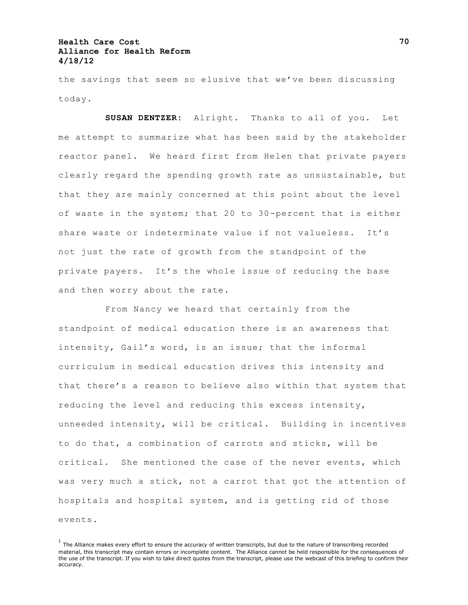the savings that seem so elusive that we've been discussing today.

**SUSAN DENTZER:** Alright. Thanks to all of you. Let me attempt to summarize what has been said by the stakeholder reactor panel. We heard first from Helen that private payers clearly regard the spending growth rate as unsustainable, but that they are mainly concerned at this point about the level of waste in the system; that 20 to 30-percent that is either share waste or indeterminate value if not valueless. It's not just the rate of growth from the standpoint of the private payers. It's the whole issue of reducing the base and then worry about the rate.

From Nancy we heard that certainly from the standpoint of medical education there is an awareness that intensity, Gail's word, is an issue; that the informal curriculum in medical education drives this intensity and that there's a reason to believe also within that system that reducing the level and reducing this excess intensity, unneeded intensity, will be critical. Building in incentives to do that, a combination of carrots and sticks, will be critical. She mentioned the case of the never events, which was very much a stick, not a carrot that got the attention of hospitals and hospital system, and is getting rid of those events.

 $<sup>1</sup>$  The Alliance makes every effort to ensure the accuracy of written transcripts, but due to the nature of transcribing recorded</sup> material, this transcript may contain errors or incomplete content. The Alliance cannot be held responsible for the consequences of the use of the transcript. If you wish to take direct quotes from the transcript, please use the webcast of this briefing to confirm their accuracy.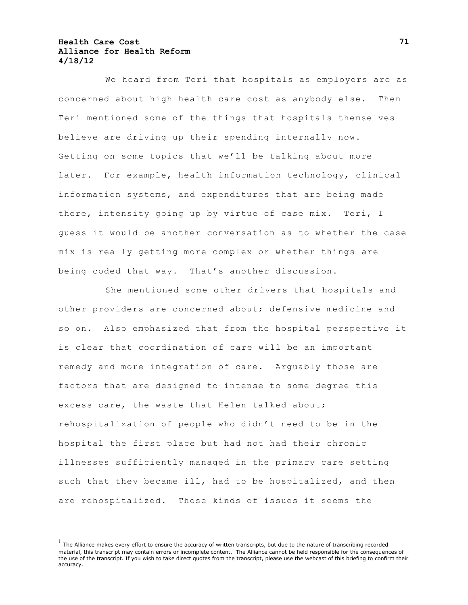We heard from Teri that hospitals as employers are as concerned about high health care cost as anybody else. Then Teri mentioned some of the things that hospitals themselves believe are driving up their spending internally now. Getting on some topics that we'll be talking about more later. For example, health information technology, clinical information systems, and expenditures that are being made there, intensity going up by virtue of case mix. Teri, I guess it would be another conversation as to whether the case mix is really getting more complex or whether things are being coded that way. That's another discussion.

She mentioned some other drivers that hospitals and other providers are concerned about; defensive medicine and so on. Also emphasized that from the hospital perspective it is clear that coordination of care will be an important remedy and more integration of care. Arguably those are factors that are designed to intense to some degree this excess care, the waste that Helen talked about; rehospitalization of people who didn't need to be in the hospital the first place but had not had their chronic illnesses sufficiently managed in the primary care setting such that they became ill, had to be hospitalized, and then are rehospitalized. Those kinds of issues it seems the

 $<sup>1</sup>$  The Alliance makes every effort to ensure the accuracy of written transcripts, but due to the nature of transcribing recorded</sup> material, this transcript may contain errors or incomplete content. The Alliance cannot be held responsible for the consequences of the use of the transcript. If you wish to take direct quotes from the transcript, please use the webcast of this briefing to confirm their accuracy.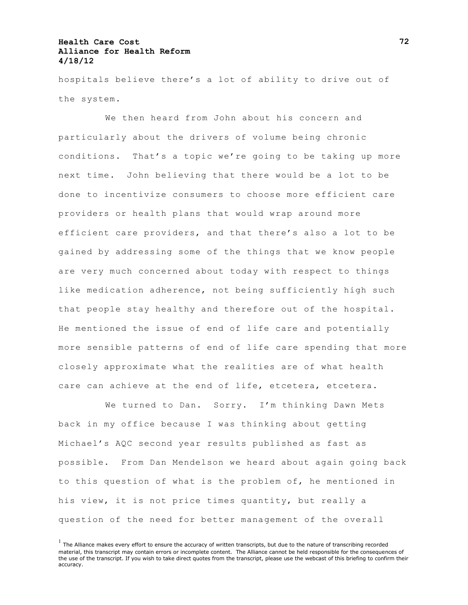hospitals believe there's a lot of ability to drive out of the system.

We then heard from John about his concern and particularly about the drivers of volume being chronic conditions. That's a topic we're going to be taking up more next time. John believing that there would be a lot to be done to incentivize consumers to choose more efficient care providers or health plans that would wrap around more efficient care providers, and that there's also a lot to be gained by addressing some of the things that we know people are very much concerned about today with respect to things like medication adherence, not being sufficiently high such that people stay healthy and therefore out of the hospital. He mentioned the issue of end of life care and potentially more sensible patterns of end of life care spending that more closely approximate what the realities are of what health care can achieve at the end of life, etcetera, etcetera.

We turned to Dan. Sorry. I'm thinking Dawn Mets back in my office because I was thinking about getting Michael's AQC second year results published as fast as possible. From Dan Mendelson we heard about again going back to this question of what is the problem of, he mentioned in his view, it is not price times quantity, but really a question of the need for better management of the overall

 $<sup>1</sup>$  The Alliance makes every effort to ensure the accuracy of written transcripts, but due to the nature of transcribing recorded</sup> material, this transcript may contain errors or incomplete content. The Alliance cannot be held responsible for the consequences of the use of the transcript. If you wish to take direct quotes from the transcript, please use the webcast of this briefing to confirm their accuracy.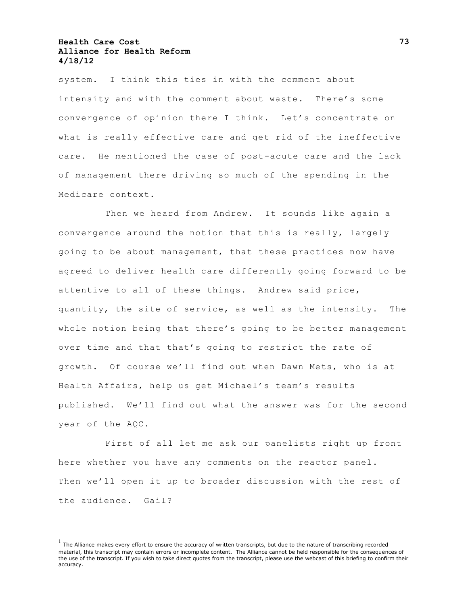system. I think this ties in with the comment about intensity and with the comment about waste. There's some convergence of opinion there I think. Let's concentrate on what is really effective care and get rid of the ineffective care. He mentioned the case of post-acute care and the lack of management there driving so much of the spending in the Medicare context.

Then we heard from Andrew. It sounds like again a convergence around the notion that this is really, largely going to be about management, that these practices now have agreed to deliver health care differently going forward to be attentive to all of these things. Andrew said price, quantity, the site of service, as well as the intensity. The whole notion being that there's going to be better management over time and that that's going to restrict the rate of growth. Of course we'll find out when Dawn Mets, who is at Health Affairs, help us get Michael's team's results published. We'll find out what the answer was for the second year of the AQC.

First of all let me ask our panelists right up front here whether you have any comments on the reactor panel. Then we'll open it up to broader discussion with the rest of the audience. Gail?

 $<sup>1</sup>$  The Alliance makes every effort to ensure the accuracy of written transcripts, but due to the nature of transcribing recorded</sup> material, this transcript may contain errors or incomplete content. The Alliance cannot be held responsible for the consequences of the use of the transcript. If you wish to take direct quotes from the transcript, please use the webcast of this briefing to confirm their accuracy.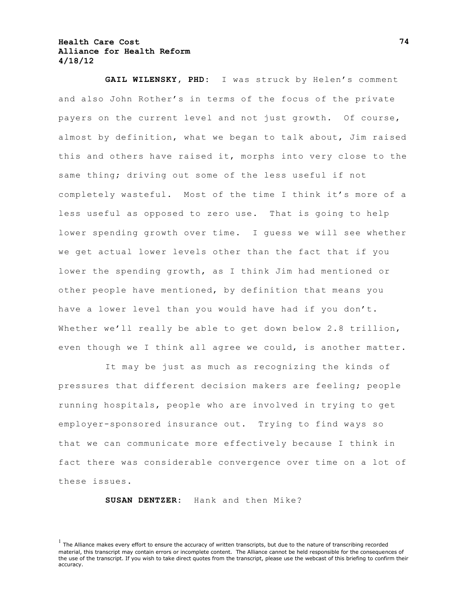**GAIL WILENSKY, PHD:** I was struck by Helen's comment and also John Rother's in terms of the focus of the private payers on the current level and not just growth. Of course, almost by definition, what we began to talk about, Jim raised this and others have raised it, morphs into very close to the same thing; driving out some of the less useful if not completely wasteful. Most of the time I think it's more of a less useful as opposed to zero use. That is going to help lower spending growth over time. I guess we will see whether we get actual lower levels other than the fact that if you lower the spending growth, as I think Jim had mentioned or other people have mentioned, by definition that means you have a lower level than you would have had if you don't. Whether we'll really be able to get down below 2.8 trillion, even though we I think all agree we could, is another matter.

It may be just as much as recognizing the kinds of pressures that different decision makers are feeling; people running hospitals, people who are involved in trying to get employer-sponsored insurance out. Trying to find ways so that we can communicate more effectively because I think in fact there was considerable convergence over time on a lot of these issues.

**SUSAN DENTZER:** Hank and then Mike?

 $<sup>1</sup>$  The Alliance makes every effort to ensure the accuracy of written transcripts, but due to the nature of transcribing recorded</sup> material, this transcript may contain errors or incomplete content. The Alliance cannot be held responsible for the consequences of the use of the transcript. If you wish to take direct quotes from the transcript, please use the webcast of this briefing to confirm their accuracy.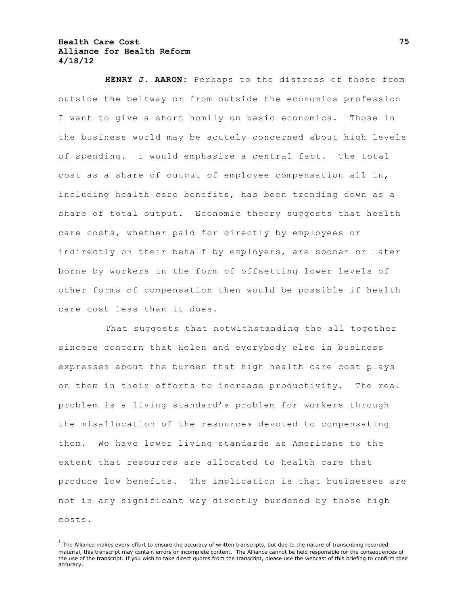**HENRY J. AARON:** Perhaps to the distress of those from outside the beltway or from outside the economics profession I want to give a short homily on basic economics. Those in the business world may be acutely concerned about high levels of spending. I would emphasize a central fact. The total cost as a share of output of employee compensation all in, including health care benefits, has been trending down as a share of total output. Economic theory suggests that health care costs, whether paid for directly by employees or indirectly on their behalf by employers, are sooner or later borne by workers in the form of offsetting lower levels of other forms of compensation then would be possible if health care cost less than it does.

That suggests that notwithstanding the all together sincere concern that Helen and everybody else in business expresses about the burden that high health care cost plays on them in their efforts to increase productivity. The real problem is a living standard's problem for workers through the misallocation of the resources devoted to compensating them. We have lower living standards as Americans to the extent that resources are allocated to health care that produce low benefits. The implication is that businesses are not in any significant way directly burdened by those high costs.

 $<sup>1</sup>$  The Alliance makes every effort to ensure the accuracy of written transcripts, but due to the nature of transcribing recorded</sup> material, this transcript may contain errors or incomplete content. The Alliance cannot be held responsible for the consequences of the use of the transcript. If you wish to take direct quotes from the transcript, please use the webcast of this briefing to confirm their accuracy.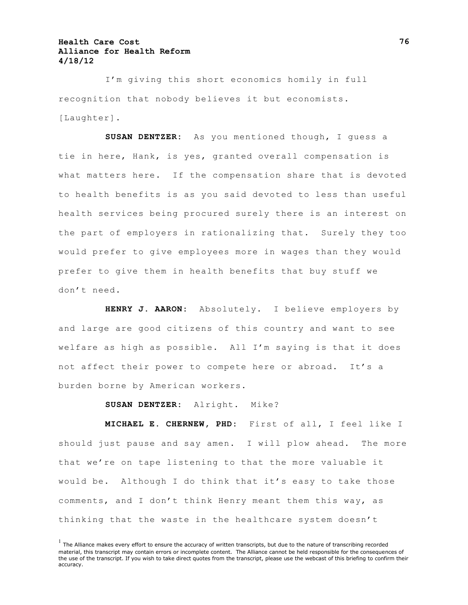I'm giving this short economics homily in full recognition that nobody believes it but economists. [Laughter].

**SUSAN DENTZER:** As you mentioned though, I guess a tie in here, Hank, is yes, granted overall compensation is what matters here. If the compensation share that is devoted to health benefits is as you said devoted to less than useful health services being procured surely there is an interest on the part of employers in rationalizing that. Surely they too would prefer to give employees more in wages than they would prefer to give them in health benefits that buy stuff we don't need.

**HENRY J. AARON:** Absolutely. I believe employers by and large are good citizens of this country and want to see welfare as high as possible. All I'm saying is that it does not affect their power to compete here or abroad. It's a burden borne by American workers.

**SUSAN DENTZER:** Alright. Mike?

**MICHAEL E. CHERNEW, PHD:** First of all, I feel like I should just pause and say amen. I will plow ahead. The more that we're on tape listening to that the more valuable it would be. Although I do think that it's easy to take those comments, and I don't think Henry meant them this way, as thinking that the waste in the healthcare system doesn't

 $<sup>1</sup>$  The Alliance makes every effort to ensure the accuracy of written transcripts, but due to the nature of transcribing recorded</sup> material, this transcript may contain errors or incomplete content. The Alliance cannot be held responsible for the consequences of the use of the transcript. If you wish to take direct quotes from the transcript, please use the webcast of this briefing to confirm their accuracy.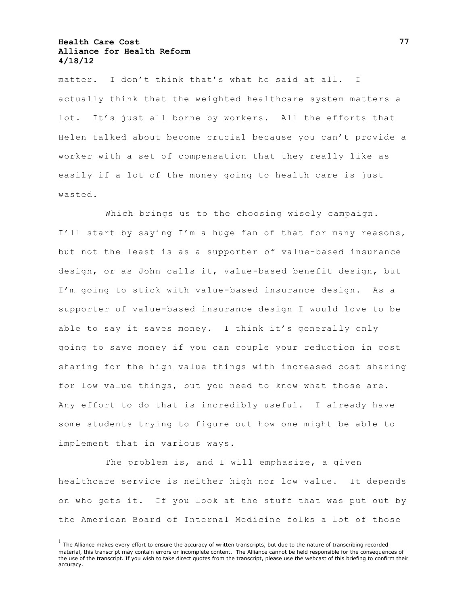matter. I don't think that's what he said at all. I actually think that the weighted healthcare system matters a lot. It's just all borne by workers. All the efforts that Helen talked about become crucial because you can't provide a worker with a set of compensation that they really like as easily if a lot of the money going to health care is just wasted.

Which brings us to the choosing wisely campaign. I'll start by saying I'm a huge fan of that for many reasons, but not the least is as a supporter of value-based insurance design, or as John calls it, value-based benefit design, but I'm going to stick with value-based insurance design. As a supporter of value-based insurance design I would love to be able to say it saves money. I think it's generally only going to save money if you can couple your reduction in cost sharing for the high value things with increased cost sharing for low value things, but you need to know what those are. Any effort to do that is incredibly useful. I already have some students trying to figure out how one might be able to implement that in various ways.

The problem is, and I will emphasize, a given healthcare service is neither high nor low value. It depends on who gets it. If you look at the stuff that was put out by the American Board of Internal Medicine folks a lot of those

 $<sup>1</sup>$  The Alliance makes every effort to ensure the accuracy of written transcripts, but due to the nature of transcribing recorded</sup> material, this transcript may contain errors or incomplete content. The Alliance cannot be held responsible for the consequences of the use of the transcript. If you wish to take direct quotes from the transcript, please use the webcast of this briefing to confirm their accuracy.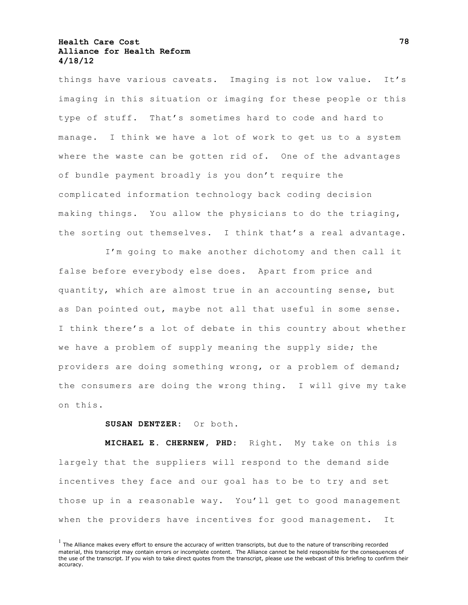things have various caveats. Imaging is not low value. It's imaging in this situation or imaging for these people or this type of stuff. That's sometimes hard to code and hard to manage. I think we have a lot of work to get us to a system where the waste can be gotten rid of. One of the advantages of bundle payment broadly is you don't require the complicated information technology back coding decision making things. You allow the physicians to do the triaging, the sorting out themselves. I think that's a real advantage.

I'm going to make another dichotomy and then call it false before everybody else does. Apart from price and quantity, which are almost true in an accounting sense, but as Dan pointed out, maybe not all that useful in some sense. I think there's a lot of debate in this country about whether we have a problem of supply meaning the supply side; the providers are doing something wrong, or a problem of demand; the consumers are doing the wrong thing. I will give my take on this.

#### **SUSAN DENTZER:** Or both.

**MICHAEL E. CHERNEW, PHD:** Right. My take on this is largely that the suppliers will respond to the demand side incentives they face and our goal has to be to try and set those up in a reasonable way. You'll get to good management when the providers have incentives for good management. It

 $<sup>1</sup>$  The Alliance makes every effort to ensure the accuracy of written transcripts, but due to the nature of transcribing recorded</sup> material, this transcript may contain errors or incomplete content. The Alliance cannot be held responsible for the consequences of the use of the transcript. If you wish to take direct quotes from the transcript, please use the webcast of this briefing to confirm their accuracy.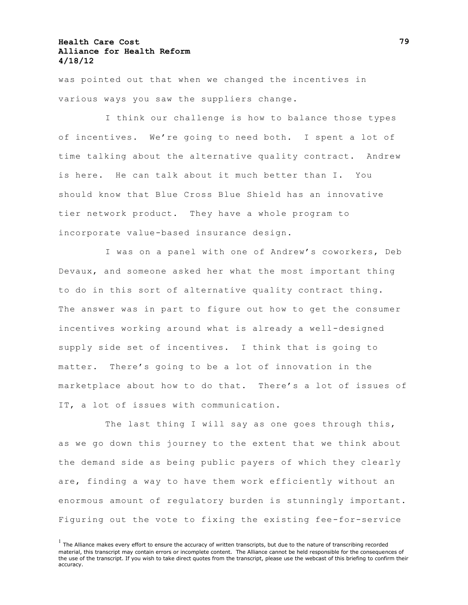was pointed out that when we changed the incentives in various ways you saw the suppliers change.

I think our challenge is how to balance those types of incentives. We're going to need both. I spent a lot of time talking about the alternative quality contract. Andrew is here. He can talk about it much better than I. You should know that Blue Cross Blue Shield has an innovative tier network product. They have a whole program to incorporate value-based insurance design.

I was on a panel with one of Andrew's coworkers, Deb Devaux, and someone asked her what the most important thing to do in this sort of alternative quality contract thing. The answer was in part to figure out how to get the consumer incentives working around what is already a well-designed supply side set of incentives. I think that is going to matter. There's going to be a lot of innovation in the marketplace about how to do that. There's a lot of issues of IT, a lot of issues with communication.

The last thing I will say as one goes through this, as we go down this journey to the extent that we think about the demand side as being public payers of which they clearly are, finding a way to have them work efficiently without an enormous amount of regulatory burden is stunningly important. Figuring out the vote to fixing the existing fee-for-service

 $<sup>1</sup>$  The Alliance makes every effort to ensure the accuracy of written transcripts, but due to the nature of transcribing recorded</sup> material, this transcript may contain errors or incomplete content. The Alliance cannot be held responsible for the consequences of the use of the transcript. If you wish to take direct quotes from the transcript, please use the webcast of this briefing to confirm their accuracy.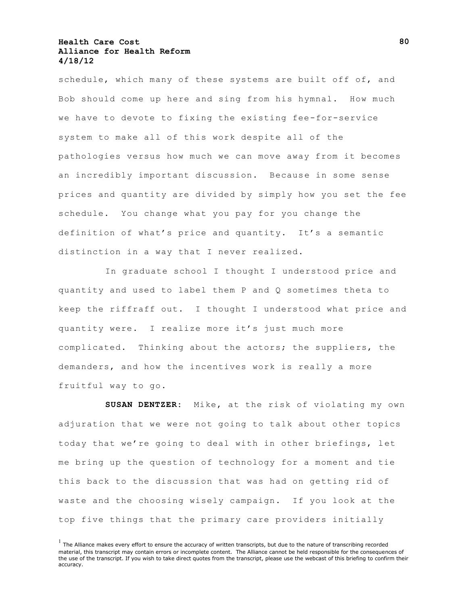schedule, which many of these systems are built off of, and Bob should come up here and sing from his hymnal. How much we have to devote to fixing the existing fee-for-service system to make all of this work despite all of the pathologies versus how much we can move away from it becomes an incredibly important discussion. Because in some sense prices and quantity are divided by simply how you set the fee schedule. You change what you pay for you change the definition of what's price and quantity. It's a semantic distinction in a way that I never realized.

In graduate school I thought I understood price and quantity and used to label them P and Q sometimes theta to keep the riffraff out. I thought I understood what price and quantity were. I realize more it's just much more complicated. Thinking about the actors; the suppliers, the demanders, and how the incentives work is really a more fruitful way to go.

**SUSAN DENTZER:** Mike, at the risk of violating my own adjuration that we were not going to talk about other topics today that we're going to deal with in other briefings, let me bring up the question of technology for a moment and tie this back to the discussion that was had on getting rid of waste and the choosing wisely campaign. If you look at the top five things that the primary care providers initially

 $<sup>1</sup>$  The Alliance makes every effort to ensure the accuracy of written transcripts, but due to the nature of transcribing recorded</sup> material, this transcript may contain errors or incomplete content. The Alliance cannot be held responsible for the consequences of the use of the transcript. If you wish to take direct quotes from the transcript, please use the webcast of this briefing to confirm their accuracy.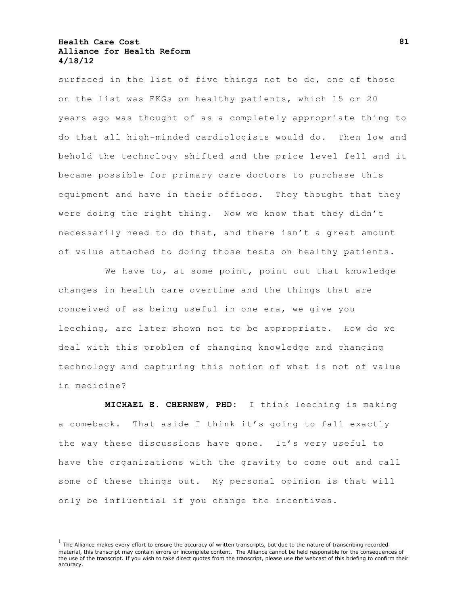surfaced in the list of five things not to do, one of those on the list was EKGs on healthy patients, which 15 or 20 years ago was thought of as a completely appropriate thing to do that all high-minded cardiologists would do. Then low and behold the technology shifted and the price level fell and it became possible for primary care doctors to purchase this equipment and have in their offices. They thought that they were doing the right thing. Now we know that they didn't necessarily need to do that, and there isn't a great amount of value attached to doing those tests on healthy patients.

We have to, at some point, point out that knowledge changes in health care overtime and the things that are conceived of as being useful in one era, we give you leeching, are later shown not to be appropriate. How do we deal with this problem of changing knowledge and changing technology and capturing this notion of what is not of value in medicine?

**MICHAEL E. CHERNEW, PHD:** I think leeching is making a comeback. That aside I think it's going to fall exactly the way these discussions have gone. It's very useful to have the organizations with the gravity to come out and call some of these things out. My personal opinion is that will only be influential if you change the incentives.

 $<sup>1</sup>$  The Alliance makes every effort to ensure the accuracy of written transcripts, but due to the nature of transcribing recorded</sup> material, this transcript may contain errors or incomplete content. The Alliance cannot be held responsible for the consequences of the use of the transcript. If you wish to take direct quotes from the transcript, please use the webcast of this briefing to confirm their accuracy.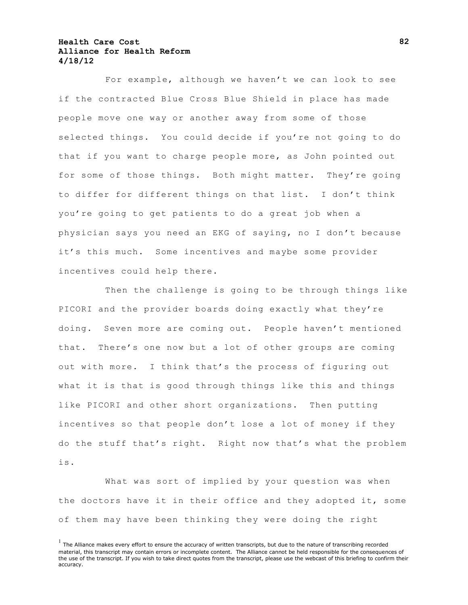For example, although we haven't we can look to see if the contracted Blue Cross Blue Shield in place has made people move one way or another away from some of those selected things. You could decide if you're not going to do that if you want to charge people more, as John pointed out for some of those things. Both might matter. They're going to differ for different things on that list. I don't think you're going to get patients to do a great job when a physician says you need an EKG of saying, no I don't because it's this much. Some incentives and maybe some provider incentives could help there.

Then the challenge is going to be through things like PICORI and the provider boards doing exactly what they're doing. Seven more are coming out. People haven't mentioned that. There's one now but a lot of other groups are coming out with more. I think that's the process of figuring out what it is that is good through things like this and things like PICORI and other short organizations. Then putting incentives so that people don't lose a lot of money if they do the stuff that's right. Right now that's what the problem is.

What was sort of implied by your question was when the doctors have it in their office and they adopted it, some of them may have been thinking they were doing the right

 $<sup>1</sup>$  The Alliance makes every effort to ensure the accuracy of written transcripts, but due to the nature of transcribing recorded</sup> material, this transcript may contain errors or incomplete content. The Alliance cannot be held responsible for the consequences of the use of the transcript. If you wish to take direct quotes from the transcript, please use the webcast of this briefing to confirm their accuracy.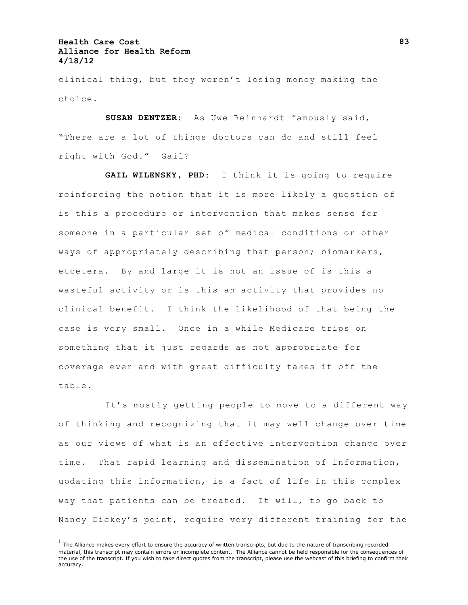clinical thing, but they weren't losing money making the choice.

**SUSAN DENTZER:** As Uwe Reinhardt famously said, "There are a lot of things doctors can do and still feel right with God.‖ Gail?

**GAIL WILENSKY, PHD:** I think it is going to require reinforcing the notion that it is more likely a question of is this a procedure or intervention that makes sense for someone in a particular set of medical conditions or other ways of appropriately describing that person; biomarkers, etcetera. By and large it is not an issue of is this a wasteful activity or is this an activity that provides no clinical benefit. I think the likelihood of that being the case is very small. Once in a while Medicare trips on something that it just regards as not appropriate for coverage ever and with great difficulty takes it off the table.

It's mostly getting people to move to a different way of thinking and recognizing that it may well change over time as our views of what is an effective intervention change over time. That rapid learning and dissemination of information, updating this information, is a fact of life in this complex way that patients can be treated. It will, to go back to Nancy Dickey's point, require very different training for the

 $<sup>1</sup>$  The Alliance makes every effort to ensure the accuracy of written transcripts, but due to the nature of transcribing recorded</sup> material, this transcript may contain errors or incomplete content. The Alliance cannot be held responsible for the consequences of the use of the transcript. If you wish to take direct quotes from the transcript, please use the webcast of this briefing to confirm their accuracy.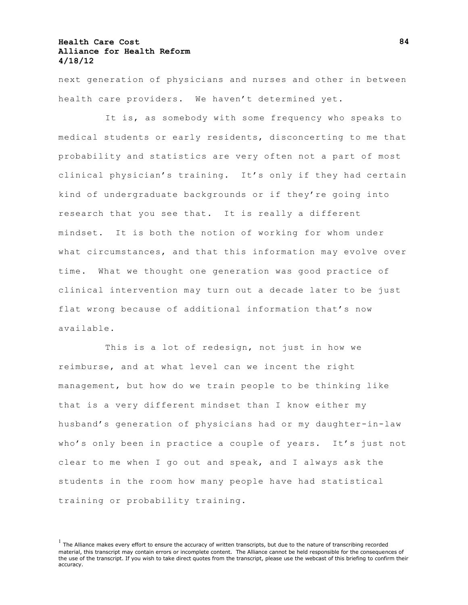next generation of physicians and nurses and other in between health care providers. We haven't determined yet.

It is, as somebody with some frequency who speaks to medical students or early residents, disconcerting to me that probability and statistics are very often not a part of most clinical physician's training. It's only if they had certain kind of undergraduate backgrounds or if they're going into research that you see that. It is really a different mindset. It is both the notion of working for whom under what circumstances, and that this information may evolve over time. What we thought one generation was good practice of clinical intervention may turn out a decade later to be just flat wrong because of additional information that's now available.

This is a lot of redesign, not just in how we reimburse, and at what level can we incent the right management, but how do we train people to be thinking like that is a very different mindset than I know either my husband's generation of physicians had or my daughter-in-law who's only been in practice a couple of years. It's just not clear to me when I go out and speak, and I always ask the students in the room how many people have had statistical training or probability training.

 $<sup>1</sup>$  The Alliance makes every effort to ensure the accuracy of written transcripts, but due to the nature of transcribing recorded</sup> material, this transcript may contain errors or incomplete content. The Alliance cannot be held responsible for the consequences of the use of the transcript. If you wish to take direct quotes from the transcript, please use the webcast of this briefing to confirm their accuracy.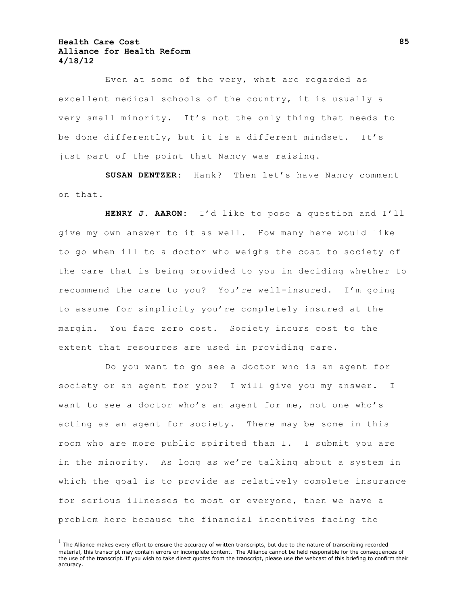Even at some of the very, what are regarded as excellent medical schools of the country, it is usually a very small minority. It's not the only thing that needs to be done differently, but it is a different mindset. It's just part of the point that Nancy was raising.

**SUSAN DENTZER:** Hank? Then let's have Nancy comment on that.

**HENRY J. AARON:** I'd like to pose a question and I'll give my own answer to it as well. How many here would like to go when ill to a doctor who weighs the cost to society of the care that is being provided to you in deciding whether to recommend the care to you? You're well-insured. I'm going to assume for simplicity you're completely insured at the margin. You face zero cost. Society incurs cost to the extent that resources are used in providing care.

Do you want to go see a doctor who is an agent for society or an agent for you? I will give you my answer. I want to see a doctor who's an agent for me, not one who's acting as an agent for society. There may be some in this room who are more public spirited than I. I submit you are in the minority. As long as we're talking about a system in which the goal is to provide as relatively complete insurance for serious illnesses to most or everyone, then we have a problem here because the financial incentives facing the

 $<sup>1</sup>$  The Alliance makes every effort to ensure the accuracy of written transcripts, but due to the nature of transcribing recorded</sup> material, this transcript may contain errors or incomplete content. The Alliance cannot be held responsible for the consequences of the use of the transcript. If you wish to take direct quotes from the transcript, please use the webcast of this briefing to confirm their accuracy.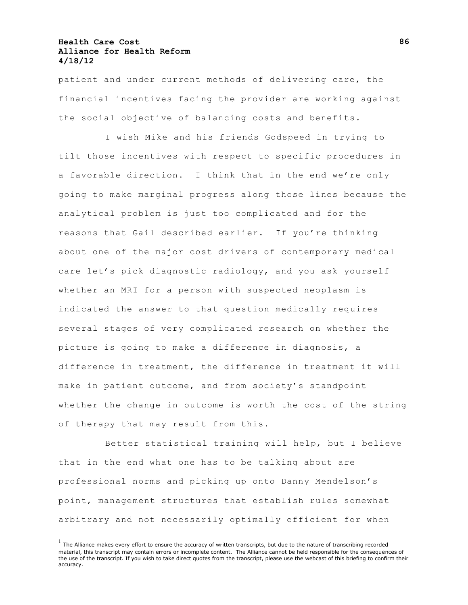patient and under current methods of delivering care, the financial incentives facing the provider are working against the social objective of balancing costs and benefits.

I wish Mike and his friends Godspeed in trying to tilt those incentives with respect to specific procedures in a favorable direction. I think that in the end we're only going to make marginal progress along those lines because the analytical problem is just too complicated and for the reasons that Gail described earlier. If you're thinking about one of the major cost drivers of contemporary medical care let's pick diagnostic radiology, and you ask yourself whether an MRI for a person with suspected neoplasm is indicated the answer to that question medically requires several stages of very complicated research on whether the picture is going to make a difference in diagnosis, a difference in treatment, the difference in treatment it will make in patient outcome, and from society's standpoint whether the change in outcome is worth the cost of the string of therapy that may result from this.

Better statistical training will help, but I believe that in the end what one has to be talking about are professional norms and picking up onto Danny Mendelson's point, management structures that establish rules somewhat arbitrary and not necessarily optimally efficient for when

 $<sup>1</sup>$  The Alliance makes every effort to ensure the accuracy of written transcripts, but due to the nature of transcribing recorded</sup> material, this transcript may contain errors or incomplete content. The Alliance cannot be held responsible for the consequences of the use of the transcript. If you wish to take direct quotes from the transcript, please use the webcast of this briefing to confirm their accuracy.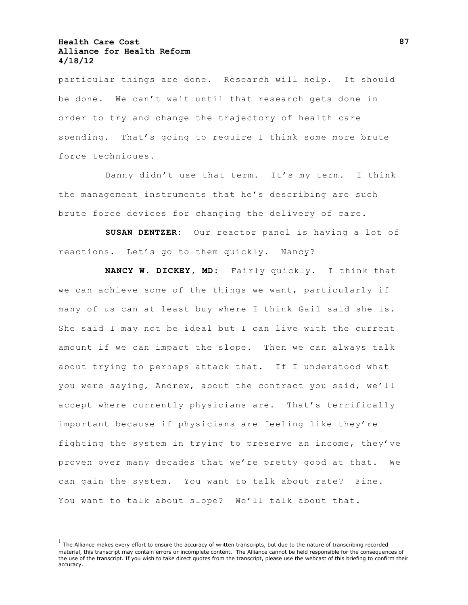particular things are done. Research will help. It should be done. We can't wait until that research gets done in order to try and change the trajectory of health care spending. That's going to require I think some more brute force techniques.

Danny didn't use that term. It's my term. I think the management instruments that he's describing are such brute force devices for changing the delivery of care.

**SUSAN DENTZER:** Our reactor panel is having a lot of reactions. Let's go to them quickly. Nancy?

**NANCY W. DICKEY, MD:** Fairly quickly. I think that we can achieve some of the things we want, particularly if many of us can at least buy where I think Gail said she is. She said I may not be ideal but I can live with the current amount if we can impact the slope. Then we can always talk about trying to perhaps attack that. If I understood what you were saying, Andrew, about the contract you said, we'll accept where currently physicians are. That's terrifically important because if physicians are feeling like they're fighting the system in trying to preserve an income, they've proven over many decades that we're pretty good at that. We can gain the system. You want to talk about rate? Fine. You want to talk about slope? We'll talk about that.

 $<sup>1</sup>$  The Alliance makes every effort to ensure the accuracy of written transcripts, but due to the nature of transcribing recorded</sup> material, this transcript may contain errors or incomplete content. The Alliance cannot be held responsible for the consequences of the use of the transcript. If you wish to take direct quotes from the transcript, please use the webcast of this briefing to confirm their accuracy.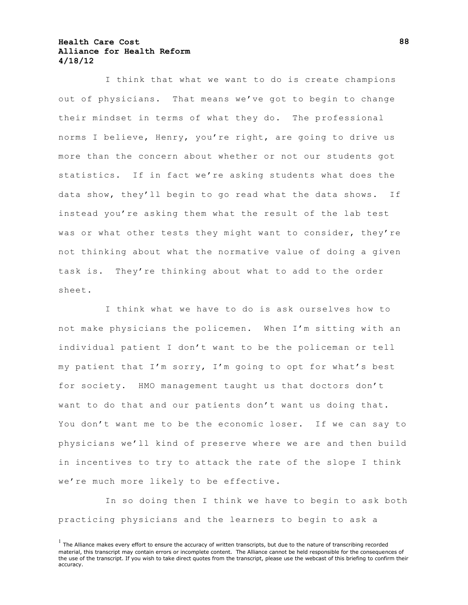I think that what we want to do is create champions out of physicians. That means we've got to begin to change their mindset in terms of what they do. The professional norms I believe, Henry, you're right, are going to drive us more than the concern about whether or not our students got statistics. If in fact we're asking students what does the data show, they'll begin to go read what the data shows. If instead you're asking them what the result of the lab test was or what other tests they might want to consider, they're not thinking about what the normative value of doing a given task is. They're thinking about what to add to the order sheet.

I think what we have to do is ask ourselves how to not make physicians the policemen. When I'm sitting with an individual patient I don't want to be the policeman or tell my patient that I'm sorry, I'm going to opt for what's best for society. HMO management taught us that doctors don't want to do that and our patients don't want us doing that. You don't want me to be the economic loser. If we can say to physicians we'll kind of preserve where we are and then build in incentives to try to attack the rate of the slope I think we're much more likely to be effective.

In so doing then I think we have to begin to ask both practicing physicians and the learners to begin to ask a

 $<sup>1</sup>$  The Alliance makes every effort to ensure the accuracy of written transcripts, but due to the nature of transcribing recorded</sup> material, this transcript may contain errors or incomplete content. The Alliance cannot be held responsible for the consequences of the use of the transcript. If you wish to take direct quotes from the transcript, please use the webcast of this briefing to confirm their accuracy.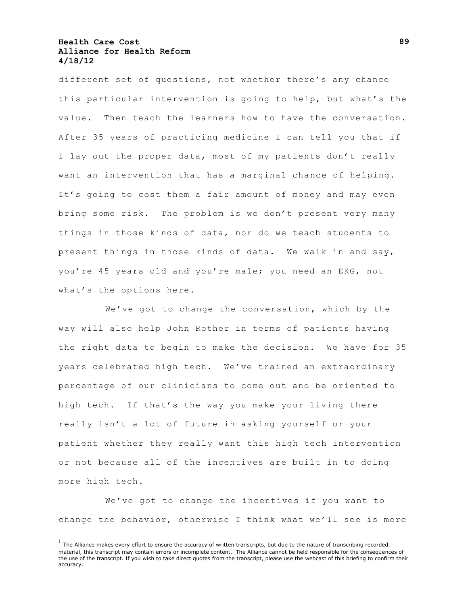different set of questions, not whether there's any chance this particular intervention is going to help, but what's the value. Then teach the learners how to have the conversation. After 35 years of practicing medicine I can tell you that if I lay out the proper data, most of my patients don't really want an intervention that has a marginal chance of helping. It's going to cost them a fair amount of money and may even bring some risk. The problem is we don't present very many things in those kinds of data, nor do we teach students to present things in those kinds of data. We walk in and say, you're 45 years old and you're male; you need an EKG, not what's the options here.

We've got to change the conversation, which by the way will also help John Rother in terms of patients having the right data to begin to make the decision. We have for 35 years celebrated high tech. We've trained an extraordinary percentage of our clinicians to come out and be oriented to high tech. If that's the way you make your living there really isn't a lot of future in asking yourself or your patient whether they really want this high tech intervention or not because all of the incentives are built in to doing more high tech.

We've got to change the incentives if you want to change the behavior, otherwise I think what we'll see is more

 $<sup>1</sup>$  The Alliance makes every effort to ensure the accuracy of written transcripts, but due to the nature of transcribing recorded</sup> material, this transcript may contain errors or incomplete content. The Alliance cannot be held responsible for the consequences of the use of the transcript. If you wish to take direct quotes from the transcript, please use the webcast of this briefing to confirm their accuracy.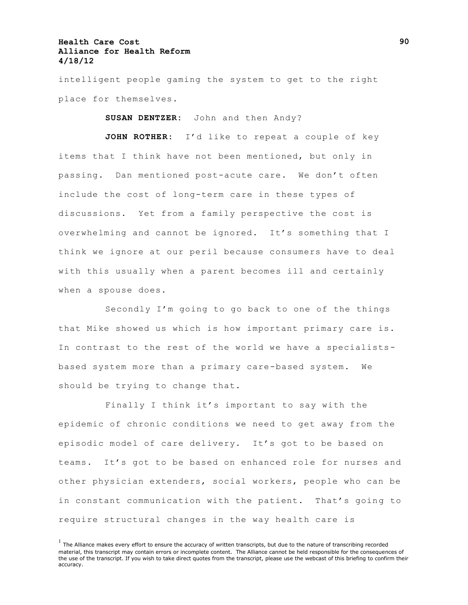intelligent people gaming the system to get to the right place for themselves.

**SUSAN DENTZER:** John and then Andy?

**JOHN ROTHER:** I'd like to repeat a couple of key items that I think have not been mentioned, but only in passing. Dan mentioned post-acute care. We don't often include the cost of long-term care in these types of discussions. Yet from a family perspective the cost is overwhelming and cannot be ignored. It's something that I think we ignore at our peril because consumers have to deal with this usually when a parent becomes ill and certainly when a spouse does.

Secondly I'm going to go back to one of the things that Mike showed us which is how important primary care is. In contrast to the rest of the world we have a specialistsbased system more than a primary care-based system. We should be trying to change that.

Finally I think it's important to say with the epidemic of chronic conditions we need to get away from the episodic model of care delivery. It's got to be based on teams. It's got to be based on enhanced role for nurses and other physician extenders, social workers, people who can be in constant communication with the patient. That's going to require structural changes in the way health care is

 $<sup>1</sup>$  The Alliance makes every effort to ensure the accuracy of written transcripts, but due to the nature of transcribing recorded</sup> material, this transcript may contain errors or incomplete content. The Alliance cannot be held responsible for the consequences of the use of the transcript. If you wish to take direct quotes from the transcript, please use the webcast of this briefing to confirm their accuracy.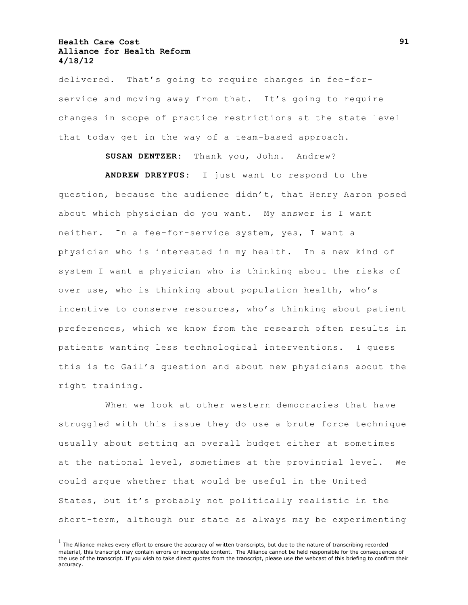delivered. That's going to require changes in fee-forservice and moving away from that. It's going to require changes in scope of practice restrictions at the state level that today get in the way of a team-based approach.

**SUSAN DENTZER:** Thank you, John. Andrew? **ANDREW DREYFUS:** I just want to respond to the question, because the audience didn't, that Henry Aaron posed about which physician do you want. My answer is I want neither. In a fee-for-service system, yes, I want a physician who is interested in my health. In a new kind of system I want a physician who is thinking about the risks of over use, who is thinking about population health, who's incentive to conserve resources, who's thinking about patient preferences, which we know from the research often results in patients wanting less technological interventions. I guess this is to Gail's question and about new physicians about the right training.

When we look at other western democracies that have struggled with this issue they do use a brute force technique usually about setting an overall budget either at sometimes at the national level, sometimes at the provincial level. We could argue whether that would be useful in the United States, but it's probably not politically realistic in the short-term, although our state as always may be experimenting

 $<sup>1</sup>$  The Alliance makes every effort to ensure the accuracy of written transcripts, but due to the nature of transcribing recorded</sup> material, this transcript may contain errors or incomplete content. The Alliance cannot be held responsible for the consequences of the use of the transcript. If you wish to take direct quotes from the transcript, please use the webcast of this briefing to confirm their accuracy.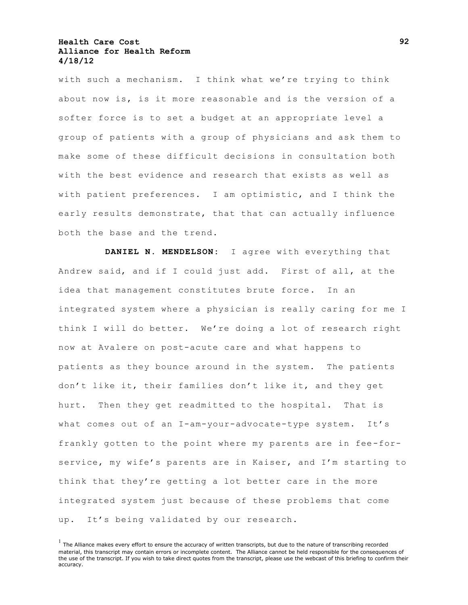with such a mechanism. I think what we're trying to think about now is, is it more reasonable and is the version of a softer force is to set a budget at an appropriate level a group of patients with a group of physicians and ask them to make some of these difficult decisions in consultation both with the best evidence and research that exists as well as with patient preferences. I am optimistic, and I think the early results demonstrate, that that can actually influence both the base and the trend.

**DANIEL N. MENDELSON:** I agree with everything that Andrew said, and if I could just add. First of all, at the idea that management constitutes brute force. In an integrated system where a physician is really caring for me I think I will do better. We're doing a lot of research right now at Avalere on post-acute care and what happens to patients as they bounce around in the system. The patients don't like it, their families don't like it, and they get hurt. Then they get readmitted to the hospital. That is what comes out of an I-am-your-advocate-type system. It's frankly gotten to the point where my parents are in fee-forservice, my wife's parents are in Kaiser, and I'm starting to think that they're getting a lot better care in the more integrated system just because of these problems that come up. It's being validated by our research.

 $<sup>1</sup>$  The Alliance makes every effort to ensure the accuracy of written transcripts, but due to the nature of transcribing recorded</sup> material, this transcript may contain errors or incomplete content. The Alliance cannot be held responsible for the consequences of the use of the transcript. If you wish to take direct quotes from the transcript, please use the webcast of this briefing to confirm their accuracy.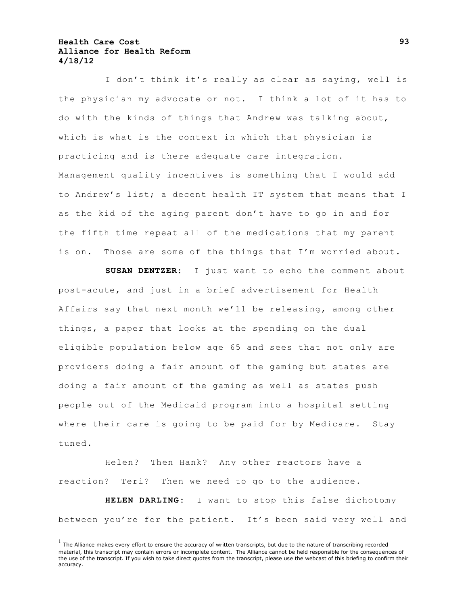I don't think it's really as clear as saying, well is the physician my advocate or not. I think a lot of it has to do with the kinds of things that Andrew was talking about, which is what is the context in which that physician is practicing and is there adequate care integration. Management quality incentives is something that I would add to Andrew's list; a decent health IT system that means that I as the kid of the aging parent don't have to go in and for the fifth time repeat all of the medications that my parent is on. Those are some of the things that I'm worried about.

**SUSAN DENTZER:** I just want to echo the comment about post-acute, and just in a brief advertisement for Health Affairs say that next month we'll be releasing, among other things, a paper that looks at the spending on the dual eligible population below age 65 and sees that not only are providers doing a fair amount of the gaming but states are doing a fair amount of the gaming as well as states push people out of the Medicaid program into a hospital setting where their care is going to be paid for by Medicare. Stay tuned.

Helen? Then Hank? Any other reactors have a reaction? Teri? Then we need to go to the audience.

**HELEN DARLING:** I want to stop this false dichotomy between you're for the patient. It's been said very well and

 $<sup>1</sup>$  The Alliance makes every effort to ensure the accuracy of written transcripts, but due to the nature of transcribing recorded</sup> material, this transcript may contain errors or incomplete content. The Alliance cannot be held responsible for the consequences of the use of the transcript. If you wish to take direct quotes from the transcript, please use the webcast of this briefing to confirm their accuracy.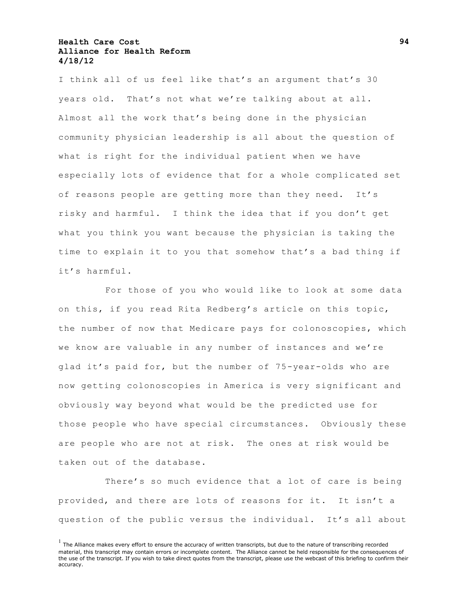I think all of us feel like that's an argument that's 30 years old. That's not what we're talking about at all. Almost all the work that's being done in the physician community physician leadership is all about the question of what is right for the individual patient when we have especially lots of evidence that for a whole complicated set of reasons people are getting more than they need. It's risky and harmful. I think the idea that if you don't get what you think you want because the physician is taking the time to explain it to you that somehow that's a bad thing if it's harmful.

For those of you who would like to look at some data on this, if you read Rita Redberg's article on this topic, the number of now that Medicare pays for colonoscopies, which we know are valuable in any number of instances and we're glad it's paid for, but the number of 75-year-olds who are now getting colonoscopies in America is very significant and obviously way beyond what would be the predicted use for those people who have special circumstances. Obviously these are people who are not at risk. The ones at risk would be taken out of the database.

There's so much evidence that a lot of care is being provided, and there are lots of reasons for it. It isn't a question of the public versus the individual. It's all about

 $<sup>1</sup>$  The Alliance makes every effort to ensure the accuracy of written transcripts, but due to the nature of transcribing recorded</sup> material, this transcript may contain errors or incomplete content. The Alliance cannot be held responsible for the consequences of the use of the transcript. If you wish to take direct quotes from the transcript, please use the webcast of this briefing to confirm their accuracy.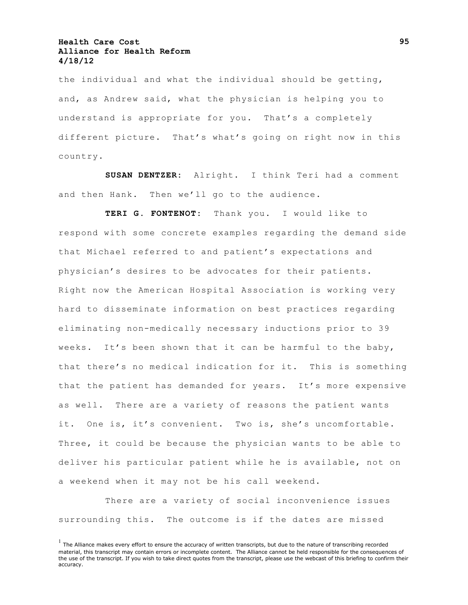the individual and what the individual should be getting, and, as Andrew said, what the physician is helping you to understand is appropriate for you. That's a completely different picture. That's what's going on right now in this country.

**SUSAN DENTZER:** Alright. I think Teri had a comment and then Hank. Then we'll go to the audience.

**TERI G. FONTENOT:** Thank you. I would like to respond with some concrete examples regarding the demand side that Michael referred to and patient's expectations and physician's desires to be advocates for their patients. Right now the American Hospital Association is working very hard to disseminate information on best practices regarding eliminating non-medically necessary inductions prior to 39 weeks. It's been shown that it can be harmful to the baby, that there's no medical indication for it. This is something that the patient has demanded for years. It's more expensive as well. There are a variety of reasons the patient wants it. One is, it's convenient. Two is, she's uncomfortable. Three, it could be because the physician wants to be able to deliver his particular patient while he is available, not on a weekend when it may not be his call weekend.

There are a variety of social inconvenience issues surrounding this. The outcome is if the dates are missed

 $<sup>1</sup>$  The Alliance makes every effort to ensure the accuracy of written transcripts, but due to the nature of transcribing recorded</sup> material, this transcript may contain errors or incomplete content. The Alliance cannot be held responsible for the consequences of the use of the transcript. If you wish to take direct quotes from the transcript, please use the webcast of this briefing to confirm their accuracy.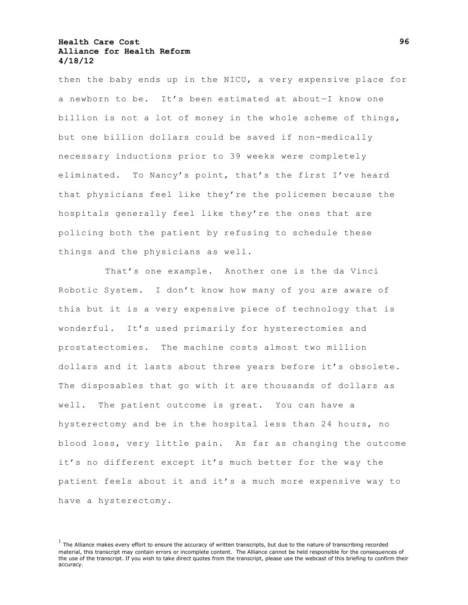then the baby ends up in the NICU, a very expensive place for a newborn to be. It's been estimated at about—I know one billion is not a lot of money in the whole scheme of things, but one billion dollars could be saved if non-medically necessary inductions prior to 39 weeks were completely eliminated. To Nancy's point, that's the first I've heard that physicians feel like they're the policemen because the hospitals generally feel like they're the ones that are policing both the patient by refusing to schedule these things and the physicians as well.

That's one example. Another one is the da Vinci Robotic System. I don't know how many of you are aware of this but it is a very expensive piece of technology that is wonderful. It's used primarily for hysterectomies and prostatectomies. The machine costs almost two million dollars and it lasts about three years before it's obsolete. The disposables that go with it are thousands of dollars as well. The patient outcome is great. You can have a hysterectomy and be in the hospital less than 24 hours, no blood loss, very little pain. As far as changing the outcome it's no different except it's much better for the way the patient feels about it and it's a much more expensive way to have a hysterectomy.

 $<sup>1</sup>$  The Alliance makes every effort to ensure the accuracy of written transcripts, but due to the nature of transcribing recorded</sup> material, this transcript may contain errors or incomplete content. The Alliance cannot be held responsible for the consequences of the use of the transcript. If you wish to take direct quotes from the transcript, please use the webcast of this briefing to confirm their accuracy.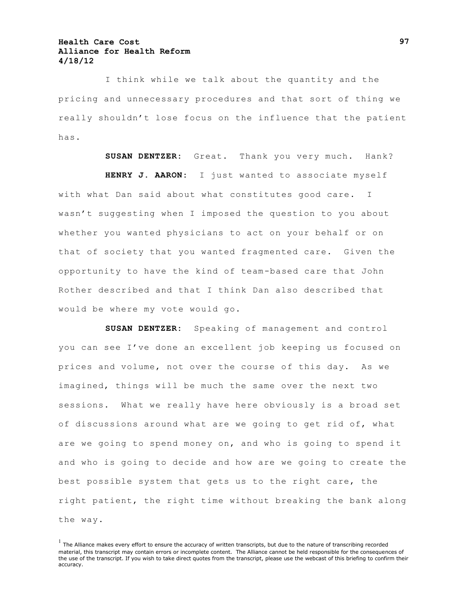I think while we talk about the quantity and the pricing and unnecessary procedures and that sort of thing we really shouldn't lose focus on the influence that the patient has.

**SUSAN DENTZER:** Great. Thank you very much. Hank? **HENRY J. AARON:** I just wanted to associate myself with what Dan said about what constitutes good care. I wasn't suggesting when I imposed the question to you about whether you wanted physicians to act on your behalf or on that of society that you wanted fragmented care. Given the opportunity to have the kind of team-based care that John Rother described and that I think Dan also described that would be where my vote would go.

**SUSAN DENTZER:** Speaking of management and control you can see I've done an excellent job keeping us focused on prices and volume, not over the course of this day. As we imagined, things will be much the same over the next two sessions. What we really have here obviously is a broad set of discussions around what are we going to get rid of, what are we going to spend money on, and who is going to spend it and who is going to decide and how are we going to create the best possible system that gets us to the right care, the right patient, the right time without breaking the bank along the way.

 $<sup>1</sup>$  The Alliance makes every effort to ensure the accuracy of written transcripts, but due to the nature of transcribing recorded</sup> material, this transcript may contain errors or incomplete content. The Alliance cannot be held responsible for the consequences of the use of the transcript. If you wish to take direct quotes from the transcript, please use the webcast of this briefing to confirm their accuracy.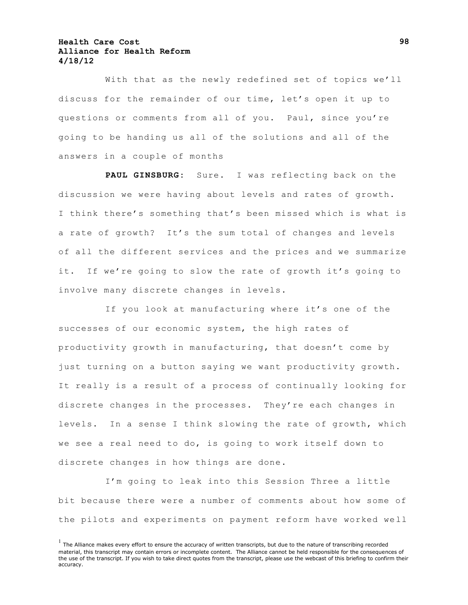With that as the newly redefined set of topics we'll discuss for the remainder of our time, let's open it up to questions or comments from all of you. Paul, since you're going to be handing us all of the solutions and all of the answers in a couple of months

**PAUL GINSBURG:** Sure. I was reflecting back on the discussion we were having about levels and rates of growth. I think there's something that's been missed which is what is a rate of growth? It's the sum total of changes and levels of all the different services and the prices and we summarize it. If we're going to slow the rate of growth it's going to involve many discrete changes in levels.

If you look at manufacturing where it's one of the successes of our economic system, the high rates of productivity growth in manufacturing, that doesn't come by just turning on a button saying we want productivity growth. It really is a result of a process of continually looking for discrete changes in the processes. They're each changes in levels. In a sense I think slowing the rate of growth, which we see a real need to do, is going to work itself down to discrete changes in how things are done.

I'm going to leak into this Session Three a little bit because there were a number of comments about how some of the pilots and experiments on payment reform have worked we ll

 $<sup>1</sup>$  The Alliance makes every effort to ensure the accuracy of written transcripts, but due to the nature of transcribing recorded</sup> material, this transcript may contain errors or incomplete content. The Alliance cannot be held responsible for the consequences of the use of the transcript. If you wish to take direct quotes from the transcript, please use the webcast of this briefing to confirm their accuracy.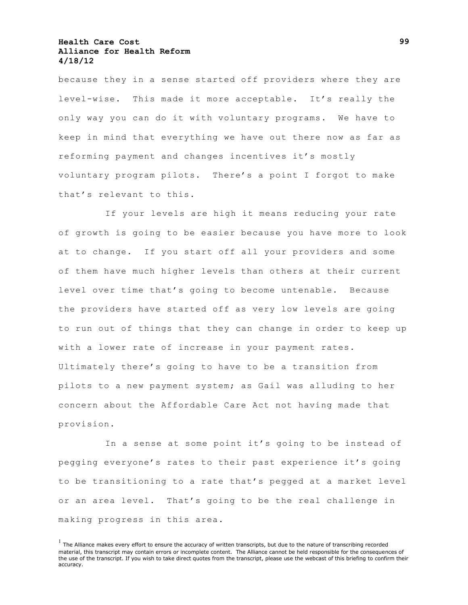because they in a sense started off providers where they are level-wise. This made it more acceptable. It's really the only way you can do it with voluntary programs. We have to keep in mind that everything we have out there now as far as reforming payment and changes incentives it's mostly voluntary program pilots. There's a point I forgot to make that's relevant to this.

If your levels are high it means reducing your rate of growth is going to be easier because you have more to look at to change. If you start off all your providers and some of them have much higher levels than others at their current level over time that's going to become untenable. Because the providers have started off as very low levels are going to run out of things that they can change in order to keep up with a lower rate of increase in your payment rates. Ultimately there's going to have to be a transition from pilots to a new payment system; as Gail was alluding to her concern about the Affordable Care Act not having made that provision.

In a sense at some point it's going to be instead of pegging everyone's rates to their past experience it's going to be transitioning to a rate that's pegged at a market level or an area level. That's going to be the real challenge in making progress in this area.

 $<sup>1</sup>$  The Alliance makes every effort to ensure the accuracy of written transcripts, but due to the nature of transcribing recorded</sup> material, this transcript may contain errors or incomplete content. The Alliance cannot be held responsible for the consequences of the use of the transcript. If you wish to take direct quotes from the transcript, please use the webcast of this briefing to confirm their accuracy.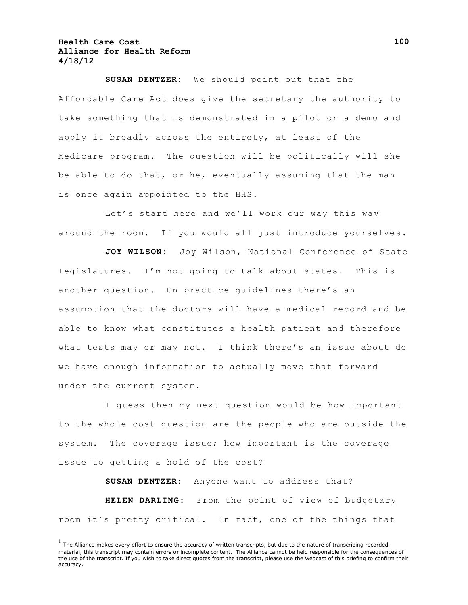**SUSAN DENTZER:** We should point out that the Affordable Care Act does give the secretary the authority to take something that is demonstrated in a pilot or a demo and apply it broadly across the entirety, at least of the Medicare program. The question will be politically will she be able to do that, or he, eventually assuming that the man is once again appointed to the HHS.

Let's start here and we'll work our way this way around the room. If you would all just introduce yourselves.

**JOY WILSON:** Joy Wilson, National Conference of State Legislatures. I'm not going to talk about states. This is another question. On practice guidelines there's an assumption that the doctors will have a medical record and be able to know what constitutes a health patient and therefore what tests may or may not. I think there's an issue about do we have enough information to actually move that forward under the current system.

I guess then my next question would be how important to the whole cost question are the people who are outside the system. The coverage issue; how important is the coverage issue to getting a hold of the cost?

**SUSAN DENTZER:** Anyone want to address that? **HELEN DARLING:** From the point of view of budgetary room it's pretty critical. In fact, one of the things that

 $<sup>1</sup>$  The Alliance makes every effort to ensure the accuracy of written transcripts, but due to the nature of transcribing recorded</sup> material, this transcript may contain errors or incomplete content. The Alliance cannot be held responsible for the consequences of the use of the transcript. If you wish to take direct quotes from the transcript, please use the webcast of this briefing to confirm their accuracy.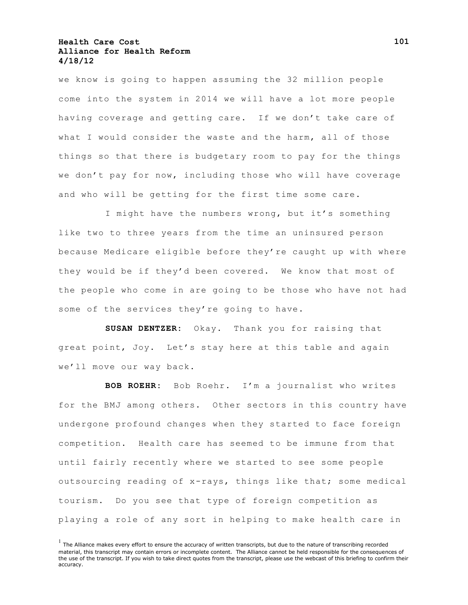we know is going to happen assuming the 32 million people come into the system in 2014 we will have a lot more people having coverage and getting care. If we don't take care of what I would consider the waste and the harm, all of those things so that there is budgetary room to pay for the things we don't pay for now, including those who will have coverage and who will be getting for the first time some care.

I might have the numbers wrong, but it's something like two to three years from the time an uninsured person because Medicare eligible before they're caught up with where they would be if they'd been covered. We know that most of the people who come in are going to be those who have not had some of the services they're going to have.

**SUSAN DENTZER:** Okay. Thank you for raising that great point, Joy. Let's stay here at this table and again we'll move our way back.

**BOB ROEHR:** Bob Roehr. I'm a journalist who writes for the BMJ among others. Other sectors in this country have undergone profound changes when they started to face foreign competition. Health care has seemed to be immune from that until fairly recently where we started to see some people outsourcing reading of x-rays, things like that; some medical tourism. Do you see that type of foreign competition as playing a role of any sort in helping to make health care in

 $<sup>1</sup>$  The Alliance makes every effort to ensure the accuracy of written transcripts, but due to the nature of transcribing recorded</sup> material, this transcript may contain errors or incomplete content. The Alliance cannot be held responsible for the consequences of the use of the transcript. If you wish to take direct quotes from the transcript, please use the webcast of this briefing to confirm their accuracy.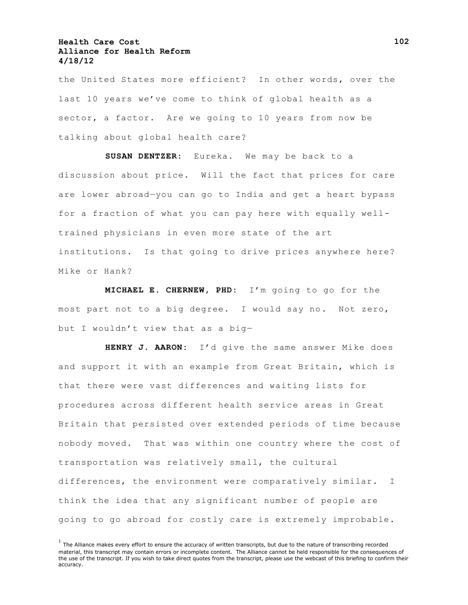the United States more efficient? In other words, over the last 10 years we've come to think of global health as a sector, a factor. Are we going to 10 years from now be talking about global health care?

**SUSAN DENTZER:** Eureka. We may be back to a discussion about price. Will the fact that prices for care are lower abroad—you can go to India and get a heart bypass for a fraction of what you can pay here with equally welltrained physicians in even more state of the art institutions. Is that going to drive prices anywhere here? Mike or Hank?

**MICHAEL E. CHERNEW, PHD:** I'm going to go for the most part not to a big degree. I would say no. Not zero, but I wouldn't view that as a big—

**HENRY J. AARON:** I'd give the same answer Mike does and support it with an example from Great Britain, which is that there were vast differences and waiting lists for procedures across different health service areas in Great Britain that persisted over extended periods of time because nobody moved. That was within one country where the cost of transportation was relatively small, the cultural differences, the environment were comparatively similar. I think the idea that any significant number of people are going to go abroad for costly care is extremely improbable.

 $<sup>1</sup>$  The Alliance makes every effort to ensure the accuracy of written transcripts, but due to the nature of transcribing recorded</sup> material, this transcript may contain errors or incomplete content. The Alliance cannot be held responsible for the consequences of the use of the transcript. If you wish to take direct quotes from the transcript, please use the webcast of this briefing to confirm their accuracy.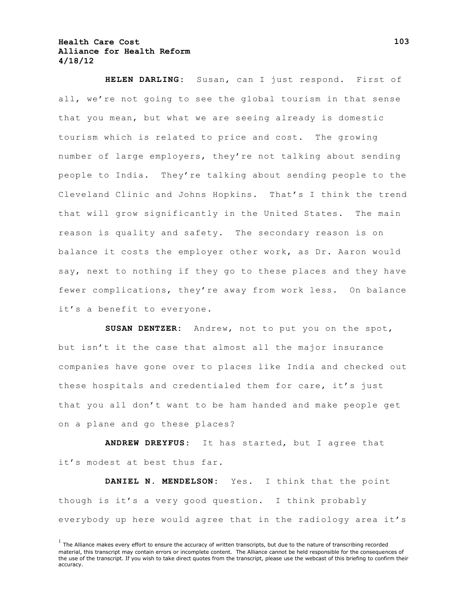**HELEN DARLING:** Susan, can I just respond. First of all, we're not going to see the global tourism in that sense that you mean, but what we are seeing already is domestic tourism which is related to price and cost. The growing number of large employers, they're not talking about sending people to India. They're talking about sending people to the Cleveland Clinic and Johns Hopkins. That's I think the trend that will grow significantly in the United States. The main reason is quality and safety. The secondary reason is on balance it costs the employer other work, as Dr. Aaron would say, next to nothing if they go to these places and they have fewer complications, they're away from work less. On balance it's a benefit to everyone.

**SUSAN DENTZER:** Andrew, not to put you on the spot, but isn't it the case that almost all the major insurance companies have gone over to places like India and checked out these hospitals and credentialed them for care, it's just that you all don't want to be ham handed and make people get on a plane and go these places?

**ANDREW DREYFUS:** It has started, but I agree that it's modest at best thus far.

**DANIEL N. MENDELSON:** Yes. I think that the point though is it's a very good question. I think probably everybody up here would agree that in the radiology area it's

 $<sup>1</sup>$  The Alliance makes every effort to ensure the accuracy of written transcripts, but due to the nature of transcribing recorded</sup> material, this transcript may contain errors or incomplete content. The Alliance cannot be held responsible for the consequences of the use of the transcript. If you wish to take direct quotes from the transcript, please use the webcast of this briefing to confirm their accuracy.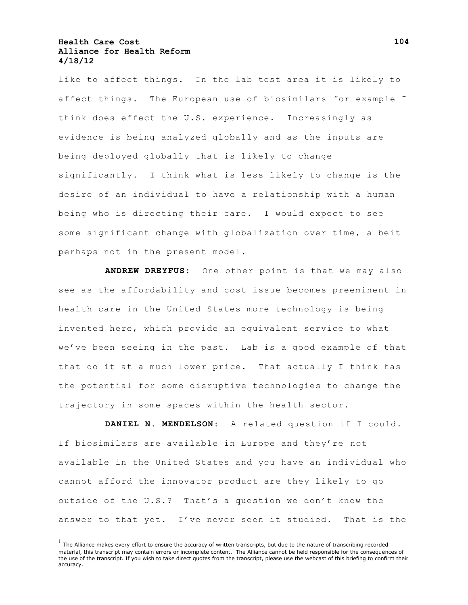like to affect things. In the lab test area it is likely to affect things. The European use of biosimilars for example I think does effect the U.S. experience. Increasingly as evidence is being analyzed globally and as the inputs are being deployed globally that is likely to change significantly. I think what is less likely to change is the desire of an individual to have a relationship with a human being who is directing their care. I would expect to see some significant change with globalization over time, albeit perhaps not in the present model.

**ANDREW DREYFUS:** One other point is that we may also see as the affordability and cost issue becomes preeminent in health care in the United States more technology is being invented here, which provide an equivalent service to what we've been seeing in the past. Lab is a good example of that that do it at a much lower price. That actually I think has the potential for some disruptive technologies to change the trajectory in some spaces within the health sector.

**DANIEL N. MENDELSON:** A related question if I could. If biosimilars are available in Europe and they're not available in the United States and you have an individual who cannot afford the innovator product are they likely to go outside of the U.S.? That's a question we don't know the answer to that yet. I've never seen it studied. That is the

 $<sup>1</sup>$  The Alliance makes every effort to ensure the accuracy of written transcripts, but due to the nature of transcribing recorded</sup> material, this transcript may contain errors or incomplete content. The Alliance cannot be held responsible for the consequences of the use of the transcript. If you wish to take direct quotes from the transcript, please use the webcast of this briefing to confirm their accuracy.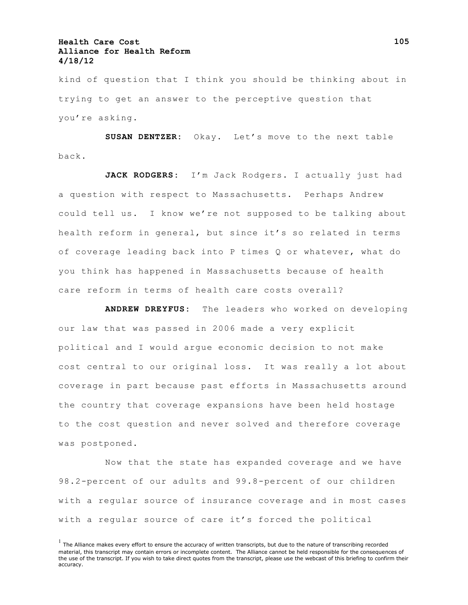kind of question that I think you should be thinking about in trying to get an answer to the perceptive question that you're asking.

**SUSAN DENTZER:** Okay. Let's move to the next table back.

**JACK RODGERS:** I'm Jack Rodgers. I actually just had a question with respect to Massachusetts. Perhaps Andrew could tell us. I know we're not supposed to be talking about health reform in general, but since it's so related in terms of coverage leading back into P times Q or whatever, what do you think has happened in Massachusetts because of health care reform in terms of health care costs overall?

**ANDREW DREYFUS:** The leaders who worked on developing our law that was passed in 2006 made a very explicit political and I would argue economic decision to not make cost central to our original loss. It was really a lot about coverage in part because past efforts in Massachusetts around the country that coverage expansions have been held hostage to the cost question and never solved and therefore coverage was postponed.

Now that the state has expanded coverage and we have 98.2-percent of our adults and 99.8-percent of our children with a regular source of insurance coverage and in most cases with a regular source of care it's forced the political

 $<sup>1</sup>$  The Alliance makes every effort to ensure the accuracy of written transcripts, but due to the nature of transcribing recorded</sup> material, this transcript may contain errors or incomplete content. The Alliance cannot be held responsible for the consequences of the use of the transcript. If you wish to take direct quotes from the transcript, please use the webcast of this briefing to confirm their accuracy.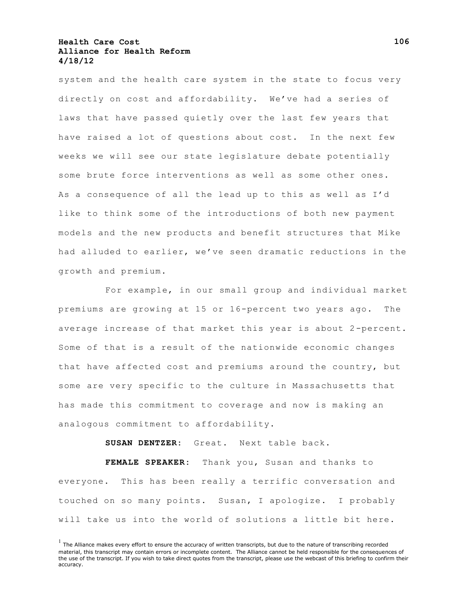system and the health care system in the state to focus very directly on cost and affordability. We've had a series of laws that have passed quietly over the last few years that have raised a lot of questions about cost. In the next few weeks we will see our state legislature debate potentially some brute force interventions as well as some other ones. As a consequence of all the lead up to this as well as I'd like to think some of the introductions of both new payment models and the new products and benefit structures that Mike had alluded to earlier, we've seen dramatic reductions in the growth and premium.

For example, in our small group and individual market premiums are growing at 15 or 16-percent two years ago. The average increase of that market this year is about 2-percent. Some of that is a result of the nationwide economic changes that have affected cost and premiums around the country, but some are very specific to the culture in Massachusetts that has made this commitment to coverage and now is making an analogous commitment to affordability.

**SUSAN DENTZER:** Great. Next table back.

**FEMALE SPEAKER:** Thank you, Susan and thanks to everyone. This has been really a terrific conversation and touched on so many points. Susan, I apologize. I probably will take us into the world of solutions a little bit here.

 $<sup>1</sup>$  The Alliance makes every effort to ensure the accuracy of written transcripts, but due to the nature of transcribing recorded</sup> material, this transcript may contain errors or incomplete content. The Alliance cannot be held responsible for the consequences of the use of the transcript. If you wish to take direct quotes from the transcript, please use the webcast of this briefing to confirm their accuracy.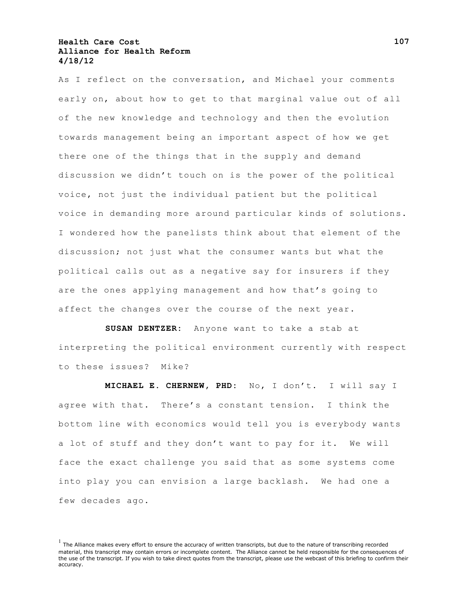As I reflect on the conversation, and Michael your comments early on, about how to get to that marginal value out of all of the new knowledge and technology and then the evolution towards management being an important aspect of how we get there one of the things that in the supply and demand discussion we didn't touch on is the power of the political voice, not just the individual patient but the political voice in demanding more around particular kinds of solutions. I wondered how the panelists think about that element of the discussion; not just what the consumer wants but what the political calls out as a negative say for insurers if they are the ones applying management and how that's going to affect the changes over the course of the next year.

**SUSAN DENTZER:** Anyone want to take a stab at interpreting the political environment currently with respect to these issues? Mike?

**MICHAEL E. CHERNEW, PHD:** No, I don't. I will say I agree with that. There's a constant tension. I think the bottom line with economics would tell you is everybody wants a lot of stuff and they don't want to pay for it. We will face the exact challenge you said that as some systems come into play you can envision a large backlash. We had one a few decades ago.

 $<sup>1</sup>$  The Alliance makes every effort to ensure the accuracy of written transcripts, but due to the nature of transcribing recorded</sup> material, this transcript may contain errors or incomplete content. The Alliance cannot be held responsible for the consequences of the use of the transcript. If you wish to take direct quotes from the transcript, please use the webcast of this briefing to confirm their accuracy.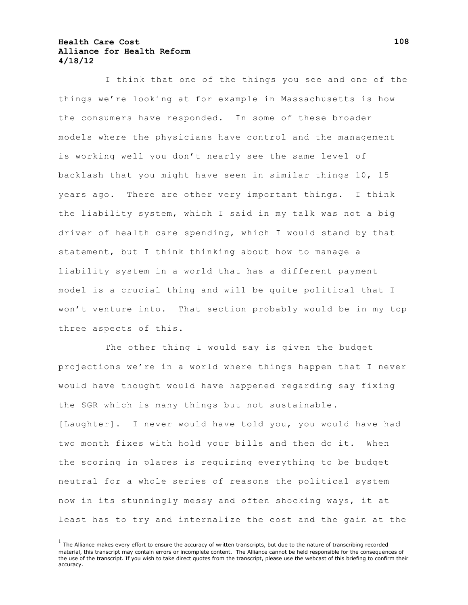I think that one of the things you see and one of the things we're looking at for example in Massachusetts is how the consumers have responded. In some of these broader models where the physicians have control and the management is working well you don't nearly see the same level of backlash that you might have seen in similar things 10, 15 years ago. There are other very important things. I think the liability system, which I said in my talk was not a big driver of health care spending, which I would stand by that statement, but I think thinking about how to manage a liability system in a world that has a different payment model is a crucial thing and will be quite political that I won't venture into. That section probably would be in my top three aspects of this.

The other thing I would say is given the budget projections we're in a world where things happen that I never would have thought would have happened regarding say fixing the SGR which is many things but not sustainable. [Laughter]. I never would have told you, you would have had two month fixes with hold your bills and then do it. When the scoring in places is requiring everything to be budget neutral for a whole series of reasons the political system now in its stunningly messy and often shocking ways, it at least has to try and internalize the cost and the gain at the

 $<sup>1</sup>$  The Alliance makes every effort to ensure the accuracy of written transcripts, but due to the nature of transcribing recorded</sup> material, this transcript may contain errors or incomplete content. The Alliance cannot be held responsible for the consequences of the use of the transcript. If you wish to take direct quotes from the transcript, please use the webcast of this briefing to confirm their accuracy.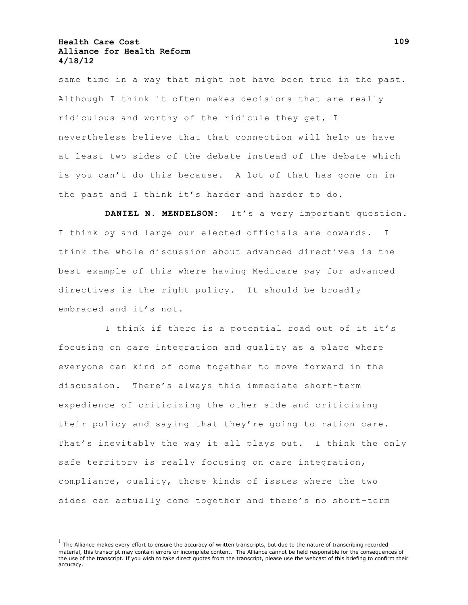same time in a way that might not have been true in the past. Although I think it often makes decisions that are really ridiculous and worthy of the ridicule they get, I nevertheless believe that that connection will help us have at least two sides of the debate instead of the debate which is you can't do this because. A lot of that has gone on in the past and I think it's harder and harder to do.

**DANIEL N. MENDELSON:** It's a very important question. I think by and large our elected officials are cowards. I think the whole discussion about advanced directives is the best example of this where having Medicare pay for advanced directives is the right policy. It should be broadly embraced and it's not.

I think if there is a potential road out of it it's focusing on care integration and quality as a place where everyone can kind of come together to move forward in the discussion. There's always this immediate short-term expedience of criticizing the other side and criticizing their policy and saying that they're going to ration care. That's inevitably the way it all plays out. I think the only safe territory is really focusing on care integration, compliance, quality, those kinds of issues where the two sides can actually come together and there's no short-term

 $<sup>1</sup>$  The Alliance makes every effort to ensure the accuracy of written transcripts, but due to the nature of transcribing recorded</sup> material, this transcript may contain errors or incomplete content. The Alliance cannot be held responsible for the consequences of the use of the transcript. If you wish to take direct quotes from the transcript, please use the webcast of this briefing to confirm their accuracy.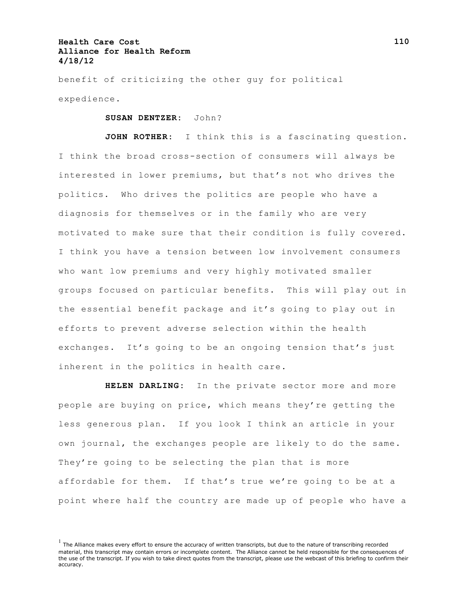benefit of criticizing the other guy for political expedience.

**SUSAN DENTZER:** John?

**JOHN ROTHER:** I think this is a fascinating question. I think the broad cross-section of consumers will always be interested in lower premiums, but that's not who drives the politics. Who drives the politics are people who have a diagnosis for themselves or in the family who are very motivated to make sure that their condition is fully covered. I think you have a tension between low involvement consumers who want low premiums and very highly motivated smaller groups focused on particular benefits. This will play out in the essential benefit package and it's going to play out in efforts to prevent adverse selection within the health exchanges. It's going to be an ongoing tension that's just inherent in the politics in health care.

**HELEN DARLING:** In the private sector more and more people are buying on price, which means they're getting the less generous plan. If you look I think an article in your own journal, the exchanges people are likely to do the same. They're going to be selecting the plan that is more affordable for them. If that's true we're going to be at a point where half the country are made up of people who have a

 $<sup>1</sup>$  The Alliance makes every effort to ensure the accuracy of written transcripts, but due to the nature of transcribing recorded</sup> material, this transcript may contain errors or incomplete content. The Alliance cannot be held responsible for the consequences of the use of the transcript. If you wish to take direct quotes from the transcript, please use the webcast of this briefing to confirm their accuracy.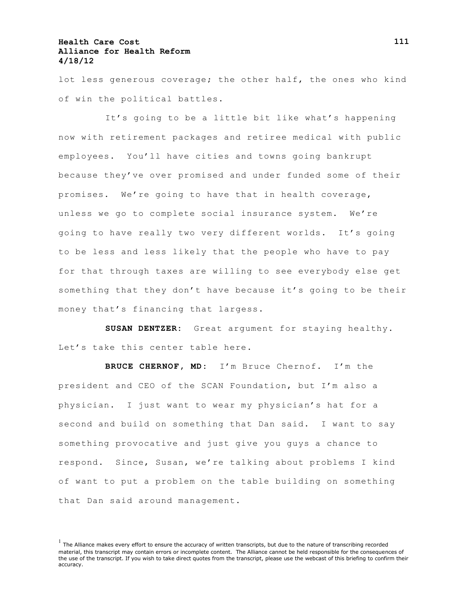lot less generous coverage; the other half, the ones who kind of win the political battles.

It's going to be a little bit like what's happening now with retirement packages and retiree medical with public employees. You'll have cities and towns going bankrupt because they've over promised and under funded some of their promises. We're going to have that in health coverage, unless we go to complete social insurance system. We're going to have really two very different worlds. It's going to be less and less likely that the people who have to pay for that through taxes are willing to see everybody else get something that they don't have because it's going to be their money that's financing that largess.

**SUSAN DENTZER:** Great argument for staying healthy. Let's take this center table here.

**BRUCE CHERNOF, MD:** I'm Bruce Chernof. I'm the president and CEO of the SCAN Foundation, but I'm also a physician. I just want to wear my physician's hat for a second and build on something that Dan said. I want to say something provocative and just give you guys a chance to respond. Since, Susan, we're talking about problems I kind of want to put a problem on the table building on something that Dan said around management.

 $<sup>1</sup>$  The Alliance makes every effort to ensure the accuracy of written transcripts, but due to the nature of transcribing recorded</sup> material, this transcript may contain errors or incomplete content. The Alliance cannot be held responsible for the consequences of the use of the transcript. If you wish to take direct quotes from the transcript, please use the webcast of this briefing to confirm their accuracy.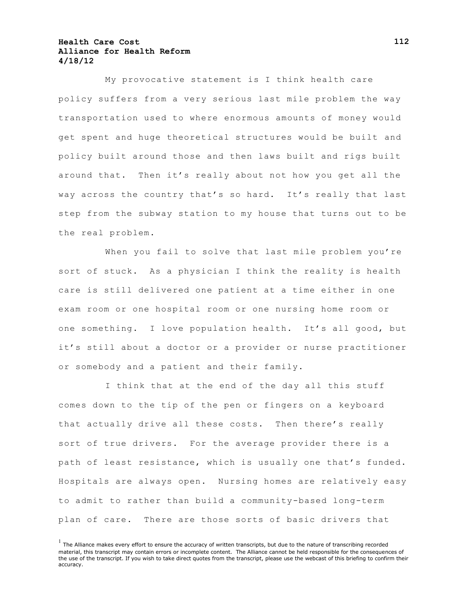My provocative statement is I think health care policy suffers from a very serious last mile problem the way transportation used to where enormous amounts of money would get spent and huge theoretical structures would be built and policy built around those and then laws built and rigs built around that. Then it's really about not how you get all the way across the country that's so hard. It's really that last step from the subway station to my house that turns out to be the real problem.

When you fail to solve that last mile problem you're sort of stuck. As a physician I think the reality is health care is still delivered one patient at a time either in one exam room or one hospital room or one nursing home room or one something. I love population health. It's all good, but it's still about a doctor or a provider or nurse practitioner or somebody and a patient and their family.

I think that at the end of the day all this stuff comes down to the tip of the pen or fingers on a keyboard that actually drive all these costs. Then there's really sort of true drivers. For the average provider there is a path of least resistance, which is usually one that's funded. Hospitals are always open. Nursing homes are relatively easy to admit to rather than build a community-based long-term plan of care. There are those sorts of basic drivers that

 $<sup>1</sup>$  The Alliance makes every effort to ensure the accuracy of written transcripts, but due to the nature of transcribing recorded</sup> material, this transcript may contain errors or incomplete content. The Alliance cannot be held responsible for the consequences of the use of the transcript. If you wish to take direct quotes from the transcript, please use the webcast of this briefing to confirm their accuracy.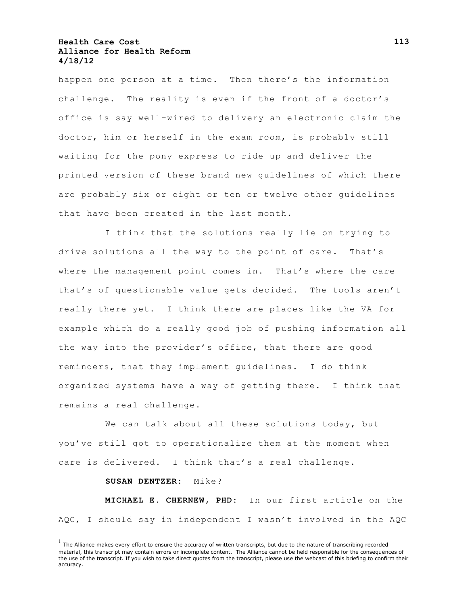happen one person at a time. Then there's the information challenge. The reality is even if the front of a doctor's office is say well-wired to delivery an electronic claim the doctor, him or herself in the exam room, is probably still waiting for the pony express to ride up and deliver the printed version of these brand new guidelines of which there are probably six or eight or ten or twelve other guidelines that have been created in the last month.

I think that the solutions really lie on trying to drive solutions all the way to the point of care. That's where the management point comes in. That's where the care that's of questionable value gets decided. The tools aren't really there yet. I think there are places like the VA for example which do a really good job of pushing information all the way into the provider's office, that there are good reminders, that they implement guidelines. I do think organized systems have a way of getting there. I think that remains a real challenge.

We can talk about all these solutions today, but you've still got to operationalize them at the moment when care is delivered. I think that's a real challenge.

**SUSAN DENTZER:** Mike?

**MICHAEL E. CHERNEW, PHD:** In our first article on the AQC, I should say in independent I wasn't involved in the AQC

 $<sup>1</sup>$  The Alliance makes every effort to ensure the accuracy of written transcripts, but due to the nature of transcribing recorded</sup> material, this transcript may contain errors or incomplete content. The Alliance cannot be held responsible for the consequences of the use of the transcript. If you wish to take direct quotes from the transcript, please use the webcast of this briefing to confirm their accuracy.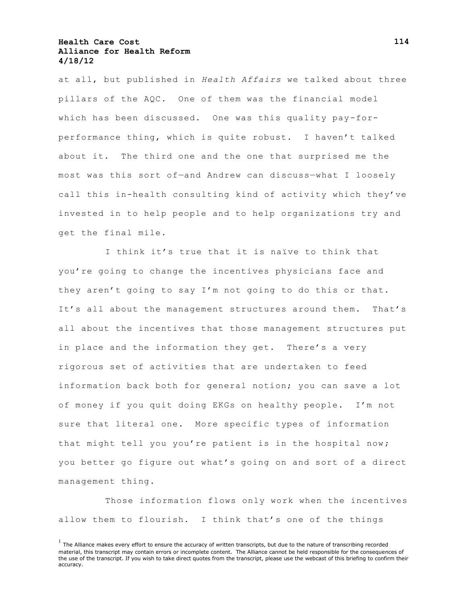at all, but published in *Health Affairs* we talked about three pillars of the AQC. One of them was the financial model which has been discussed. One was this quality pay-forperformance thing, which is quite robust. I haven't talked about it. The third one and the one that surprised me the most was this sort of—and Andrew can discuss—what I loosely call this in-health consulting kind of activity which they've invested in to help people and to help organizations try and get the final mile.

I think it's true that it is naïve to think that you're going to change the incentives physicians face and they aren't going to say I'm not going to do this or that. It's all about the management structures around them. That's all about the incentives that those management structures put in place and the information they get. There's a very rigorous set of activities that are undertaken to feed information back both for general notion; you can save a lot of money if you quit doing EKGs on healthy people. I'm not sure that literal one. More specific types of information that might tell you you're patient is in the hospital now; you better go figure out what's going on and sort of a direct management thing.

Those information flows only work when the incentives allow them to flourish. I think that's one of the things

 $<sup>1</sup>$  The Alliance makes every effort to ensure the accuracy of written transcripts, but due to the nature of transcribing recorded</sup> material, this transcript may contain errors or incomplete content. The Alliance cannot be held responsible for the consequences of the use of the transcript. If you wish to take direct quotes from the transcript, please use the webcast of this briefing to confirm their accuracy.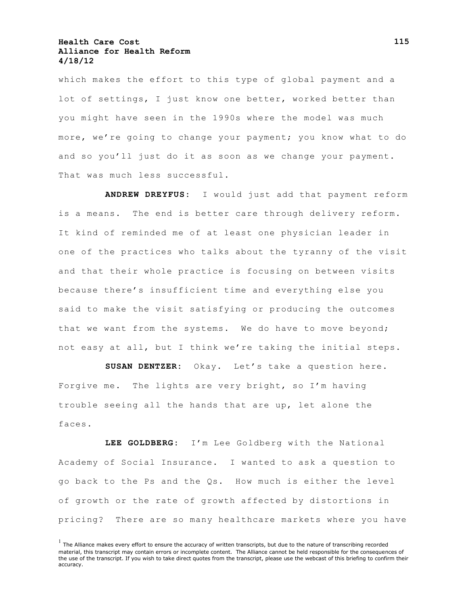which makes the effort to this type of global payment and a lot of settings, I just know one better, worked better than you might have seen in the 1990s where the model was much more, we're going to change your payment; you know what to do and so you'll just do it as soon as we change your payment. That was much less successful.

**ANDREW DREYFUS:** I would just add that payment reform is a means. The end is better care through delivery reform. It kind of reminded me of at least one physician leader in one of the practices who talks about the tyranny of the visit and that their whole practice is focusing on between visits because there's insufficient time and everything else you said to make the visit satisfying or producing the outcomes that we want from the systems. We do have to move beyond; not easy at all, but I think we're taking the initial steps.

**SUSAN DENTZER:** Okay. Let's take a question here. Forgive me. The lights are very bright, so I'm having trouble seeing all the hands that are up, let alone the faces.

**LEE GOLDBERG:** I'm Lee Goldberg with the National Academy of Social Insurance. I wanted to ask a question to go back to the Ps and the Qs. How much is either the level of growth or the rate of growth affected by distortions in pricing? There are so many healthcare markets where you have

 $<sup>1</sup>$  The Alliance makes every effort to ensure the accuracy of written transcripts, but due to the nature of transcribing recorded</sup> material, this transcript may contain errors or incomplete content. The Alliance cannot be held responsible for the consequences of the use of the transcript. If you wish to take direct quotes from the transcript, please use the webcast of this briefing to confirm their accuracy.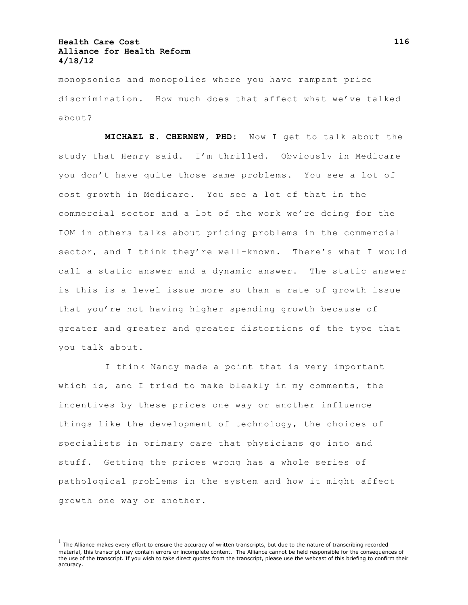monopsonies and monopolies where you have rampant price discrimination. How much does that affect what we've talked about?

**MICHAEL E. CHERNEW, PHD:** Now I get to talk about the study that Henry said. I'm thrilled. Obviously in Medicare you don't have quite those same problems. You see a lot of cost growth in Medicare. You see a lot of that in the commercial sector and a lot of the work we're doing for the IOM in others talks about pricing problems in the commercial sector, and I think they're well-known. There's what I would call a static answer and a dynamic answer. The static answer is this is a level issue more so than a rate of growth issue that you're not having higher spending growth because of greater and greater and greater distortions of the type that you talk about.

I think Nancy made a point that is very important which is, and I tried to make bleakly in my comments, the incentives by these prices one way or another influence things like the development of technology, the choices of specialists in primary care that physicians go into and stuff. Getting the prices wrong has a whole series of pathological problems in the system and how it might affect growth one way or another.

 $<sup>1</sup>$  The Alliance makes every effort to ensure the accuracy of written transcripts, but due to the nature of transcribing recorded</sup> material, this transcript may contain errors or incomplete content. The Alliance cannot be held responsible for the consequences of the use of the transcript. If you wish to take direct quotes from the transcript, please use the webcast of this briefing to confirm their accuracy.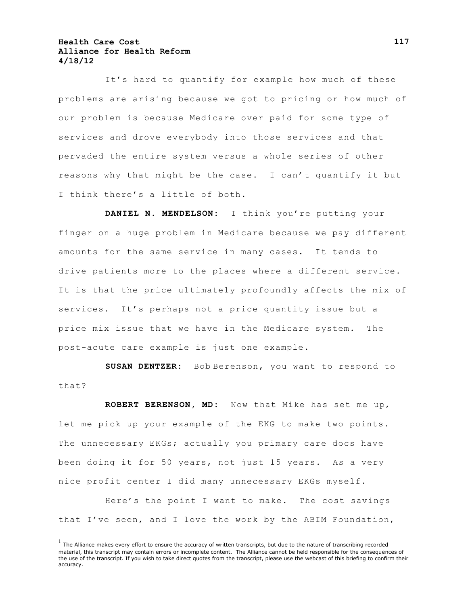It's hard to quantify for example how much of these problems are arising because we got to pricing or how much of our problem is because Medicare over paid for some type of services and drove everybody into those services and that pervaded the entire system versus a whole series of other reasons why that might be the case. I can't quantify it but I think there's a little of both.

**DANIEL N. MENDELSON:** I think you're putting your finger on a huge problem in Medicare because we pay different amounts for the same service in many cases. It tends to drive patients more to the places where a different service. It is that the price ultimately profoundly affects the mix of services. It's perhaps not a price quantity issue but a price mix issue that we have in the Medicare system. The post-acute care example is just one example.

**SUSAN DENTZER:** Bob Berenson, you want to respond to that?

**ROBERT BERENSON, MD:** Now that Mike has set me up, let me pick up your example of the EKG to make two points. The unnecessary EKGs; actually you primary care docs have been doing it for 50 years, not just 15 years. As a very nice profit center I did many unnecessary EKGs myself.

Here's the point I want to make. The cost savings that I've seen, and I love the work by the ABIM Foundation,

 $<sup>1</sup>$  The Alliance makes every effort to ensure the accuracy of written transcripts, but due to the nature of transcribing recorded</sup> material, this transcript may contain errors or incomplete content. The Alliance cannot be held responsible for the consequences of the use of the transcript. If you wish to take direct quotes from the transcript, please use the webcast of this briefing to confirm their accuracy.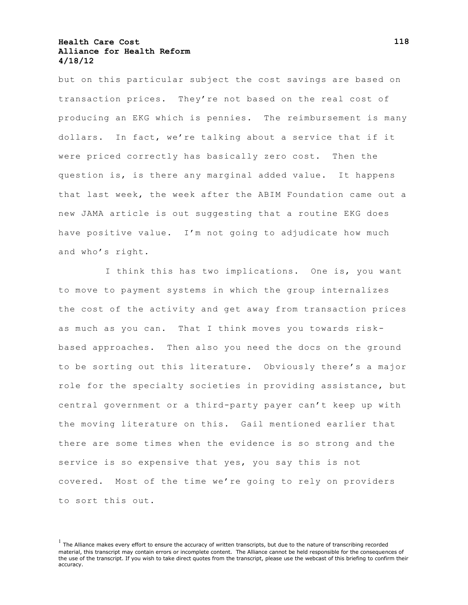but on this particular subject the cost savings are based on transaction prices. They're not based on the real cost of producing an EKG which is pennies. The reimbursement is many dollars. In fact, we're talking about a service that if it were priced correctly has basically zero cost. Then the question is, is there any marginal added value. It happens that last week, the week after the ABIM Foundation came out a new JAMA article is out suggesting that a routine EKG does have positive value. I'm not going to adjudicate how much and who's right.

I think this has two implications. One is, you want to move to payment systems in which the group internalizes the cost of the activity and get away from transaction prices as much as you can. That I think moves you towards riskbased approaches. Then also you need the docs on the ground to be sorting out this literature. Obviously there's a major role for the specialty societies in providing assistance, but central government or a third-party payer can't keep up with the moving literature on this. Gail mentioned earlier that there are some times when the evidence is so strong and the service is so expensive that yes, you say this is not covered. Most of the time we're going to rely on providers to sort this out.

 $<sup>1</sup>$  The Alliance makes every effort to ensure the accuracy of written transcripts, but due to the nature of transcribing recorded</sup> material, this transcript may contain errors or incomplete content. The Alliance cannot be held responsible for the consequences of the use of the transcript. If you wish to take direct quotes from the transcript, please use the webcast of this briefing to confirm their accuracy.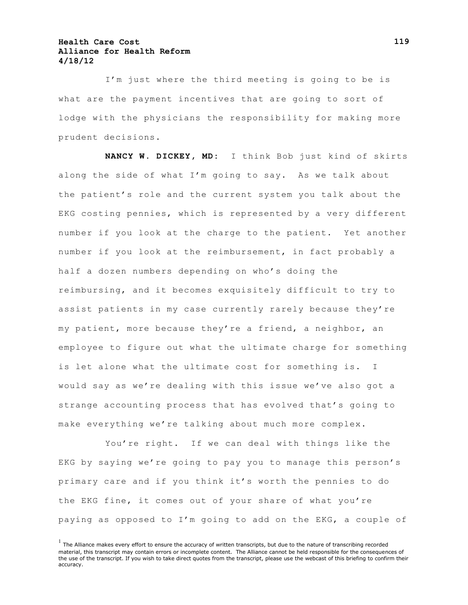I'm just where the third meeting is going to be is what are the payment incentives that are going to sort of lodge with the physicians the responsibility for making more prudent decisions.

**NANCY W. DICKEY, MD:** I think Bob just kind of skirts along the side of what I'm going to say. As we talk about the patient's role and the current system you talk about the EKG costing pennies, which is represented by a very different number if you look at the charge to the patient. Yet another number if you look at the reimbursement, in fact probably a half a dozen numbers depending on who's doing the reimbursing, and it becomes exquisitely difficult to try to assist patients in my case currently rarely because they're my patient, more because they're a friend, a neighbor, an employee to figure out what the ultimate charge for something is let alone what the ultimate cost for something is. I would say as we're dealing with this issue we've also got a strange accounting process that has evolved that's going to make everything we're talking about much more complex.

You're right. If we can deal with things like the EKG by saying we're going to pay you to manage this person's primary care and if you think it's worth the pennies to do the EKG fine, it comes out of your share of what you're paying as opposed to I'm going to add on the EKG, a couple of

 $<sup>1</sup>$  The Alliance makes every effort to ensure the accuracy of written transcripts, but due to the nature of transcribing recorded</sup> material, this transcript may contain errors or incomplete content. The Alliance cannot be held responsible for the consequences of the use of the transcript. If you wish to take direct quotes from the transcript, please use the webcast of this briefing to confirm their accuracy.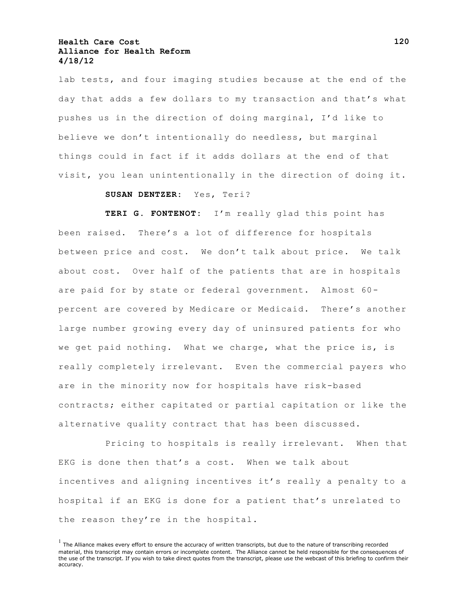lab tests, and four imaging studies because at the end of the day that adds a few dollars to my transaction and that's what pushes us in the direction of doing marginal, I'd like to believe we don't intentionally do needless, but marginal things could in fact if it adds dollars at the end of that visit, you lean unintentionally in the direction of doing it.

#### **SUSAN DENTZER:** Yes, Teri?

**TERI G. FONTENOT:** I'm really glad this point has been raised. There's a lot of difference for hospitals between price and cost. We don't talk about price. We talk about cost. Over half of the patients that are in hospitals are paid for by state or federal government. Almost 60 percent are covered by Medicare or Medicaid. There's another large number growing every day of uninsured patients for who we get paid nothing. What we charge, what the price is, is really completely irrelevant. Even the commercial payers who are in the minority now for hospitals have risk-based contracts; either capitated or partial capitation or like the alternative quality contract that has been discussed.

Pricing to hospitals is really irrelevant. When that EKG is done then that's a cost. When we talk about incentives and aligning incentives it's really a penalty to a hospital if an EKG is done for a patient that's unrelated to the reason they're in the hospital.

 $<sup>1</sup>$  The Alliance makes every effort to ensure the accuracy of written transcripts, but due to the nature of transcribing recorded</sup> material, this transcript may contain errors or incomplete content. The Alliance cannot be held responsible for the consequences of the use of the transcript. If you wish to take direct quotes from the transcript, please use the webcast of this briefing to confirm their accuracy.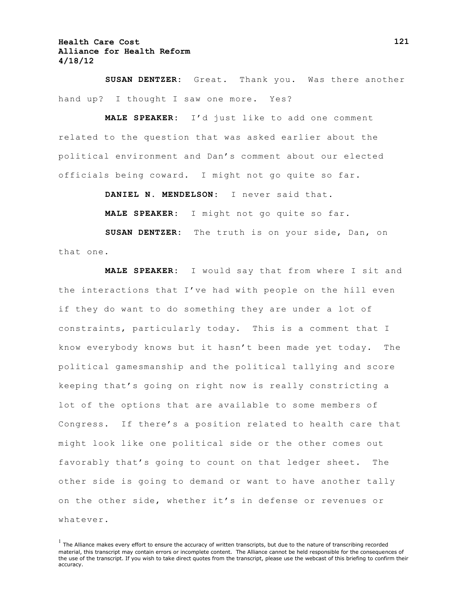**SUSAN DENTZER:** Great. Thank you. Was there another hand up? I thought I saw one more. Yes?

**MALE SPEAKER:** I'd just like to add one comment related to the question that was asked earlier about the political environment and Dan's comment about our elected officials being coward. I might not go quite so far.

**DANIEL N. MENDELSON:** I never said that.

**MALE SPEAKER:** I might not go quite so far.

**SUSAN DENTZER:** The truth is on your side, Dan, on that one.

**MALE SPEAKER:** I would say that from where I sit and the interactions that I've had with people on the hill even if they do want to do something they are under a lot of constraints, particularly today. This is a comment that I know everybody knows but it hasn't been made yet today. The political gamesmanship and the political tallying and score keeping that's going on right now is really constricting a lot of the options that are available to some members of Congress. If there's a position related to health care that might look like one political side or the other comes out favorably that's going to count on that ledger sheet. The other side is going to demand or want to have another tally on the other side, whether it's in defense or revenues or whatever.

 $<sup>1</sup>$  The Alliance makes every effort to ensure the accuracy of written transcripts, but due to the nature of transcribing recorded</sup> material, this transcript may contain errors or incomplete content. The Alliance cannot be held responsible for the consequences of the use of the transcript. If you wish to take direct quotes from the transcript, please use the webcast of this briefing to confirm their accuracy.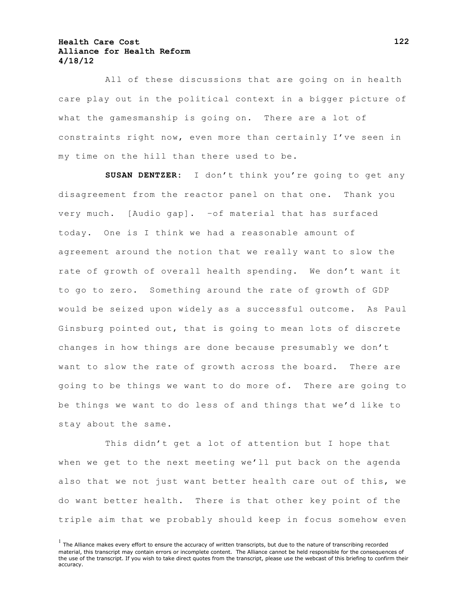All of these discussions that are going on in health care play out in the political context in a bigger picture of what the gamesmanship is going on. There are a lot of constraints right now, even more than certainly I've seen in my time on the hill than there used to be.

**SUSAN DENTZER:** I don't think you're going to get any disagreement from the reactor panel on that one. Thank you very much. [Audio gap]. –of material that has surfaced today. One is I think we had a reasonable amount of agreement around the notion that we really want to slow the rate of growth of overall health spending. We don't want it to go to zero. Something around the rate of growth of GDP would be seized upon widely as a successful outcome. As Paul Ginsburg pointed out, that is going to mean lots of discrete changes in how things are done because presumably we don't want to slow the rate of growth across the board. There are going to be things we want to do more of. There are going to be things we want to do less of and things that we'd like to stay about the same.

This didn't get a lot of attention but I hope that when we get to the next meeting we'll put back on the agenda also that we not just want better health care out of this, we do want better health. There is that other key point of the triple aim that we probably should keep in focus somehow even

 $<sup>1</sup>$  The Alliance makes every effort to ensure the accuracy of written transcripts, but due to the nature of transcribing recorded</sup> material, this transcript may contain errors or incomplete content. The Alliance cannot be held responsible for the consequences of the use of the transcript. If you wish to take direct quotes from the transcript, please use the webcast of this briefing to confirm their accuracy.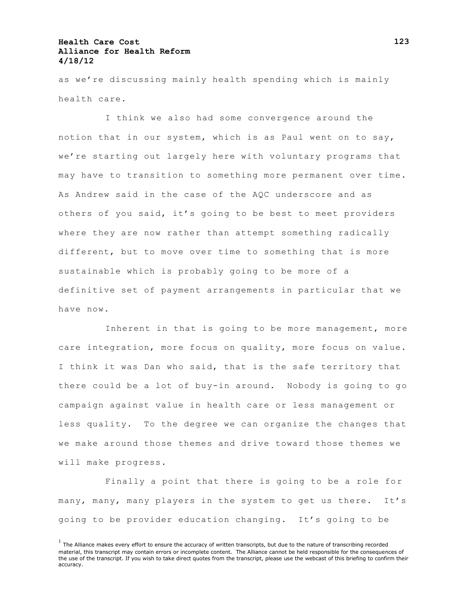as we're discussing mainly health spending which is mainly health care.

I think we also had some convergence around the notion that in our system, which is as Paul went on to say, we're starting out largely here with voluntary programs that may have to transition to something more permanent over time. As Andrew said in the case of the AQC underscore and as others of you said, it's going to be best to meet providers where they are now rather than attempt something radically different, but to move over time to something that is more sustainable which is probably going to be more of a definitive set of payment arrangements in particular that we have now.

Inherent in that is going to be more management, more care integration, more focus on quality, more focus on value. I think it was Dan who said, that is the safe territory that there could be a lot of buy-in around. Nobody is going to go campaign against value in health care or less management or less quality. To the degree we can organize the changes that we make around those themes and drive toward those themes we will make progress.

Finally a point that there is going to be a role for many, many, many players in the system to get us there. It's going to be provider education changing. It's going to be

 $<sup>1</sup>$  The Alliance makes every effort to ensure the accuracy of written transcripts, but due to the nature of transcribing recorded</sup> material, this transcript may contain errors or incomplete content. The Alliance cannot be held responsible for the consequences of the use of the transcript. If you wish to take direct quotes from the transcript, please use the webcast of this briefing to confirm their accuracy.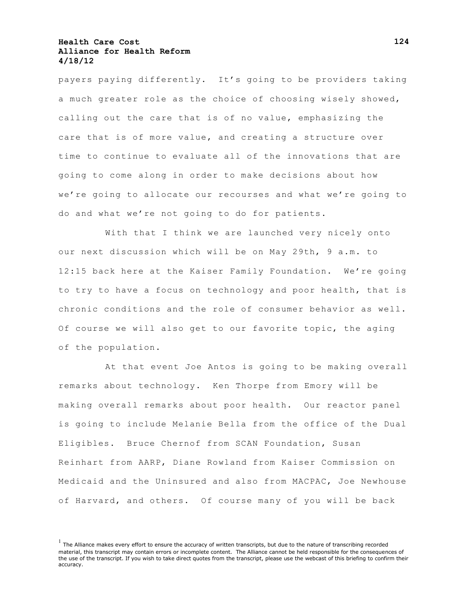payers paying differently. It's going to be providers taking a much greater role as the choice of choosing wisely showed, calling out the care that is of no value, emphasizing the care that is of more value, and creating a structure over time to continue to evaluate all of the innovations that are going to come along in order to make decisions about how we're going to allocate our recourses and what we're going to do and what we're not going to do for patients.

With that I think we are launched very nicely onto our next discussion which will be on May 29th, 9 a.m. to 12:15 back here at the Kaiser Family Foundation. We're going to try to have a focus on technology and poor health, that is chronic conditions and the role of consumer behavior as well. Of course we will also get to our favorite topic, the aging of the population.

At that event Joe Antos is going to be making overall remarks about technology. Ken Thorpe from Emory will be making overall remarks about poor health. Our reactor panel is going to include Melanie Bella from the office of the Dual Eligibles. Bruce Chernof from SCAN Foundation, Susan Reinhart from AARP, Diane Rowland from Kaiser Commission on Medicaid and the Uninsured and also from MACPAC, Joe Newhouse of Harvard, and others. Of course many of you will be back

 $<sup>1</sup>$  The Alliance makes every effort to ensure the accuracy of written transcripts, but due to the nature of transcribing recorded</sup> material, this transcript may contain errors or incomplete content. The Alliance cannot be held responsible for the consequences of the use of the transcript. If you wish to take direct quotes from the transcript, please use the webcast of this briefing to confirm their accuracy.